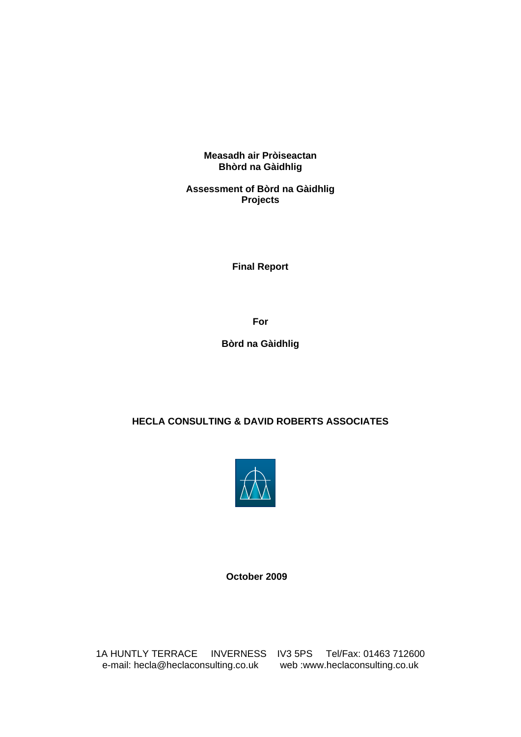**Measadh air Pròiseactan Bhòrd na Gàidhlig** 

**Assessment of Bòrd na Gàidhlig Projects** 

**Final Report** 

**For** 

**Bòrd na Gàidhlig** 

## **HECLA CONSULTING & DAVID ROBERTS ASSOCIATES**



 **October 2009** 

1A HUNTLY TERRACE INVERNESS IV3 5PS Tel/Fax: 01463 712600 e-mail: hecla@heclaconsulting.co.uk web :www.heclaconsulting.co.uk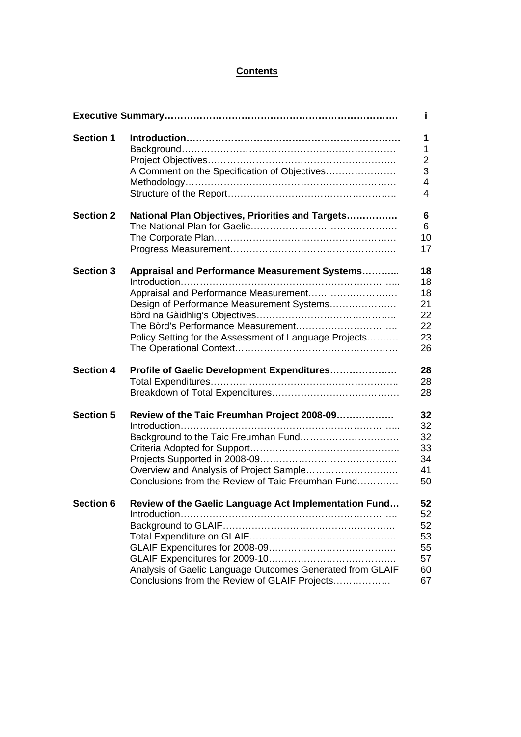## **Contents**

| Ť.               |                                                                 |                  |
|------------------|-----------------------------------------------------------------|------------------|
| <b>Section 1</b> |                                                                 | 1<br>1           |
|                  |                                                                 | $\mathbf 2$<br>3 |
|                  |                                                                 | $\overline{4}$   |
|                  |                                                                 | 4                |
| <b>Section 2</b> | National Plan Objectives, Priorities and Targets                | 6                |
|                  |                                                                 | 6                |
|                  |                                                                 | 10               |
|                  |                                                                 | 17               |
| <b>Section 3</b> | Appraisal and Performance Measurement Systems                   | 18               |
|                  |                                                                 | 18               |
|                  | Appraisal and Performance Measurement                           | 18               |
|                  | Design of Performance Measurement Systems                       | 21               |
|                  |                                                                 | 22               |
|                  | The Bòrd's Performance Measurement                              | 22               |
|                  | Policy Setting for the Assessment of Language Projects          | 23               |
|                  |                                                                 | 26               |
| <b>Section 4</b> | Profile of Gaelic Development Expenditures                      | 28               |
|                  |                                                                 | 28               |
|                  |                                                                 | 28               |
| <b>Section 5</b> | Review of the Taic Freumhan Project 2008-09                     | 32               |
|                  |                                                                 | 32               |
|                  | Background to the Taic Freumhan Fund                            | 32               |
|                  |                                                                 | 33               |
|                  |                                                                 | 34               |
|                  | Overview and Analysis of Project Sample                         | 41               |
|                  | Conclusions from the Review of Taic Freumhan Fund               | 50               |
|                  | Section 6 Review of the Gaelic Language Act Implementation Fund | 52               |
|                  |                                                                 | 52               |
|                  |                                                                 | 52               |
|                  |                                                                 | 53               |
|                  |                                                                 | 55               |
|                  |                                                                 | 57               |
|                  | Analysis of Gaelic Language Outcomes Generated from GLAIF       | 60               |
|                  | Conclusions from the Review of GLAIF Projects                   | 67               |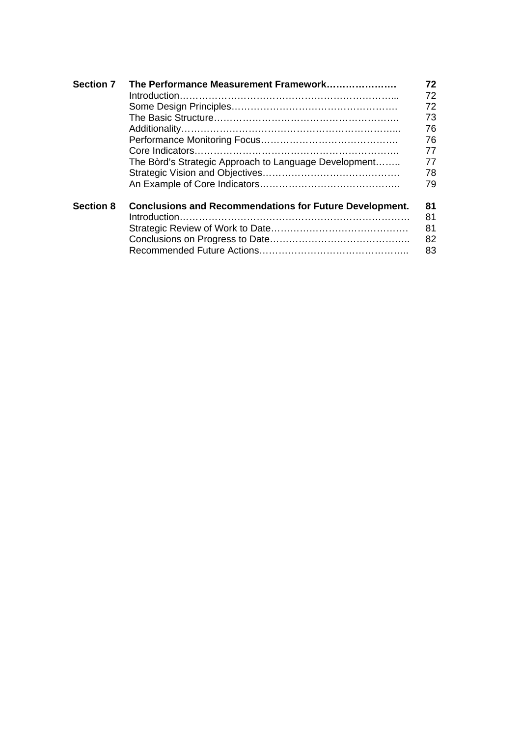| <b>Section 7</b> | The Performance Measurement Framework                                           | 72       |
|------------------|---------------------------------------------------------------------------------|----------|
|                  |                                                                                 | 72       |
|                  |                                                                                 | 72       |
|                  |                                                                                 | 73       |
|                  |                                                                                 | 76       |
|                  |                                                                                 | 76       |
|                  |                                                                                 | 77       |
|                  | The Bord's Strategic Approach to Language Development                           | 77       |
|                  |                                                                                 | 78       |
|                  |                                                                                 | 79       |
| <b>Section 8</b> | <b>Conclusions and Recommendations for Future Development.</b><br>Introduction. | 81<br>81 |
|                  |                                                                                 |          |
|                  |                                                                                 | 81       |
|                  |                                                                                 | 82       |
|                  |                                                                                 | 83       |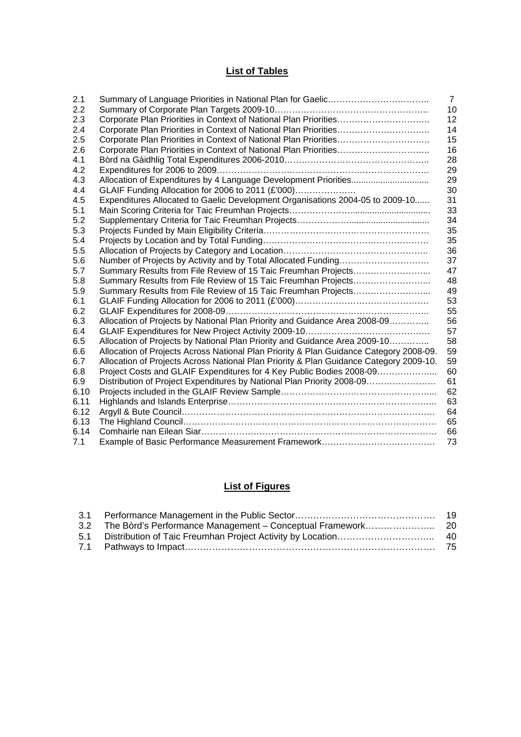# **List of Tables**

| 2.1  |                                                                                        | $\overline{7}$ |
|------|----------------------------------------------------------------------------------------|----------------|
| 2.2  |                                                                                        | 10             |
| 2.3  |                                                                                        | 12             |
| 2.4  |                                                                                        | 14             |
| 2.5  |                                                                                        | 15             |
| 2.6  |                                                                                        | 16             |
| 4.1  |                                                                                        | 28             |
| 4.2  |                                                                                        | 29             |
| 4.3  |                                                                                        | 29             |
| 4.4  | GLAIF Funding Allocation for 2006 to 2011 (£'000)                                      | 30             |
| 4.5  | Expenditures Allocated to Gaelic Development Organisations 2004-05 to 2009-10          | 31             |
| 5.1  |                                                                                        | 33             |
| 5.2  |                                                                                        | 34             |
| 5.3  |                                                                                        | 35             |
| 5.4  |                                                                                        | 35             |
| 5.5  |                                                                                        | 36             |
| 5.6  |                                                                                        | 37             |
| 5.7  | Summary Results from File Review of 15 Taic Freumhan Projects                          | 47             |
| 5.8  | Summary Results from File Review of 15 Taic Freumhan Projects                          | 48             |
| 5.9  | Summary Results from File Review of 15 Taic Freumhan Projects                          | 49             |
| 6.1  |                                                                                        | 53             |
| 6.2  |                                                                                        | 55             |
| 6.3  | Allocation of Projects by National Plan Priority and Guidance Area 2008-09             | 56             |
| 6.4  |                                                                                        | 57             |
| 6.5  | Allocation of Projects by National Plan Priority and Guidance Area 2009-10             | 58             |
| 6.6  | Allocation of Projects Across National Plan Priority & Plan Guidance Category 2008-09. | 59             |
| 6.7  | Allocation of Projects Across National Plan Priority & Plan Guidance Category 2009-10. | 59             |
| 6.8  | Project Costs and GLAIF Expenditures for 4 Key Public Bodies 2008-09                   | 60             |
| 6.9  | Distribution of Project Expenditures by National Plan Priority 2008-09                 | 61             |
| 6.10 |                                                                                        | 62             |
| 6.11 |                                                                                        | 63             |
| 6.12 |                                                                                        | 64             |
| 6.13 |                                                                                        | 65             |
| 6.14 |                                                                                        | 66             |
| 7.1  |                                                                                        | 73             |

# **List of Figures**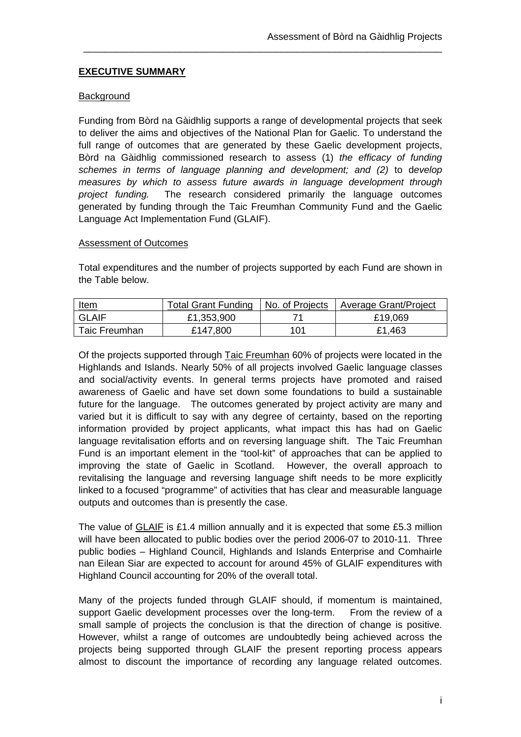## **EXECUTIVE SUMMARY**

#### **Background**

Funding from Bòrd na Gàidhlig supports a range of developmental projects that seek to deliver the aims and objectives of the National Plan for Gaelic. To understand the full range of outcomes that are generated by these Gaelic development projects, Bòrd na Gàidhlig commissioned research to assess (1) *the efficacy of funding schemes in terms of language planning and development; and (2)* to d*evelop measures by which to assess future awards in language development through project funding.* The research considered primarily the language outcomes generated by funding through the Taic Freumhan Community Fund and the Gaelic Language Act Implementation Fund (GLAIF).

\_\_\_\_\_\_\_\_\_\_\_\_\_\_\_\_\_\_\_\_\_\_\_\_\_\_\_\_\_\_\_\_\_\_\_\_\_\_\_\_\_\_\_\_\_\_\_\_\_\_\_\_\_\_\_\_\_\_\_\_\_\_\_\_\_\_\_

#### Assessment of Outcomes

Total expenditures and the number of projects supported by each Fund are shown in the Table below.

| <u>Item</u>   | <b>Total Grant Funding</b> | No. of Projects | Average Grant/Project |
|---------------|----------------------------|-----------------|-----------------------|
| <b>GLAIF</b>  | £1,353,900                 |                 | £19,069               |
| Taic Freumhan | £147,800                   | 101             | £1,463                |

Of the projects supported through Taic Freumhan 60% of projects were located in the Highlands and Islands. Nearly 50% of all projects involved Gaelic language classes and social/activity events. In general terms projects have promoted and raised awareness of Gaelic and have set down some foundations to build a sustainable future for the language. The outcomes generated by project activity are many and varied but it is difficult to say with any degree of certainty, based on the reporting information provided by project applicants, what impact this has had on Gaelic language revitalisation efforts and on reversing language shift. The Taic Freumhan Fund is an important element in the "tool-kit" of approaches that can be applied to improving the state of Gaelic in Scotland. However, the overall approach to revitalising the language and reversing language shift needs to be more explicitly linked to a focused "programme" of activities that has clear and measurable language outputs and outcomes than is presently the case.

The value of GLAIF is £1.4 million annually and it is expected that some £5.3 million will have been allocated to public bodies over the period 2006-07 to 2010-11. Three public bodies – Highland Council, Highlands and Islands Enterprise and Comhairle nan Eilean Siar are expected to account for around 45% of GLAIF expenditures with Highland Council accounting for 20% of the overall total.

Many of the projects funded through GLAIF should, if momentum is maintained, support Gaelic development processes over the long-term. From the review of a small sample of projects the conclusion is that the direction of change is positive. However, whilst a range of outcomes are undoubtedly being achieved across the projects being supported through GLAIF the present reporting process appears almost to discount the importance of recording any language related outcomes.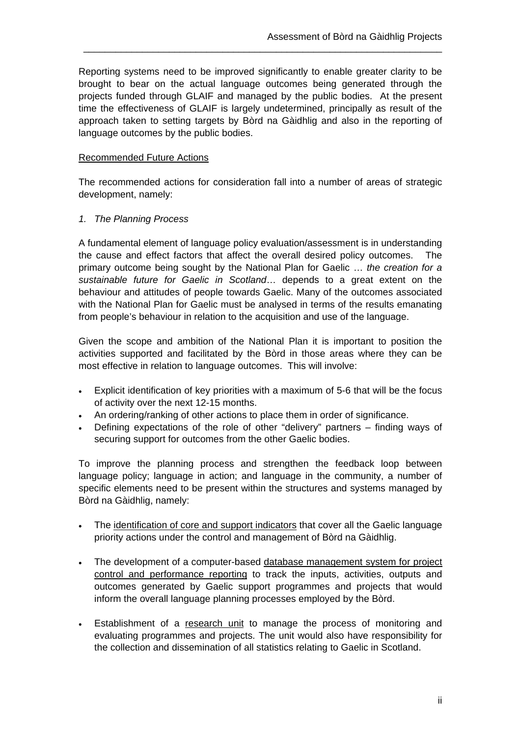Reporting systems need to be improved significantly to enable greater clarity to be brought to bear on the actual language outcomes being generated through the projects funded through GLAIF and managed by the public bodies. At the present time the effectiveness of GLAIF is largely undetermined, principally as result of the approach taken to setting targets by Bòrd na Gàidhlig and also in the reporting of language outcomes by the public bodies.

\_\_\_\_\_\_\_\_\_\_\_\_\_\_\_\_\_\_\_\_\_\_\_\_\_\_\_\_\_\_\_\_\_\_\_\_\_\_\_\_\_\_\_\_\_\_\_\_\_\_\_\_\_\_\_\_\_\_\_\_\_\_\_\_\_\_\_

#### Recommended Future Actions

The recommended actions for consideration fall into a number of areas of strategic development, namely:

#### *1. The Planning Process*

A fundamental element of language policy evaluation/assessment is in understanding the cause and effect factors that affect the overall desired policy outcomes. The primary outcome being sought by the National Plan for Gaelic … *the creation for a sustainable future for Gaelic in Scotland*… depends to a great extent on the behaviour and attitudes of people towards Gaelic. Many of the outcomes associated with the National Plan for Gaelic must be analysed in terms of the results emanating from people's behaviour in relation to the acquisition and use of the language.

Given the scope and ambition of the National Plan it is important to position the activities supported and facilitated by the Bòrd in those areas where they can be most effective in relation to language outcomes. This will involve:

- Explicit identification of key priorities with a maximum of 5-6 that will be the focus of activity over the next 12-15 months.
- An ordering/ranking of other actions to place them in order of significance.
- Defining expectations of the role of other "delivery" partners finding ways of securing support for outcomes from the other Gaelic bodies.

To improve the planning process and strengthen the feedback loop between language policy; language in action; and language in the community, a number of specific elements need to be present within the structures and systems managed by Bòrd na Gàidhlig, namely:

- The identification of core and support indicators that cover all the Gaelic language priority actions under the control and management of Bòrd na Gàidhlig.
- The development of a computer-based database management system for project control and performance reporting to track the inputs, activities, outputs and outcomes generated by Gaelic support programmes and projects that would inform the overall language planning processes employed by the Bòrd.
- Establishment of a research unit to manage the process of monitoring and evaluating programmes and projects. The unit would also have responsibility for the collection and dissemination of all statistics relating to Gaelic in Scotland.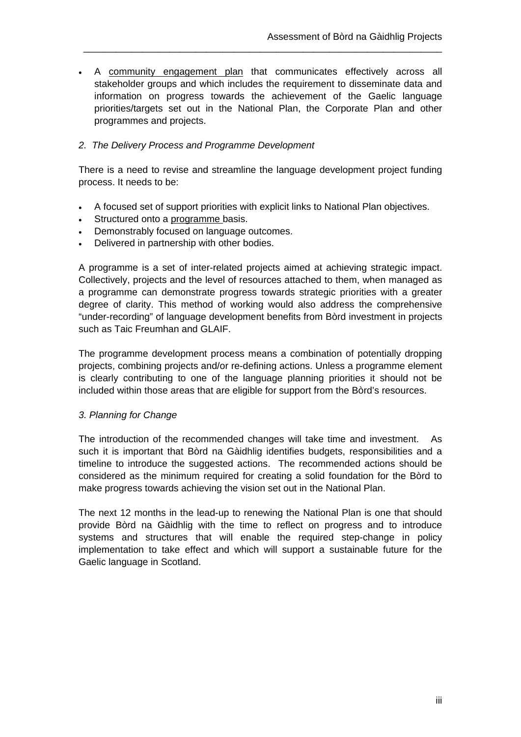A community engagement plan that communicates effectively across all stakeholder groups and which includes the requirement to disseminate data and information on progress towards the achievement of the Gaelic language priorities/targets set out in the National Plan, the Corporate Plan and other programmes and projects.

\_\_\_\_\_\_\_\_\_\_\_\_\_\_\_\_\_\_\_\_\_\_\_\_\_\_\_\_\_\_\_\_\_\_\_\_\_\_\_\_\_\_\_\_\_\_\_\_\_\_\_\_\_\_\_\_\_\_\_\_\_\_\_\_\_\_\_

## *2. The Delivery Process and Programme Development*

There is a need to revise and streamline the language development project funding process. It needs to be:

- A focused set of support priorities with explicit links to National Plan objectives.
- Structured onto a programme basis.
- Demonstrably focused on language outcomes.
- Delivered in partnership with other bodies.

A programme is a set of inter-related projects aimed at achieving strategic impact. Collectively, projects and the level of resources attached to them, when managed as a programme can demonstrate progress towards strategic priorities with a greater degree of clarity. This method of working would also address the comprehensive "under-recording" of language development benefits from Bòrd investment in projects such as Taic Freumhan and GLAIF.

The programme development process means a combination of potentially dropping projects, combining projects and/or re-defining actions. Unless a programme element is clearly contributing to one of the language planning priorities it should not be included within those areas that are eligible for support from the Bòrd's resources.

#### *3. Planning for Change*

The introduction of the recommended changes will take time and investment. As such it is important that Bòrd na Gàidhlig identifies budgets, responsibilities and a timeline to introduce the suggested actions. The recommended actions should be considered as the minimum required for creating a solid foundation for the Bòrd to make progress towards achieving the vision set out in the National Plan.

The next 12 months in the lead-up to renewing the National Plan is one that should provide Bòrd na Gàidhlig with the time to reflect on progress and to introduce systems and structures that will enable the required step-change in policy implementation to take effect and which will support a sustainable future for the Gaelic language in Scotland.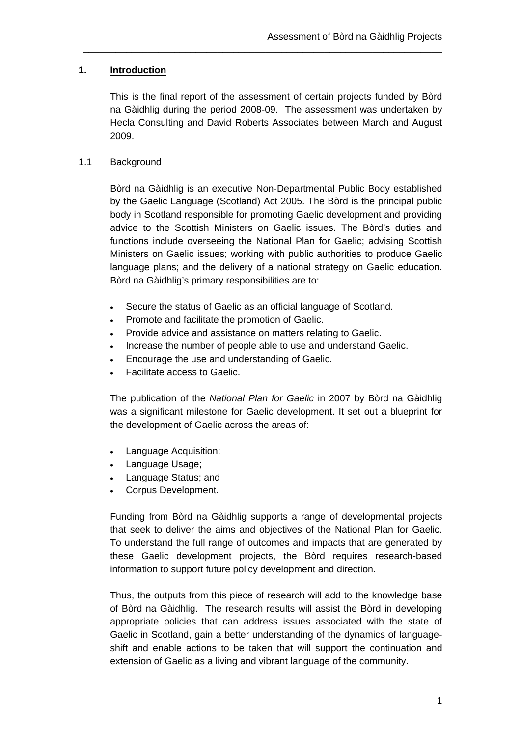## **1. Introduction**

This is the final report of the assessment of certain projects funded by Bòrd na Gàidhlig during the period 2008-09. The assessment was undertaken by Hecla Consulting and David Roberts Associates between March and August 2009.

\_\_\_\_\_\_\_\_\_\_\_\_\_\_\_\_\_\_\_\_\_\_\_\_\_\_\_\_\_\_\_\_\_\_\_\_\_\_\_\_\_\_\_\_\_\_\_\_\_\_\_\_\_\_\_\_\_\_\_\_\_\_\_\_\_\_\_

## 1.1 Background

Bòrd na Gàidhlig is an executive Non-Departmental Public Body established by the Gaelic Language (Scotland) Act 2005. The Bòrd is the principal public body in Scotland responsible for promoting Gaelic development and providing advice to the Scottish Ministers on Gaelic issues. The Bòrd's duties and functions include overseeing the National Plan for Gaelic; advising Scottish Ministers on Gaelic issues; working with public authorities to produce Gaelic language plans; and the delivery of a national strategy on Gaelic education. Bòrd na Gàidhlig's primary responsibilities are to:

- Secure the status of Gaelic as an official language of Scotland.
- Promote and facilitate the promotion of Gaelic.
- Provide advice and assistance on matters relating to Gaelic.
- Increase the number of people able to use and understand Gaelic.
- Encourage the use and understanding of Gaelic.
- Facilitate access to Gaelic.

The publication of the *National Plan for Gaelic* in 2007 by Bòrd na Gàidhlig was a significant milestone for Gaelic development. It set out a blueprint for the development of Gaelic across the areas of:

- Language Acquisition;
- Language Usage;
- Language Status; and
- Corpus Development.

Funding from Bòrd na Gàidhlig supports a range of developmental projects that seek to deliver the aims and objectives of the National Plan for Gaelic. To understand the full range of outcomes and impacts that are generated by these Gaelic development projects, the Bòrd requires research-based information to support future policy development and direction.

Thus, the outputs from this piece of research will add to the knowledge base of Bòrd na Gàidhlig. The research results will assist the Bòrd in developing appropriate policies that can address issues associated with the state of Gaelic in Scotland, gain a better understanding of the dynamics of languageshift and enable actions to be taken that will support the continuation and extension of Gaelic as a living and vibrant language of the community.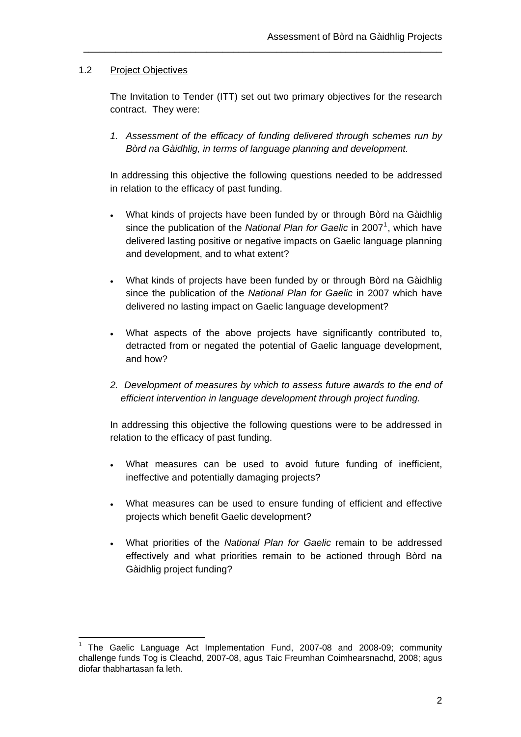## 1.2 Project Objectives

 $\overline{a}$ 

The Invitation to Tender (ITT) set out two primary objectives for the research contract. They were:

\_\_\_\_\_\_\_\_\_\_\_\_\_\_\_\_\_\_\_\_\_\_\_\_\_\_\_\_\_\_\_\_\_\_\_\_\_\_\_\_\_\_\_\_\_\_\_\_\_\_\_\_\_\_\_\_\_\_\_\_\_\_\_\_\_\_\_

*1. Assessment of the efficacy of funding delivered through schemes run by Bòrd na Gàidhlig, in terms of language planning and development.* 

In addressing this objective the following questions needed to be addressed in relation to the efficacy of past funding.

- What kinds of projects have been funded by or through Bòrd na Gàidhlig since the publication of the *National Plan for Gaelic* in 2007<sup>[1](#page-8-0)</sup>, which have delivered lasting positive or negative impacts on Gaelic language planning and development, and to what extent?
- What kinds of projects have been funded by or through Bòrd na Gàidhlig since the publication of the *National Plan for Gaelic* in 2007 which have delivered no lasting impact on Gaelic language development?
- What aspects of the above projects have significantly contributed to, detracted from or negated the potential of Gaelic language development, and how?
- *2. Development of measures by which to assess future awards to the end of efficient intervention in language development through project funding.*

In addressing this objective the following questions were to be addressed in relation to the efficacy of past funding.

- What measures can be used to avoid future funding of inefficient, ineffective and potentially damaging projects?
- What measures can be used to ensure funding of efficient and effective projects which benefit Gaelic development?
- What priorities of the *National Plan for Gaelic* remain to be addressed effectively and what priorities remain to be actioned through Bòrd na Gàidhlig project funding?

<span id="page-8-0"></span><sup>1</sup> The Gaelic Language Act Implementation Fund, 2007-08 and 2008-09; community challenge funds Tog is Cleachd, 2007-08, agus Taic Freumhan Coimhearsnachd, 2008; agus diofar thabhartasan fa leth.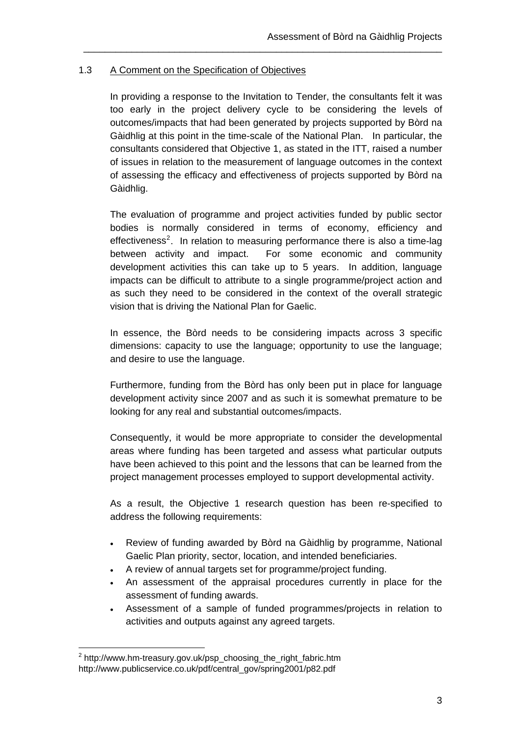## 1.3 A Comment on the Specification of Objectives

In providing a response to the Invitation to Tender, the consultants felt it was too early in the project delivery cycle to be considering the levels of outcomes/impacts that had been generated by projects supported by Bòrd na Gàidhlig at this point in the time-scale of the National Plan. In particular, the consultants considered that Objective 1, as stated in the ITT, raised a number of issues in relation to the measurement of language outcomes in the context of assessing the efficacy and effectiveness of projects supported by Bòrd na Gàidhlig.

\_\_\_\_\_\_\_\_\_\_\_\_\_\_\_\_\_\_\_\_\_\_\_\_\_\_\_\_\_\_\_\_\_\_\_\_\_\_\_\_\_\_\_\_\_\_\_\_\_\_\_\_\_\_\_\_\_\_\_\_\_\_\_\_\_\_\_

The evaluation of programme and project activities funded by public sector bodies is normally considered in terms of economy, efficiency and effectiveness<sup>[2](#page-9-0)</sup>. In relation to measuring performance there is also a time-lag between activity and impact. For some economic and community development activities this can take up to 5 years. In addition, language impacts can be difficult to attribute to a single programme/project action and as such they need to be considered in the context of the overall strategic vision that is driving the National Plan for Gaelic.

In essence, the Bòrd needs to be considering impacts across 3 specific dimensions: capacity to use the language; opportunity to use the language; and desire to use the language.

Furthermore, funding from the Bòrd has only been put in place for language development activity since 2007 and as such it is somewhat premature to be looking for any real and substantial outcomes/impacts.

Consequently, it would be more appropriate to consider the developmental areas where funding has been targeted and assess what particular outputs have been achieved to this point and the lessons that can be learned from the project management processes employed to support developmental activity.

As a result, the Objective 1 research question has been re-specified to address the following requirements:

- Review of funding awarded by Bòrd na Gàidhlig by programme, National Gaelic Plan priority, sector, location, and intended beneficiaries.
- A review of annual targets set for programme/project funding.
- An assessment of the appraisal procedures currently in place for the assessment of funding awards.
- Assessment of a sample of funded programmes/projects in relation to activities and outputs against any agreed targets.

 $\overline{a}$ 

<span id="page-9-0"></span> $^2$  http://www.hm-treasury.gov.uk/psp\_choosing\_the\_right\_fabric.htm http://www.publicservice.co.uk/pdf/central\_gov/spring2001/p82.pdf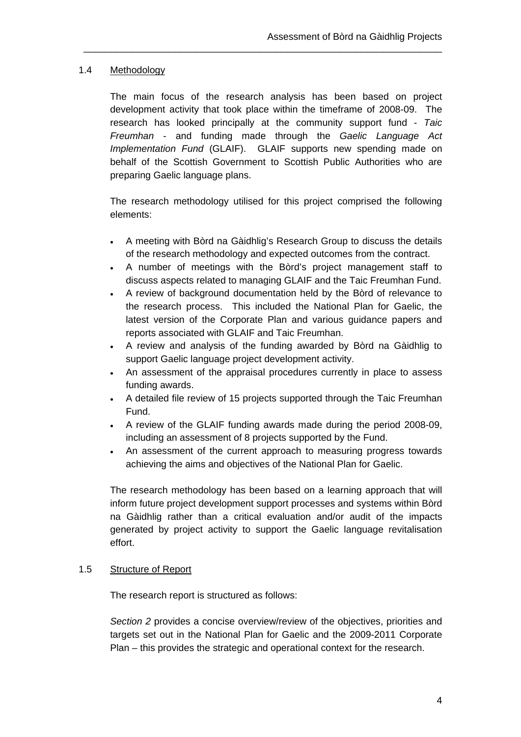## 1.4 Methodology

The main focus of the research analysis has been based on project development activity that took place within the timeframe of 2008-09. The research has looked principally at the community support fund - *Taic Freumhan* - and funding made through the *Gaelic Language Act Implementation Fund* (GLAIF). GLAIF supports new spending made on behalf of the Scottish Government to Scottish Public Authorities who are preparing Gaelic language plans.

\_\_\_\_\_\_\_\_\_\_\_\_\_\_\_\_\_\_\_\_\_\_\_\_\_\_\_\_\_\_\_\_\_\_\_\_\_\_\_\_\_\_\_\_\_\_\_\_\_\_\_\_\_\_\_\_\_\_\_\_\_\_\_\_\_\_\_

The research methodology utilised for this project comprised the following elements:

- A meeting with Bòrd na Gàidhlig's Research Group to discuss the details of the research methodology and expected outcomes from the contract.
- A number of meetings with the Bòrd's project management staff to discuss aspects related to managing GLAIF and the Taic Freumhan Fund.
- A review of background documentation held by the Bòrd of relevance to the research process. This included the National Plan for Gaelic, the latest version of the Corporate Plan and various guidance papers and reports associated with GLAIF and Taic Freumhan.
- A review and analysis of the funding awarded by Bòrd na Gàidhlig to support Gaelic language project development activity.
- An assessment of the appraisal procedures currently in place to assess funding awards.
- A detailed file review of 15 projects supported through the Taic Freumhan Fund.
- A review of the GLAIF funding awards made during the period 2008-09, including an assessment of 8 projects supported by the Fund.
- An assessment of the current approach to measuring progress towards achieving the aims and objectives of the National Plan for Gaelic.

The research methodology has been based on a learning approach that will inform future project development support processes and systems within Bòrd na Gàidhlig rather than a critical evaluation and/or audit of the impacts generated by project activity to support the Gaelic language revitalisation effort.

#### 1.5 Structure of Report

The research report is structured as follows:

*Section 2* provides a concise overview/review of the objectives, priorities and targets set out in the National Plan for Gaelic and the 2009-2011 Corporate Plan – this provides the strategic and operational context for the research.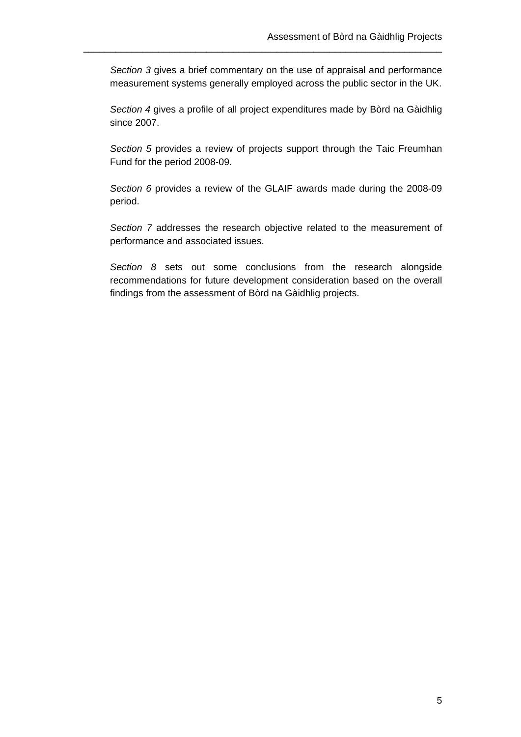*Section 3* gives a brief commentary on the use of appraisal and performance measurement systems generally employed across the public sector in the UK.

\_\_\_\_\_\_\_\_\_\_\_\_\_\_\_\_\_\_\_\_\_\_\_\_\_\_\_\_\_\_\_\_\_\_\_\_\_\_\_\_\_\_\_\_\_\_\_\_\_\_\_\_\_\_\_\_\_\_\_\_\_\_\_\_\_\_\_

*Section 4* gives a profile of all project expenditures made by Bòrd na Gàidhlig since 2007.

*Section 5* provides a review of projects support through the Taic Freumhan Fund for the period 2008-09.

*Section 6* provides a review of the GLAIF awards made during the 2008-09 period.

*Section 7* addresses the research objective related to the measurement of performance and associated issues.

*Section 8* sets out some conclusions from the research alongside recommendations for future development consideration based on the overall findings from the assessment of Bòrd na Gàidhlig projects.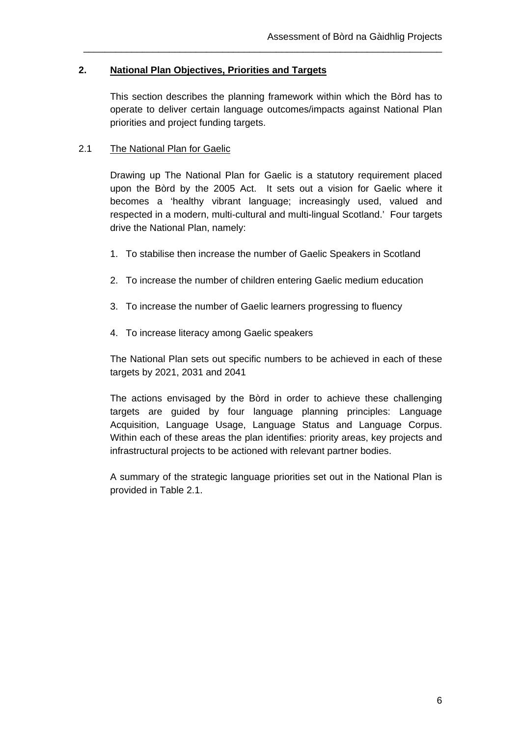## **2. National Plan Objectives, Priorities and Targets**

This section describes the planning framework within which the Bòrd has to operate to deliver certain language outcomes/impacts against National Plan priorities and project funding targets.

\_\_\_\_\_\_\_\_\_\_\_\_\_\_\_\_\_\_\_\_\_\_\_\_\_\_\_\_\_\_\_\_\_\_\_\_\_\_\_\_\_\_\_\_\_\_\_\_\_\_\_\_\_\_\_\_\_\_\_\_\_\_\_\_\_\_\_

## 2.1 The National Plan for Gaelic

Drawing up The National Plan for Gaelic is a statutory requirement placed upon the Bòrd by the 2005 Act. It sets out a vision for Gaelic where it becomes a 'healthy vibrant language; increasingly used, valued and respected in a modern, multi-cultural and multi-lingual Scotland.' Four targets drive the National Plan, namely:

- 1. To stabilise then increase the number of Gaelic Speakers in Scotland
- 2. To increase the number of children entering Gaelic medium education
- 3. To increase the number of Gaelic learners progressing to fluency
- 4. To increase literacy among Gaelic speakers

The National Plan sets out specific numbers to be achieved in each of these targets by 2021, 2031 and 2041

The actions envisaged by the Bòrd in order to achieve these challenging targets are guided by four language planning principles: Language Acquisition, Language Usage, Language Status and Language Corpus. Within each of these areas the plan identifies: priority areas, key projects and infrastructural projects to be actioned with relevant partner bodies.

A summary of the strategic language priorities set out in the National Plan is provided in Table 2.1.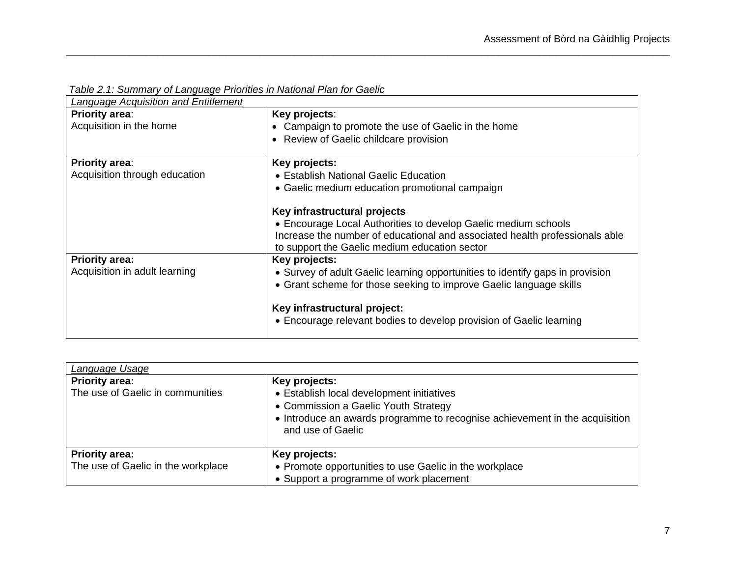| Language Acquisition and Entitlement |                                                                                                                              |
|--------------------------------------|------------------------------------------------------------------------------------------------------------------------------|
| <b>Priority area:</b>                | Key projects:                                                                                                                |
| Acquisition in the home              | Campaign to promote the use of Gaelic in the home                                                                            |
|                                      | • Review of Gaelic childcare provision                                                                                       |
| <b>Priority area:</b>                | Key projects:                                                                                                                |
| Acquisition through education        | • Establish National Gaelic Education                                                                                        |
|                                      | • Gaelic medium education promotional campaign                                                                               |
|                                      | Key infrastructural projects                                                                                                 |
|                                      | • Encourage Local Authorities to develop Gaelic medium schools                                                               |
|                                      | Increase the number of educational and associated health professionals able<br>to support the Gaelic medium education sector |
| <b>Priority area:</b>                | Key projects:                                                                                                                |
| Acquisition in adult learning        | • Survey of adult Gaelic learning opportunities to identify gaps in provision                                                |
|                                      | • Grant scheme for those seeking to improve Gaelic language skills                                                           |
|                                      | Key infrastructural project:                                                                                                 |
|                                      | • Encourage relevant bodies to develop provision of Gaelic learning                                                          |
|                                      |                                                                                                                              |

 *Table 2.1: Summary of Language Priorities in National Plan for Gaelic* 

| Language Usage                                              |                                                                                                                                                                                                        |  |
|-------------------------------------------------------------|--------------------------------------------------------------------------------------------------------------------------------------------------------------------------------------------------------|--|
| <b>Priority area:</b><br>The use of Gaelic in communities   | Key projects:<br>• Establish local development initiatives<br>• Commission a Gaelic Youth Strategy<br>• Introduce an awards programme to recognise achievement in the acquisition<br>and use of Gaelic |  |
| <b>Priority area:</b><br>The use of Gaelic in the workplace | Key projects:<br>• Promote opportunities to use Gaelic in the workplace<br>• Support a programme of work placement                                                                                     |  |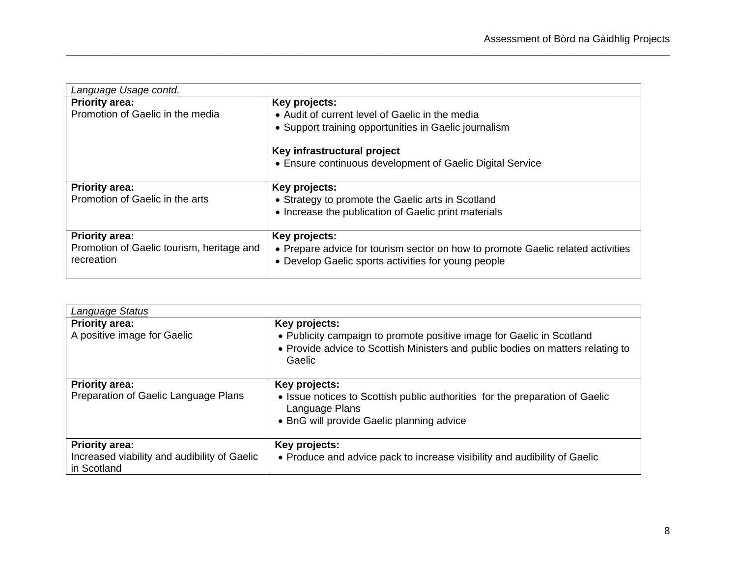| Language Usage contd.                                   |                                                                                                                                        |
|---------------------------------------------------------|----------------------------------------------------------------------------------------------------------------------------------------|
| <b>Priority area:</b>                                   | Key projects:                                                                                                                          |
| Promotion of Gaelic in the media                        | • Audit of current level of Gaelic in the media                                                                                        |
|                                                         | • Support training opportunities in Gaelic journalism                                                                                  |
|                                                         | Key infrastructural project                                                                                                            |
|                                                         | • Ensure continuous development of Gaelic Digital Service                                                                              |
| <b>Priority area:</b>                                   | Key projects:                                                                                                                          |
| Promotion of Gaelic in the arts                         | • Strategy to promote the Gaelic arts in Scotland                                                                                      |
|                                                         | • Increase the publication of Gaelic print materials                                                                                   |
| <b>Priority area:</b>                                   | Key projects:                                                                                                                          |
| Promotion of Gaelic tourism, heritage and<br>recreation | • Prepare advice for tourism sector on how to promote Gaelic related activities<br>• Develop Gaelic sports activities for young people |
|                                                         |                                                                                                                                        |

| <b>Language Status</b>                                                               |                                                                                                                                                                                     |  |
|--------------------------------------------------------------------------------------|-------------------------------------------------------------------------------------------------------------------------------------------------------------------------------------|--|
| <b>Priority area:</b><br>A positive image for Gaelic                                 | Key projects:<br>• Publicity campaign to promote positive image for Gaelic in Scotland<br>• Provide advice to Scottish Ministers and public bodies on matters relating to<br>Gaelic |  |
| <b>Priority area:</b><br>Preparation of Gaelic Language Plans                        | Key projects:<br>• Issue notices to Scottish public authorities for the preparation of Gaelic<br>Language Plans<br>• BnG will provide Gaelic planning advice                        |  |
| <b>Priority area:</b><br>Increased viability and audibility of Gaelic<br>in Scotland | Key projects:<br>• Produce and advice pack to increase visibility and audibility of Gaelic                                                                                          |  |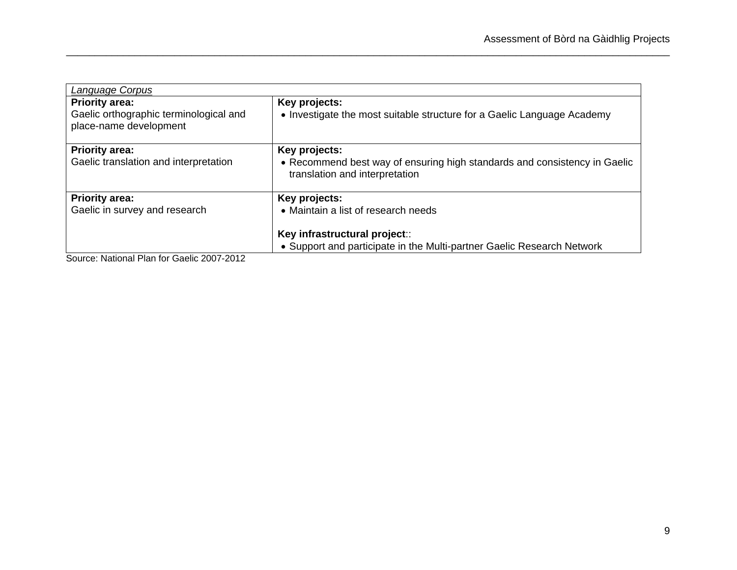| <b>Language Corpus</b>                                                                    |                                                                                                                                                                 |
|-------------------------------------------------------------------------------------------|-----------------------------------------------------------------------------------------------------------------------------------------------------------------|
| <b>Priority area:</b><br>Gaelic orthographic terminological and<br>place-name development | Key projects:<br>• Investigate the most suitable structure for a Gaelic Language Academy                                                                        |
| <b>Priority area:</b><br>Gaelic translation and interpretation                            | Key projects:<br>• Recommend best way of ensuring high standards and consistency in Gaelic<br>translation and interpretation                                    |
| <b>Priority area:</b><br>Gaelic in survey and research                                    | Key projects:<br>• Maintain a list of research needs<br>Key infrastructural project::<br>• Support and participate in the Multi-partner Gaelic Research Network |

Source: National Plan for Gaelic 2007-2012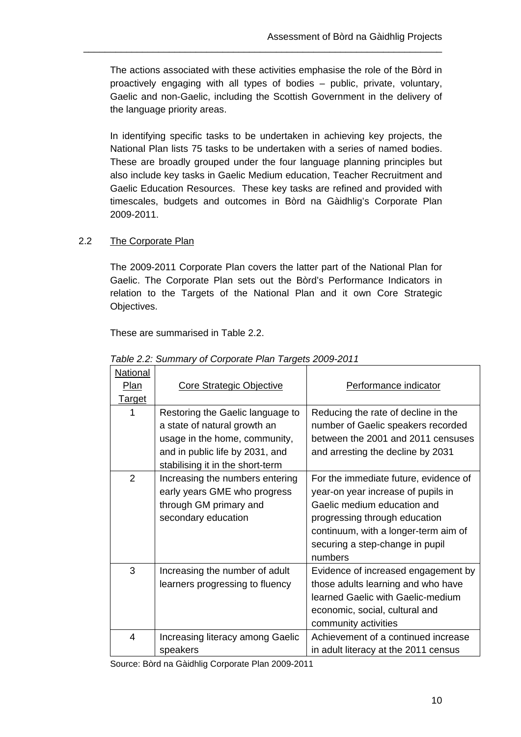The actions associated with these activities emphasise the role of the Bòrd in proactively engaging with all types of bodies – public, private, voluntary, Gaelic and non-Gaelic, including the Scottish Government in the delivery of the language priority areas.

\_\_\_\_\_\_\_\_\_\_\_\_\_\_\_\_\_\_\_\_\_\_\_\_\_\_\_\_\_\_\_\_\_\_\_\_\_\_\_\_\_\_\_\_\_\_\_\_\_\_\_\_\_\_\_\_\_\_\_\_\_\_\_\_\_\_\_

In identifying specific tasks to be undertaken in achieving key projects, the National Plan lists 75 tasks to be undertaken with a series of named bodies. These are broadly grouped under the four language planning principles but also include key tasks in Gaelic Medium education, Teacher Recruitment and Gaelic Education Resources. These key tasks are refined and provided with timescales, budgets and outcomes in Bòrd na Gàidhlig's Corporate Plan 2009-2011.

## 2.2 The Corporate Plan

The 2009-2011 Corporate Plan covers the latter part of the National Plan for Gaelic. The Corporate Plan sets out the Bòrd's Performance Indicators in relation to the Targets of the National Plan and it own Core Strategic Objectives.

These are summarised in Table 2.2.

| <b>National</b> |                                  |                                       |
|-----------------|----------------------------------|---------------------------------------|
| <b>Plan</b>     | Core Strategic Objective         | Performance indicator                 |
| <u>Target</u>   |                                  |                                       |
| 1               | Restoring the Gaelic language to | Reducing the rate of decline in the   |
|                 | a state of natural growth an     | number of Gaelic speakers recorded    |
|                 | usage in the home, community,    | between the 2001 and 2011 censuses    |
|                 | and in public life by 2031, and  | and arresting the decline by 2031     |
|                 | stabilising it in the short-term |                                       |
| 2               | Increasing the numbers entering  | For the immediate future, evidence of |
|                 | early years GME who progress     | year-on year increase of pupils in    |
|                 | through GM primary and           | Gaelic medium education and           |
|                 | secondary education              | progressing through education         |
|                 |                                  | continuum, with a longer-term aim of  |
|                 |                                  | securing a step-change in pupil       |
|                 |                                  | numbers                               |
| 3               | Increasing the number of adult   | Evidence of increased engagement by   |
|                 | learners progressing to fluency  | those adults learning and who have    |
|                 |                                  | learned Gaelic with Gaelic-medium     |
|                 |                                  | economic, social, cultural and        |
|                 |                                  | community activities                  |
| 4               | Increasing literacy among Gaelic | Achievement of a continued increase   |
|                 | speakers                         | in adult literacy at the 2011 census  |

 *Table 2.2: Summary of Corporate Plan Targets 2009-2011* 

Source: Bòrd na Gàidhlig Corporate Plan 2009-2011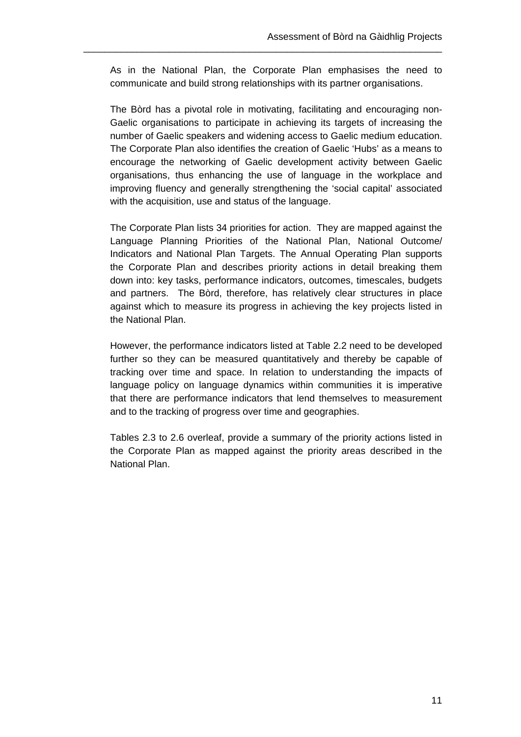As in the National Plan, the Corporate Plan emphasises the need to communicate and build strong relationships with its partner organisations.

\_\_\_\_\_\_\_\_\_\_\_\_\_\_\_\_\_\_\_\_\_\_\_\_\_\_\_\_\_\_\_\_\_\_\_\_\_\_\_\_\_\_\_\_\_\_\_\_\_\_\_\_\_\_\_\_\_\_\_\_\_\_\_\_\_\_\_

The Bòrd has a pivotal role in motivating, facilitating and encouraging non-Gaelic organisations to participate in achieving its targets of increasing the number of Gaelic speakers and widening access to Gaelic medium education. The Corporate Plan also identifies the creation of Gaelic 'Hubs' as a means to encourage the networking of Gaelic development activity between Gaelic organisations, thus enhancing the use of language in the workplace and improving fluency and generally strengthening the 'social capital' associated with the acquisition, use and status of the language.

The Corporate Plan lists 34 priorities for action. They are mapped against the Language Planning Priorities of the National Plan, National Outcome/ Indicators and National Plan Targets. The Annual Operating Plan supports the Corporate Plan and describes priority actions in detail breaking them down into: key tasks, performance indicators, outcomes, timescales, budgets and partners. The Bòrd, therefore, has relatively clear structures in place against which to measure its progress in achieving the key projects listed in the National Plan.

However, the performance indicators listed at Table 2.2 need to be developed further so they can be measured quantitatively and thereby be capable of tracking over time and space. In relation to understanding the impacts of language policy on language dynamics within communities it is imperative that there are performance indicators that lend themselves to measurement and to the tracking of progress over time and geographies.

Tables 2.3 to 2.6 overleaf, provide a summary of the priority actions listed in the Corporate Plan as mapped against the priority areas described in the National Plan.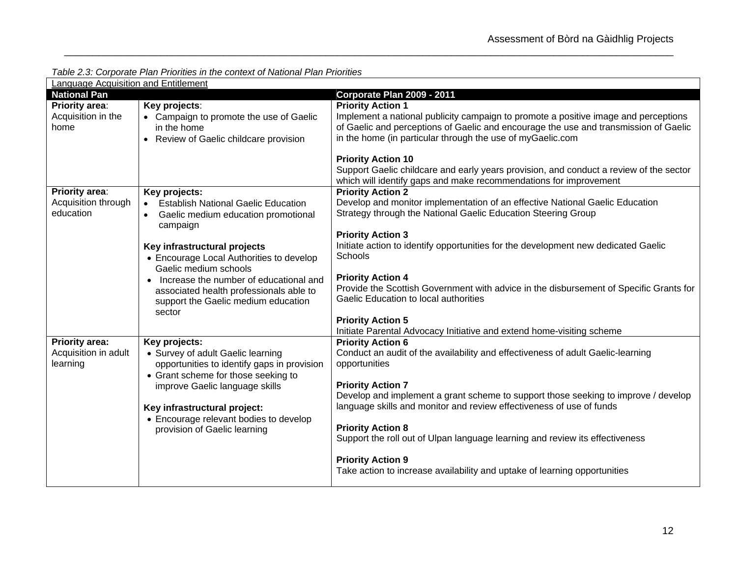*Table 2.3: Corporate Plan Priorities in the context of National Plan Priorities* 

| Language Acquisition and Entitlement                      |                                                                                                                                                                                                                                                                                      |                                                                                                                                                                                                                                                                                                                                                                                                                                                                                                                                             |
|-----------------------------------------------------------|--------------------------------------------------------------------------------------------------------------------------------------------------------------------------------------------------------------------------------------------------------------------------------------|---------------------------------------------------------------------------------------------------------------------------------------------------------------------------------------------------------------------------------------------------------------------------------------------------------------------------------------------------------------------------------------------------------------------------------------------------------------------------------------------------------------------------------------------|
| <b>National Pan</b>                                       |                                                                                                                                                                                                                                                                                      | Corporate Plan 2009 - 2011                                                                                                                                                                                                                                                                                                                                                                                                                                                                                                                  |
| <b>Priority area:</b><br>Acquisition in the<br>home       | Key projects:<br>• Campaign to promote the use of Gaelic<br>in the home<br>Review of Gaelic childcare provision<br>$\bullet$                                                                                                                                                         | <b>Priority Action 1</b><br>Implement a national publicity campaign to promote a positive image and perceptions<br>of Gaelic and perceptions of Gaelic and encourage the use and transmission of Gaelic<br>in the home (in particular through the use of myGaelic.com<br><b>Priority Action 10</b>                                                                                                                                                                                                                                          |
|                                                           |                                                                                                                                                                                                                                                                                      | Support Gaelic childcare and early years provision, and conduct a review of the sector<br>which will identify gaps and make recommendations for improvement                                                                                                                                                                                                                                                                                                                                                                                 |
| <b>Priority area:</b><br>Acquisition through<br>education | Key projects:<br><b>Establish National Gaelic Education</b><br>$\bullet$<br>Gaelic medium education promotional<br>$\bullet$<br>campaign                                                                                                                                             | <b>Priority Action 2</b><br>Develop and monitor implementation of an effective National Gaelic Education<br>Strategy through the National Gaelic Education Steering Group<br><b>Priority Action 3</b>                                                                                                                                                                                                                                                                                                                                       |
|                                                           | Key infrastructural projects<br>• Encourage Local Authorities to develop<br>Gaelic medium schools<br>Increase the number of educational and<br>associated health professionals able to<br>support the Gaelic medium education<br>sector                                              | Initiate action to identify opportunities for the development new dedicated Gaelic<br>Schools<br><b>Priority Action 4</b><br>Provide the Scottish Government with advice in the disbursement of Specific Grants for<br>Gaelic Education to local authorities<br><b>Priority Action 5</b><br>Initiate Parental Advocacy Initiative and extend home-visiting scheme                                                                                                                                                                           |
| <b>Priority area:</b><br>Acquisition in adult<br>learning | Key projects:<br>• Survey of adult Gaelic learning<br>opportunities to identify gaps in provision<br>• Grant scheme for those seeking to<br>improve Gaelic language skills<br>Key infrastructural project:<br>• Encourage relevant bodies to develop<br>provision of Gaelic learning | <b>Priority Action 6</b><br>Conduct an audit of the availability and effectiveness of adult Gaelic-learning<br>opportunities<br><b>Priority Action 7</b><br>Develop and implement a grant scheme to support those seeking to improve / develop<br>language skills and monitor and review effectiveness of use of funds<br><b>Priority Action 8</b><br>Support the roll out of Ulpan language learning and review its effectiveness<br><b>Priority Action 9</b><br>Take action to increase availability and uptake of learning opportunities |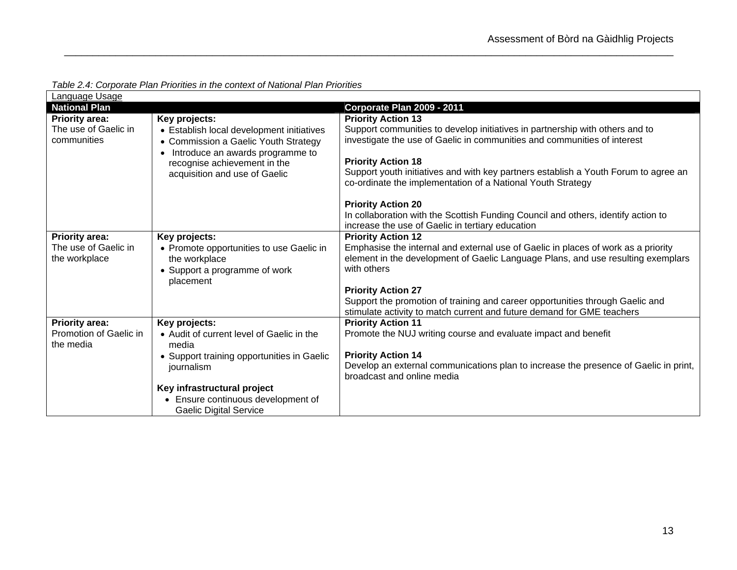| Language Usage                      |                                                                               |                                                                                                                                                    |  |  |
|-------------------------------------|-------------------------------------------------------------------------------|----------------------------------------------------------------------------------------------------------------------------------------------------|--|--|
| <b>National Plan</b>                |                                                                               | <b>Corporate Plan 2009 - 2011</b>                                                                                                                  |  |  |
| <b>Priority area:</b>               | Key projects:                                                                 | <b>Priority Action 13</b>                                                                                                                          |  |  |
| The use of Gaelic in                | • Establish local development initiatives                                     | Support communities to develop initiatives in partnership with others and to                                                                       |  |  |
| communities                         | • Commission a Gaelic Youth Strategy                                          | investigate the use of Gaelic in communities and communities of interest                                                                           |  |  |
|                                     | Introduce an awards programme to<br>$\bullet$<br>recognise achievement in the | <b>Priority Action 18</b>                                                                                                                          |  |  |
|                                     | acquisition and use of Gaelic                                                 | Support youth initiatives and with key partners establish a Youth Forum to agree an<br>co-ordinate the implementation of a National Youth Strategy |  |  |
|                                     |                                                                               | <b>Priority Action 20</b>                                                                                                                          |  |  |
|                                     |                                                                               | In collaboration with the Scottish Funding Council and others, identify action to<br>increase the use of Gaelic in tertiary education              |  |  |
| <b>Priority area:</b>               | Key projects:                                                                 | <b>Priority Action 12</b>                                                                                                                          |  |  |
| The use of Gaelic in                | • Promote opportunities to use Gaelic in                                      | Emphasise the internal and external use of Gaelic in places of work as a priority                                                                  |  |  |
| the workplace                       | the workplace                                                                 | element in the development of Gaelic Language Plans, and use resulting exemplars                                                                   |  |  |
|                                     | • Support a programme of work<br>placement                                    | with others                                                                                                                                        |  |  |
|                                     |                                                                               | <b>Priority Action 27</b>                                                                                                                          |  |  |
|                                     |                                                                               | Support the promotion of training and career opportunities through Gaelic and                                                                      |  |  |
|                                     |                                                                               | stimulate activity to match current and future demand for GME teachers                                                                             |  |  |
| <b>Priority area:</b>               | Key projects:                                                                 | <b>Priority Action 11</b>                                                                                                                          |  |  |
| Promotion of Gaelic in<br>the media | • Audit of current level of Gaelic in the<br>media                            | Promote the NUJ writing course and evaluate impact and benefit                                                                                     |  |  |
|                                     | • Support training opportunities in Gaelic                                    | <b>Priority Action 14</b>                                                                                                                          |  |  |
|                                     | journalism                                                                    | Develop an external communications plan to increase the presence of Gaelic in print,                                                               |  |  |
|                                     |                                                                               | broadcast and online media                                                                                                                         |  |  |
|                                     | Key infrastructural project                                                   |                                                                                                                                                    |  |  |
|                                     | • Ensure continuous development of                                            |                                                                                                                                                    |  |  |
|                                     | <b>Gaelic Digital Service</b>                                                 |                                                                                                                                                    |  |  |

*Table 2.4: Corporate Plan Priorities in the context of National Plan Priorities*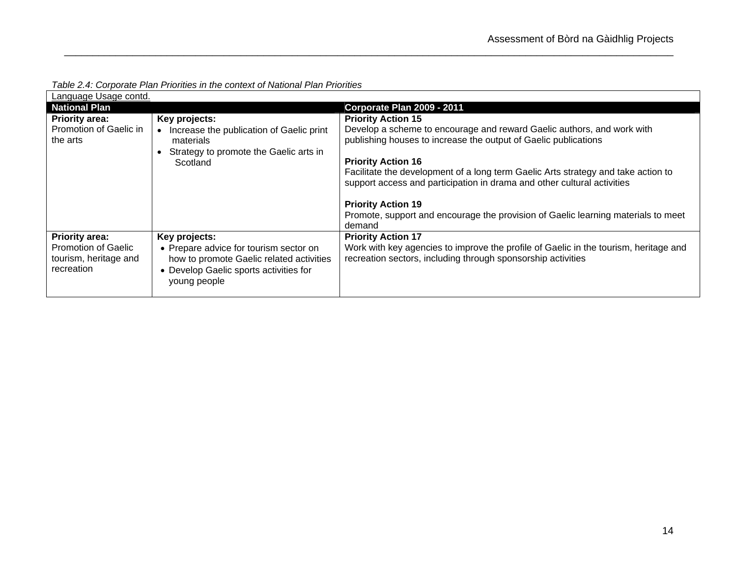| Language Usage contd.                                             |                                                                                                                                              |                                                                                                                                                              |  |  |  |
|-------------------------------------------------------------------|----------------------------------------------------------------------------------------------------------------------------------------------|--------------------------------------------------------------------------------------------------------------------------------------------------------------|--|--|--|
| <b>National Plan</b>                                              |                                                                                                                                              | <b>Corporate Plan 2009 - 2011</b>                                                                                                                            |  |  |  |
| <b>Priority area:</b>                                             | Key projects:                                                                                                                                | <b>Priority Action 15</b>                                                                                                                                    |  |  |  |
| Promotion of Gaelic in<br>the arts                                | Increase the publication of Gaelic print<br>materials                                                                                        | Develop a scheme to encourage and reward Gaelic authors, and work with<br>publishing houses to increase the output of Gaelic publications                    |  |  |  |
|                                                                   | Strategy to promote the Gaelic arts in                                                                                                       |                                                                                                                                                              |  |  |  |
|                                                                   | Scotland                                                                                                                                     | <b>Priority Action 16</b>                                                                                                                                    |  |  |  |
|                                                                   |                                                                                                                                              | Facilitate the development of a long term Gaelic Arts strategy and take action to<br>support access and participation in drama and other cultural activities |  |  |  |
|                                                                   |                                                                                                                                              | <b>Priority Action 19</b>                                                                                                                                    |  |  |  |
|                                                                   |                                                                                                                                              | Promote, support and encourage the provision of Gaelic learning materials to meet<br>demand                                                                  |  |  |  |
| <b>Priority area:</b>                                             | Key projects:                                                                                                                                | <b>Priority Action 17</b>                                                                                                                                    |  |  |  |
| <b>Promotion of Gaelic</b><br>tourism, heritage and<br>recreation | • Prepare advice for tourism sector on<br>how to promote Gaelic related activities<br>• Develop Gaelic sports activities for<br>young people | Work with key agencies to improve the profile of Gaelic in the tourism, heritage and<br>recreation sectors, including through sponsorship activities         |  |  |  |

*Table 2.4: Corporate Plan Priorities in the context of National Plan Priorities*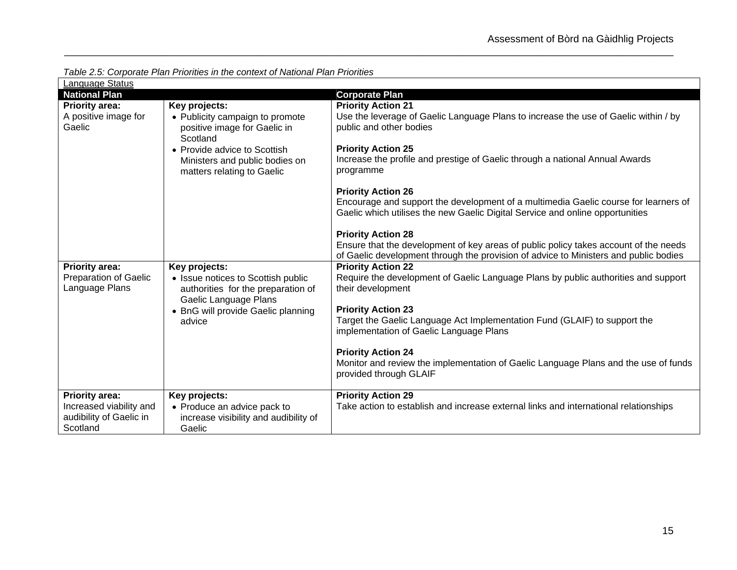| Language Status                                                                         |                                                                                                                                                                                              |                                                                                                                                                                                                                                                                                                                                                                                                                                                                                                                                                                                                 |  |  |  |
|-----------------------------------------------------------------------------------------|----------------------------------------------------------------------------------------------------------------------------------------------------------------------------------------------|-------------------------------------------------------------------------------------------------------------------------------------------------------------------------------------------------------------------------------------------------------------------------------------------------------------------------------------------------------------------------------------------------------------------------------------------------------------------------------------------------------------------------------------------------------------------------------------------------|--|--|--|
| <b>National Plan</b>                                                                    |                                                                                                                                                                                              | <b>Corporate Plan</b>                                                                                                                                                                                                                                                                                                                                                                                                                                                                                                                                                                           |  |  |  |
| <b>Priority area:</b><br>A positive image for<br>Gaelic                                 | Key projects:<br>• Publicity campaign to promote<br>positive image for Gaelic in<br>Scotland<br>• Provide advice to Scottish<br>Ministers and public bodies on<br>matters relating to Gaelic | <b>Priority Action 21</b><br>Use the leverage of Gaelic Language Plans to increase the use of Gaelic within / by<br>public and other bodies<br><b>Priority Action 25</b><br>Increase the profile and prestige of Gaelic through a national Annual Awards<br>programme<br><b>Priority Action 26</b><br>Encourage and support the development of a multimedia Gaelic course for learners of<br>Gaelic which utilises the new Gaelic Digital Service and online opportunities<br><b>Priority Action 28</b><br>Ensure that the development of key areas of public policy takes account of the needs |  |  |  |
| <b>Priority area:</b><br><b>Preparation of Gaelic</b><br>Language Plans                 | Key projects:<br>• Issue notices to Scottish public<br>authorities for the preparation of<br>Gaelic Language Plans<br>• BnG will provide Gaelic planning<br>advice                           | of Gaelic development through the provision of advice to Ministers and public bodies<br><b>Priority Action 22</b><br>Require the development of Gaelic Language Plans by public authorities and support<br>their development<br><b>Priority Action 23</b><br>Target the Gaelic Language Act Implementation Fund (GLAIF) to support the<br>implementation of Gaelic Language Plans<br><b>Priority Action 24</b><br>Monitor and review the implementation of Gaelic Language Plans and the use of funds<br>provided through GLAIF                                                                 |  |  |  |
| <b>Priority area:</b><br>Increased viability and<br>audibility of Gaelic in<br>Scotland | Key projects:<br>• Produce an advice pack to<br>increase visibility and audibility of<br>Gaelic                                                                                              | <b>Priority Action 29</b><br>Take action to establish and increase external links and international relationships                                                                                                                                                                                                                                                                                                                                                                                                                                                                               |  |  |  |

*Table 2.5: Corporate Plan Priorities in the context of National Plan Priorities*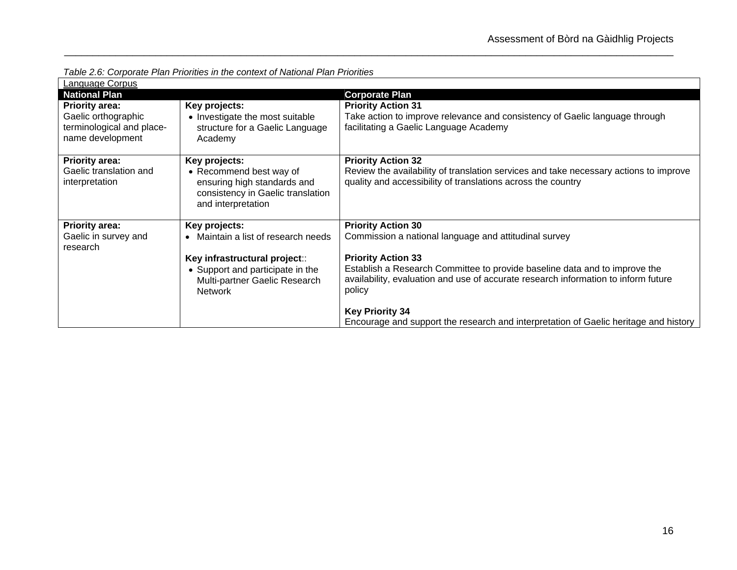*Table 2.6: Corporate Plan Priorities in the context of National Plan Priorities*

| Language Corpus                                                                               |                                                                                                                                    |                                                                                                                                                                                                         |
|-----------------------------------------------------------------------------------------------|------------------------------------------------------------------------------------------------------------------------------------|---------------------------------------------------------------------------------------------------------------------------------------------------------------------------------------------------------|
| <b>National Plan</b>                                                                          |                                                                                                                                    | <b>Corporate Plan</b>                                                                                                                                                                                   |
| <b>Priority area:</b><br>Gaelic orthographic<br>terminological and place-<br>name development | Key projects:<br>• Investigate the most suitable<br>structure for a Gaelic Language<br>Academy                                     | <b>Priority Action 31</b><br>Take action to improve relevance and consistency of Gaelic language through<br>facilitating a Gaelic Language Academy                                                      |
| <b>Priority area:</b><br>Gaelic translation and<br>interpretation                             | Key projects:<br>• Recommend best way of<br>ensuring high standards and<br>consistency in Gaelic translation<br>and interpretation | <b>Priority Action 32</b><br>Review the availability of translation services and take necessary actions to improve<br>quality and accessibility of translations across the country                      |
| <b>Priority area:</b>                                                                         | Key projects:                                                                                                                      | <b>Priority Action 30</b>                                                                                                                                                                               |
| Gaelic in survey and<br>research                                                              | Maintain a list of research needs<br>$\bullet$                                                                                     | Commission a national language and attitudinal survey                                                                                                                                                   |
|                                                                                               | Key infrastructural project::<br>• Support and participate in the<br>Multi-partner Gaelic Research<br><b>Network</b>               | <b>Priority Action 33</b><br>Establish a Research Committee to provide baseline data and to improve the<br>availability, evaluation and use of accurate research information to inform future<br>policy |
|                                                                                               |                                                                                                                                    | <b>Key Priority 34</b>                                                                                                                                                                                  |
|                                                                                               |                                                                                                                                    | Encourage and support the research and interpretation of Gaelic heritage and history                                                                                                                    |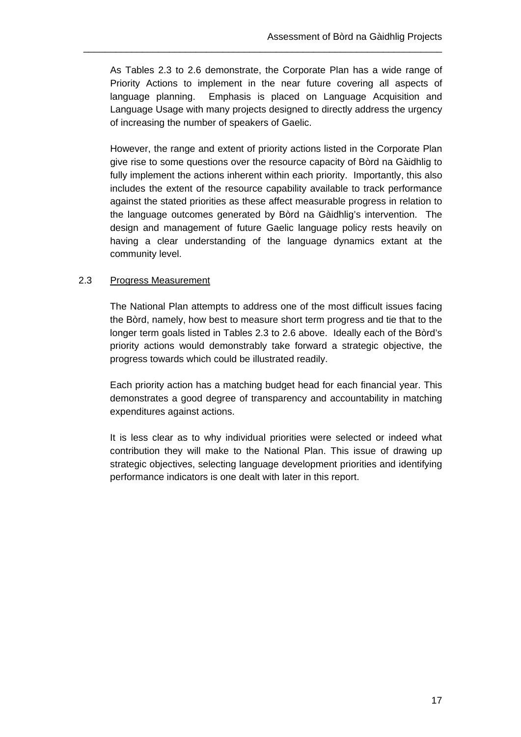As Tables 2.3 to 2.6 demonstrate, the Corporate Plan has a wide range of Priority Actions to implement in the near future covering all aspects of language planning. Emphasis is placed on Language Acquisition and Language Usage with many projects designed to directly address the urgency of increasing the number of speakers of Gaelic.

\_\_\_\_\_\_\_\_\_\_\_\_\_\_\_\_\_\_\_\_\_\_\_\_\_\_\_\_\_\_\_\_\_\_\_\_\_\_\_\_\_\_\_\_\_\_\_\_\_\_\_\_\_\_\_\_\_\_\_\_\_\_\_\_\_\_\_

However, the range and extent of priority actions listed in the Corporate Plan give rise to some questions over the resource capacity of Bòrd na Gàidhlig to fully implement the actions inherent within each priority. Importantly, this also includes the extent of the resource capability available to track performance against the stated priorities as these affect measurable progress in relation to the language outcomes generated by Bòrd na Gàidhlig's intervention. The design and management of future Gaelic language policy rests heavily on having a clear understanding of the language dynamics extant at the community level.

## 2.3 Progress Measurement

The National Plan attempts to address one of the most difficult issues facing the Bòrd, namely, how best to measure short term progress and tie that to the longer term goals listed in Tables 2.3 to 2.6 above. Ideally each of the Bòrd's priority actions would demonstrably take forward a strategic objective, the progress towards which could be illustrated readily.

Each priority action has a matching budget head for each financial year. This demonstrates a good degree of transparency and accountability in matching expenditures against actions.

It is less clear as to why individual priorities were selected or indeed what contribution they will make to the National Plan. This issue of drawing up strategic objectives, selecting language development priorities and identifying performance indicators is one dealt with later in this report.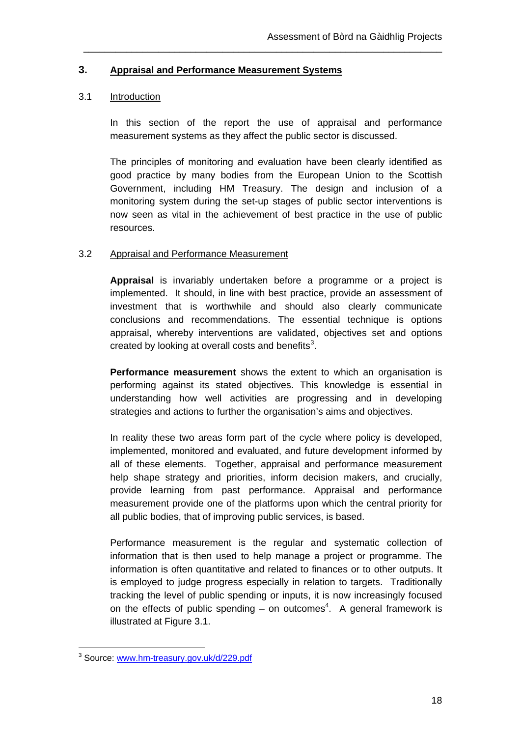#### **3. Appraisal and Performance Measurement Systems**

#### 3.1 Introduction

In this section of the report the use of appraisal and performance measurement systems as they affect the public sector is discussed.

\_\_\_\_\_\_\_\_\_\_\_\_\_\_\_\_\_\_\_\_\_\_\_\_\_\_\_\_\_\_\_\_\_\_\_\_\_\_\_\_\_\_\_\_\_\_\_\_\_\_\_\_\_\_\_\_\_\_\_\_\_\_\_\_\_\_\_

The principles of monitoring and evaluation have been clearly identified as good practice by many bodies from the European Union to the Scottish Government, including HM Treasury. The design and inclusion of a monitoring system during the set-up stages of public sector interventions is now seen as vital in the achievement of best practice in the use of public resources.

#### 3.2 Appraisal and Performance Measurement

**Appraisal** is invariably undertaken before a programme or a project is implemented. It should, in line with best practice, provide an assessment of investment that is worthwhile and should also clearly communicate conclusions and recommendations. The essential technique is options appraisal, whereby interventions are validated, objectives set and options created by looking at overall costs and benefits<sup>[3](#page-24-0)</sup>.

**Performance measurement** shows the extent to which an organisation is performing against its stated objectives. This knowledge is essential in understanding how well activities are progressing and in developing strategies and actions to further the organisation's aims and objectives.

In reality these two areas form part of the cycle where policy is developed, implemented, monitored and evaluated, and future development informed by all of these elements. Together, appraisal and performance measurement help shape strategy and priorities, inform decision makers, and crucially, provide learning from past performance. Appraisal and performance measurement provide one of the platforms upon which the central priority for all public bodies, that of improving public services, is based.

Performance measurement is the regular and systematic collection of information that is then used to help manage a project or programme. The information is often quantitative and related to finances or to other outputs. It is employed to judge progress especially in relation to targets. Traditionally tracking the level of public spending or inputs, it is now increasingly focused on the effects of public spending  $-$  on outcomes<sup>4</sup>. A general framework is illustrated at Figure 3.1.

 $\overline{a}$ 

<span id="page-24-0"></span><sup>&</sup>lt;sup>3</sup> Source: <u>[www.hm-treasury.gov.uk/d/229.pdf](http://www.hm-treasury.gov.uk/d/229.pdf)</u>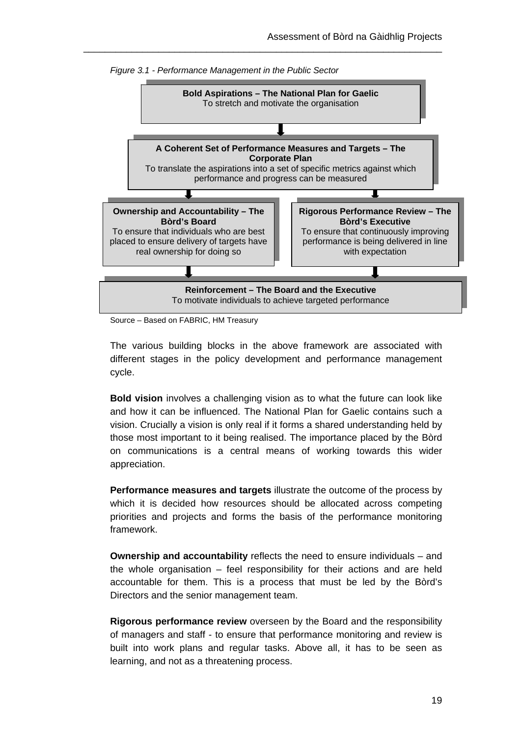

\_\_\_\_\_\_\_\_\_\_\_\_\_\_\_\_\_\_\_\_\_\_\_\_\_\_\_\_\_\_\_\_\_\_\_\_\_\_\_\_\_\_\_\_\_\_\_\_\_\_\_\_\_\_\_\_\_\_\_\_\_\_\_\_\_\_\_

Source – Based on FABRIC, HM Treasury

The various building blocks in the above framework are associated with different stages in the policy development and performance management cycle.

**Bold vision** involves a challenging vision as to what the future can look like and how it can be influenced. The National Plan for Gaelic contains such a vision. Crucially a vision is only real if it forms a shared understanding held by those most important to it being realised. The importance placed by the Bòrd on communications is a central means of working towards this wider appreciation.

**Performance measures and targets** illustrate the outcome of the process by which it is decided how resources should be allocated across competing priorities and projects and forms the basis of the performance monitoring framework.

**Ownership and accountability** reflects the need to ensure individuals – and the whole organisation – feel responsibility for their actions and are held accountable for them. This is a process that must be led by the Bòrd's Directors and the senior management team.

**Rigorous performance review** overseen by the Board and the responsibility of managers and staff - to ensure that performance monitoring and review is built into work plans and regular tasks. Above all, it has to be seen as learning, and not as a threatening process.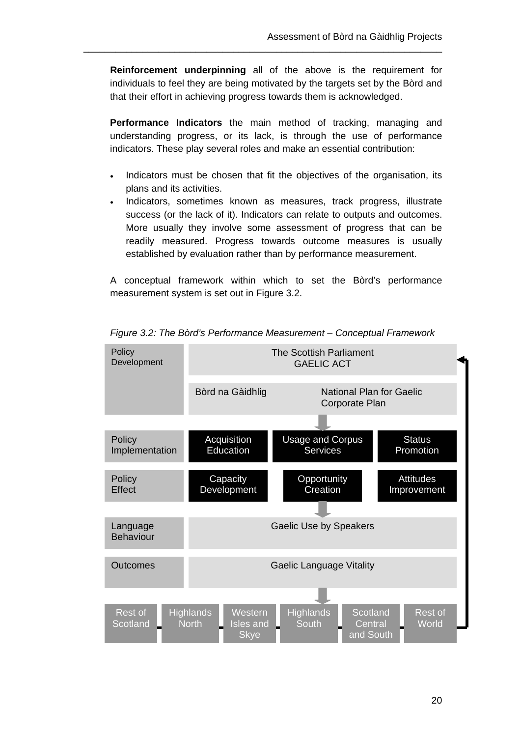**Reinforcement underpinning** all of the above is the requirement for individuals to feel they are being motivated by the targets set by the Bòrd and that their effort in achieving progress towards them is acknowledged.

\_\_\_\_\_\_\_\_\_\_\_\_\_\_\_\_\_\_\_\_\_\_\_\_\_\_\_\_\_\_\_\_\_\_\_\_\_\_\_\_\_\_\_\_\_\_\_\_\_\_\_\_\_\_\_\_\_\_\_\_\_\_\_\_\_\_\_

**Performance Indicators** the main method of tracking, managing and understanding progress, or its lack, is through the use of performance indicators. These play several roles and make an essential contribution:

- Indicators must be chosen that fit the objectives of the organisation, its plans and its activities.
- Indicators, sometimes known as measures, track progress, illustrate success (or the lack of it). Indicators can relate to outputs and outcomes. More usually they involve some assessment of progress that can be readily measured. Progress towards outcome measures is usually established by evaluation rather than by performance measurement.

A conceptual framework within which to set the Bòrd's performance measurement system is set out in Figure 3.2.



*Figure 3.2: The Bòrd's Performance Measurement – Conceptual Framework*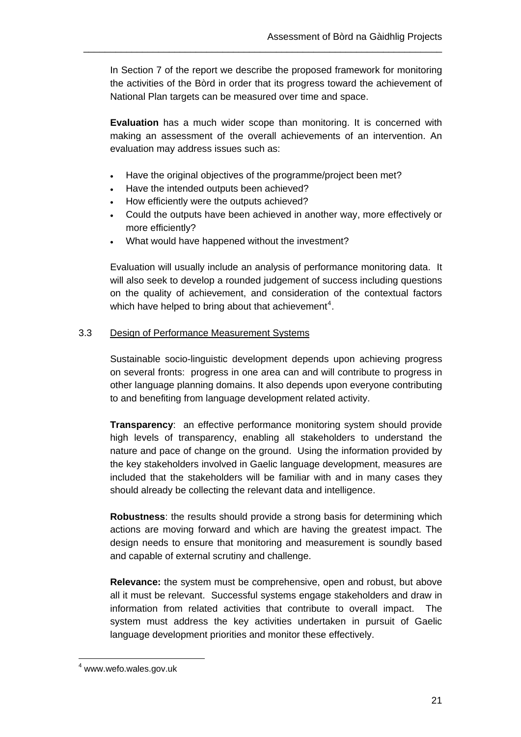In Section 7 of the report we describe the proposed framework for monitoring the activities of the Bòrd in order that its progress toward the achievement of National Plan targets can be measured over time and space.

\_\_\_\_\_\_\_\_\_\_\_\_\_\_\_\_\_\_\_\_\_\_\_\_\_\_\_\_\_\_\_\_\_\_\_\_\_\_\_\_\_\_\_\_\_\_\_\_\_\_\_\_\_\_\_\_\_\_\_\_\_\_\_\_\_\_\_

**Evaluation** has a much wider scope than monitoring. It is concerned with making an assessment of the overall achievements of an intervention. An evaluation may address issues such as:

- Have the original objectives of the programme/project been met?
- Have the intended outputs been achieved?
- How efficiently were the outputs achieved?
- Could the outputs have been achieved in another way, more effectively or more efficiently?
- What would have happened without the investment?

Evaluation will usually include an analysis of performance monitoring data. It will also seek to develop a rounded judgement of success including questions on the quality of achievement, and consideration of the contextual factors which have helped to bring about that achievement<sup>[4](#page-27-0)</sup>.

## 3.3 Design of Performance Measurement Systems

Sustainable socio-linguistic development depends upon achieving progress on several fronts: progress in one area can and will contribute to progress in other language planning domains. It also depends upon everyone contributing to and benefiting from language development related activity.

**Transparency**: an effective performance monitoring system should provide high levels of transparency, enabling all stakeholders to understand the nature and pace of change on the ground. Using the information provided by the key stakeholders involved in Gaelic language development, measures are included that the stakeholders will be familiar with and in many cases they should already be collecting the relevant data and intelligence.

**Robustness**: the results should provide a strong basis for determining which actions are moving forward and which are having the greatest impact. The design needs to ensure that monitoring and measurement is soundly based and capable of external scrutiny and challenge.

**Relevance:** the system must be comprehensive, open and robust, but above all it must be relevant. Successful systems engage stakeholders and draw in information from related activities that contribute to overall impact. The system must address the key activities undertaken in pursuit of Gaelic language development priorities and monitor these effectively.

 $\overline{a}$ 

<span id="page-27-0"></span><sup>4</sup> www.wefo.wales.gov.uk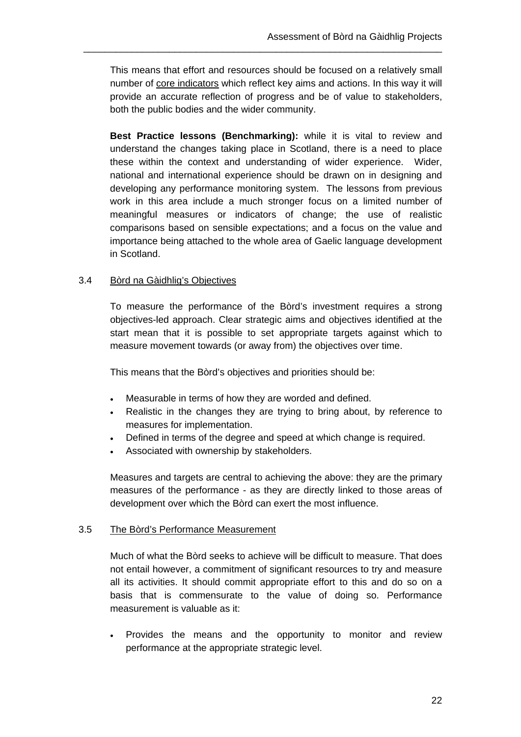This means that effort and resources should be focused on a relatively small number of core indicators which reflect key aims and actions. In this way it will provide an accurate reflection of progress and be of value to stakeholders, both the public bodies and the wider community.

\_\_\_\_\_\_\_\_\_\_\_\_\_\_\_\_\_\_\_\_\_\_\_\_\_\_\_\_\_\_\_\_\_\_\_\_\_\_\_\_\_\_\_\_\_\_\_\_\_\_\_\_\_\_\_\_\_\_\_\_\_\_\_\_\_\_\_

**Best Practice lessons (Benchmarking):** while it is vital to review and understand the changes taking place in Scotland, there is a need to place these within the context and understanding of wider experience. Wider, national and international experience should be drawn on in designing and developing any performance monitoring system. The lessons from previous work in this area include a much stronger focus on a limited number of meaningful measures or indicators of change; the use of realistic comparisons based on sensible expectations; and a focus on the value and importance being attached to the whole area of Gaelic language development in Scotland.

## 3.4 Bòrd na Gàidhlig's Objectives

To measure the performance of the Bòrd's investment requires a strong objectives-led approach. Clear strategic aims and objectives identified at the start mean that it is possible to set appropriate targets against which to measure movement towards (or away from) the objectives over time.

This means that the Bòrd's objectives and priorities should be:

- Measurable in terms of how they are worded and defined.
- Realistic in the changes they are trying to bring about, by reference to measures for implementation.
- Defined in terms of the degree and speed at which change is required.
- Associated with ownership by stakeholders.

Measures and targets are central to achieving the above: they are the primary measures of the performance - as they are directly linked to those areas of development over which the Bòrd can exert the most influence.

#### 3.5 The Bòrd's Performance Measurement

Much of what the Bòrd seeks to achieve will be difficult to measure. That does not entail however, a commitment of significant resources to try and measure all its activities. It should commit appropriate effort to this and do so on a basis that is commensurate to the value of doing so. Performance measurement is valuable as it:

 Provides the means and the opportunity to monitor and review performance at the appropriate strategic level.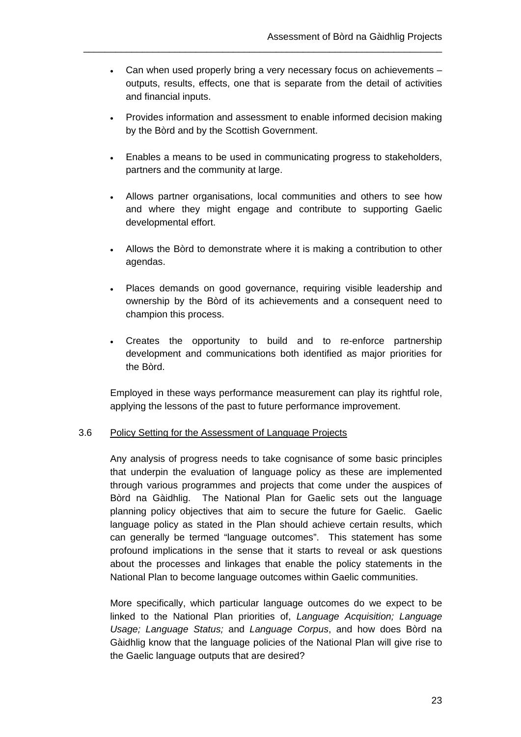Can when used properly bring a very necessary focus on achievements – outputs, results, effects, one that is separate from the detail of activities and financial inputs.

\_\_\_\_\_\_\_\_\_\_\_\_\_\_\_\_\_\_\_\_\_\_\_\_\_\_\_\_\_\_\_\_\_\_\_\_\_\_\_\_\_\_\_\_\_\_\_\_\_\_\_\_\_\_\_\_\_\_\_\_\_\_\_\_\_\_\_

- Provides information and assessment to enable informed decision making by the Bòrd and by the Scottish Government.
- Enables a means to be used in communicating progress to stakeholders, partners and the community at large.
- Allows partner organisations, local communities and others to see how and where they might engage and contribute to supporting Gaelic developmental effort.
- Allows the Bòrd to demonstrate where it is making a contribution to other agendas.
- Places demands on good governance, requiring visible leadership and ownership by the Bòrd of its achievements and a consequent need to champion this process.
- Creates the opportunity to build and to re-enforce partnership development and communications both identified as major priorities for the Bòrd.

Employed in these ways performance measurement can play its rightful role, applying the lessons of the past to future performance improvement.

#### 3.6 Policy Setting for the Assessment of Language Projects

Any analysis of progress needs to take cognisance of some basic principles that underpin the evaluation of language policy as these are implemented through various programmes and projects that come under the auspices of Bòrd na Gàidhlig. The National Plan for Gaelic sets out the language planning policy objectives that aim to secure the future for Gaelic. Gaelic language policy as stated in the Plan should achieve certain results, which can generally be termed "language outcomes". This statement has some profound implications in the sense that it starts to reveal or ask questions about the processes and linkages that enable the policy statements in the National Plan to become language outcomes within Gaelic communities.

More specifically, which particular language outcomes do we expect to be linked to the National Plan priorities of, *Language Acquisition; Language Usage; Language Status;* and *Language Corpus*, and how does Bòrd na Gàidhlig know that the language policies of the National Plan will give rise to the Gaelic language outputs that are desired?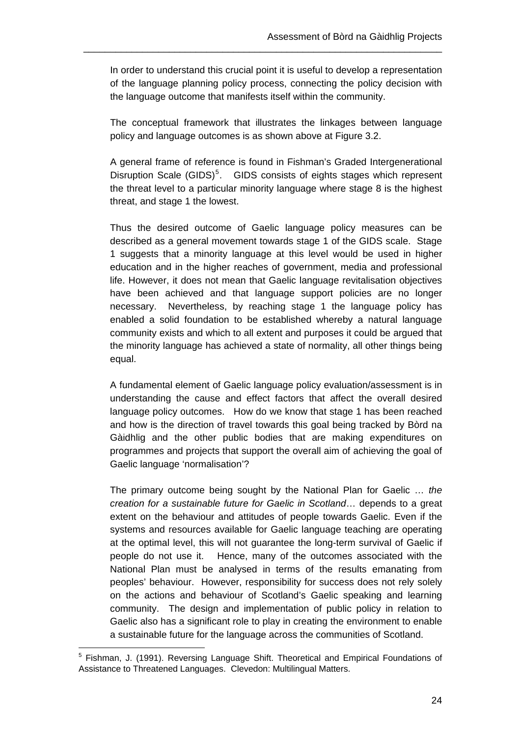In order to understand this crucial point it is useful to develop a representation of the language planning policy process, connecting the policy decision with the language outcome that manifests itself within the community.

\_\_\_\_\_\_\_\_\_\_\_\_\_\_\_\_\_\_\_\_\_\_\_\_\_\_\_\_\_\_\_\_\_\_\_\_\_\_\_\_\_\_\_\_\_\_\_\_\_\_\_\_\_\_\_\_\_\_\_\_\_\_\_\_\_\_\_

The conceptual framework that illustrates the linkages between language policy and language outcomes is as shown above at Figure 3.2.

A general frame of reference is found in Fishman's Graded Intergenerational Disruption Scale (GIDS)<sup>[5](#page-30-0)</sup>. GIDS consists of eights stages which represent the threat level to a particular minority language where stage 8 is the highest threat, and stage 1 the lowest.

Thus the desired outcome of Gaelic language policy measures can be described as a general movement towards stage 1 of the GIDS scale. Stage 1 suggests that a minority language at this level would be used in higher education and in the higher reaches of government, media and professional life. However, it does not mean that Gaelic language revitalisation objectives have been achieved and that language support policies are no longer necessary. Nevertheless, by reaching stage 1 the language policy has enabled a solid foundation to be established whereby a natural language community exists and which to all extent and purposes it could be argued that the minority language has achieved a state of normality, all other things being equal.

A fundamental element of Gaelic language policy evaluation/assessment is in understanding the cause and effect factors that affect the overall desired language policy outcomes. How do we know that stage 1 has been reached and how is the direction of travel towards this goal being tracked by Bòrd na Gàidhlig and the other public bodies that are making expenditures on programmes and projects that support the overall aim of achieving the goal of Gaelic language 'normalisation'?

The primary outcome being sought by the National Plan for Gaelic … *the creation for a sustainable future for Gaelic in Scotland*… depends to a great extent on the behaviour and attitudes of people towards Gaelic. Even if the systems and resources available for Gaelic language teaching are operating at the optimal level, this will not guarantee the long-term survival of Gaelic if people do not use it. Hence, many of the outcomes associated with the National Plan must be analysed in terms of the results emanating from peoples' behaviour. However, responsibility for success does not rely solely on the actions and behaviour of Scotland's Gaelic speaking and learning community. The design and implementation of public policy in relation to Gaelic also has a significant role to play in creating the environment to enable a sustainable future for the language across the communities of Scotland.

 $\overline{a}$ 

<span id="page-30-0"></span><sup>&</sup>lt;sup>5</sup> Fishman, J. (1991). Reversing Language Shift. Theoretical and Empirical Foundations of Assistance to Threatened Languages. Clevedon: Multilingual Matters.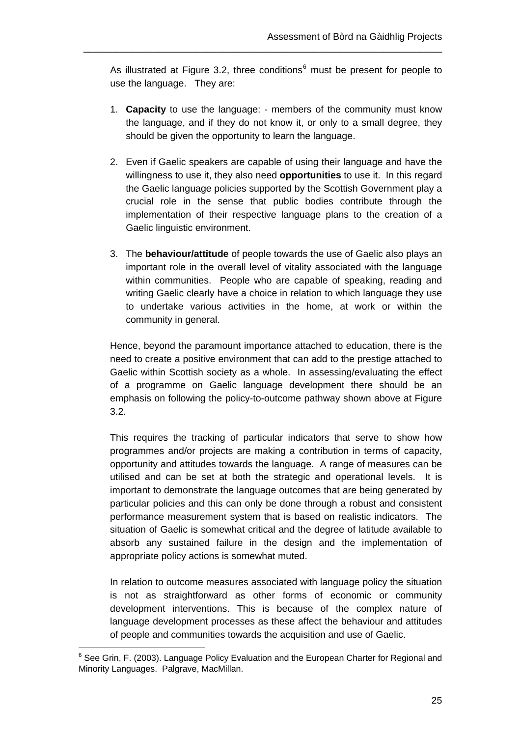As illustrated at Figure 3.2, three conditions $<sup>6</sup>$  $<sup>6</sup>$  $<sup>6</sup>$  must be present for people to</sup> use the language. They are:

\_\_\_\_\_\_\_\_\_\_\_\_\_\_\_\_\_\_\_\_\_\_\_\_\_\_\_\_\_\_\_\_\_\_\_\_\_\_\_\_\_\_\_\_\_\_\_\_\_\_\_\_\_\_\_\_\_\_\_\_\_\_\_\_\_\_\_

- 1. **Capacity** to use the language: members of the community must know the language, and if they do not know it, or only to a small degree, they should be given the opportunity to learn the language.
- 2. Even if Gaelic speakers are capable of using their language and have the willingness to use it, they also need **opportunities** to use it. In this regard the Gaelic language policies supported by the Scottish Government play a crucial role in the sense that public bodies contribute through the implementation of their respective language plans to the creation of a Gaelic linguistic environment.
- 3. The **behaviour/attitude** of people towards the use of Gaelic also plays an important role in the overall level of vitality associated with the language within communities. People who are capable of speaking, reading and writing Gaelic clearly have a choice in relation to which language they use to undertake various activities in the home, at work or within the community in general.

Hence, beyond the paramount importance attached to education, there is the need to create a positive environment that can add to the prestige attached to Gaelic within Scottish society as a whole. In assessing/evaluating the effect of a programme on Gaelic language development there should be an emphasis on following the policy-to-outcome pathway shown above at Figure 3.2.

This requires the tracking of particular indicators that serve to show how programmes and/or projects are making a contribution in terms of capacity, opportunity and attitudes towards the language. A range of measures can be utilised and can be set at both the strategic and operational levels. It is important to demonstrate the language outcomes that are being generated by particular policies and this can only be done through a robust and consistent performance measurement system that is based on realistic indicators. The situation of Gaelic is somewhat critical and the degree of latitude available to absorb any sustained failure in the design and the implementation of appropriate policy actions is somewhat muted.

In relation to outcome measures associated with language policy the situation is not as straightforward as other forms of economic or community development interventions. This is because of the complex nature of language development processes as these affect the behaviour and attitudes of people and communities towards the acquisition and use of Gaelic.

 $\overline{a}$ 

<span id="page-31-0"></span><sup>&</sup>lt;sup>6</sup> See Grin, F. (2003). Language Policy Evaluation and the European Charter for Regional and Minority Languages. Palgrave, MacMillan.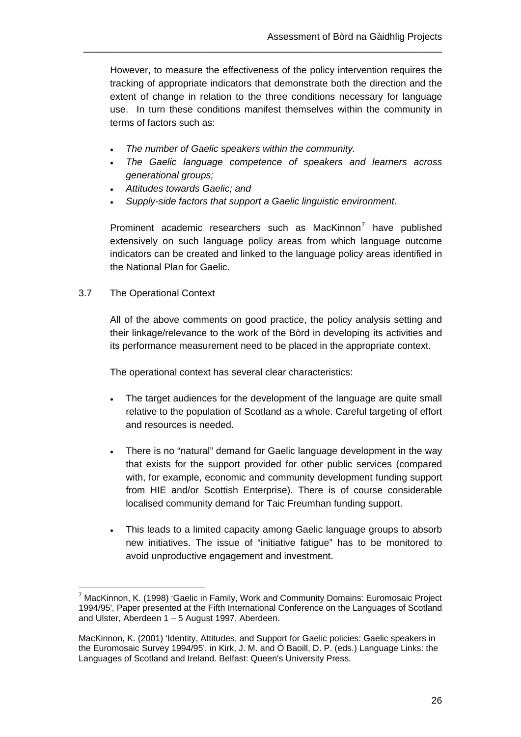However, to measure the effectiveness of the policy intervention requires the tracking of appropriate indicators that demonstrate both the direction and the extent of change in relation to the three conditions necessary for language use. In turn these conditions manifest themselves within the community in terms of factors such as:

\_\_\_\_\_\_\_\_\_\_\_\_\_\_\_\_\_\_\_\_\_\_\_\_\_\_\_\_\_\_\_\_\_\_\_\_\_\_\_\_\_\_\_\_\_\_\_\_\_\_\_\_\_\_\_\_\_\_\_\_\_\_\_\_\_\_\_

- *The number of Gaelic speakers within the community.*
- *The Gaelic language competence of speakers and learners across generational groups;*
- *Attitudes towards Gaelic; and*
- *Supply-side factors that support a Gaelic linguistic environment.*

Prominent academic researchers such as MacKinnon<sup>[7](#page-32-0)</sup> have published extensively on such language policy areas from which language outcome indicators can be created and linked to the language policy areas identified in the National Plan for Gaelic.

#### 3.7 The Operational Context

All of the above comments on good practice, the policy analysis setting and their linkage/relevance to the work of the Bòrd in developing its activities and its performance measurement need to be placed in the appropriate context.

The operational context has several clear characteristics:

- The target audiences for the development of the language are quite small relative to the population of Scotland as a whole. Careful targeting of effort and resources is needed.
- There is no "natural" demand for Gaelic language development in the way that exists for the support provided for other public services (compared with, for example, economic and community development funding support from HIE and/or Scottish Enterprise). There is of course considerable localised community demand for Taic Freumhan funding support.
- This leads to a limited capacity among Gaelic language groups to absorb new initiatives. The issue of "initiative fatigue" has to be monitored to avoid unproductive engagement and investment.

<span id="page-32-0"></span> $\overline{a}$ 7 MacKinnon, K. (1998) 'Gaelic in Family, Work and Community Domains: Euromosaic Project 1994/95', Paper presented at the Fifth International Conference on the Languages of Scotland and Ulster, Aberdeen 1 – 5 August 1997, Aberdeen.

MacKinnon, K. (2001) 'Identity, Attitudes, and Support for Gaelic policies: Gaelic speakers in the Euromosaic Survey 1994/95', in Kirk, J. M. and Ó Baoill, D. P. (eds.) Language Links: the Languages of Scotland and Ireland. Belfast: Queen's University Press.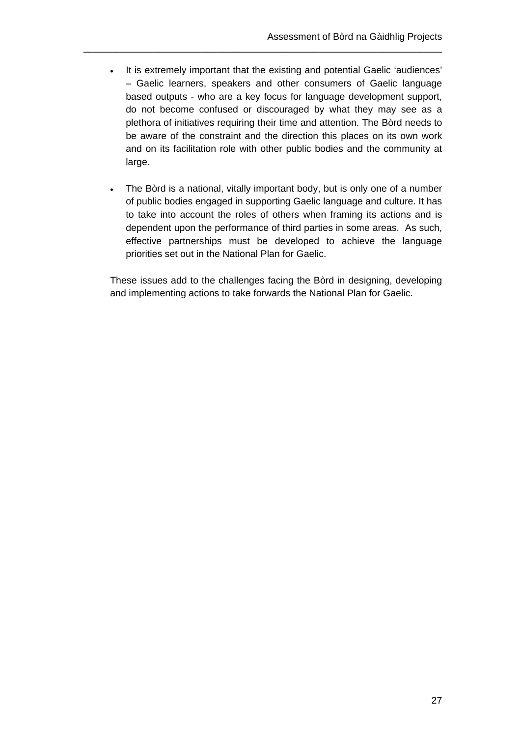. It is extremely important that the existing and potential Gaelic 'audiences' – Gaelic learners, speakers and other consumers of Gaelic language based outputs - who are a key focus for language development support, do not become confused or discouraged by what they may see as a plethora of initiatives requiring their time and attention. The Bòrd needs to be aware of the constraint and the direction this places on its own work and on its facilitation role with other public bodies and the community at large.

\_\_\_\_\_\_\_\_\_\_\_\_\_\_\_\_\_\_\_\_\_\_\_\_\_\_\_\_\_\_\_\_\_\_\_\_\_\_\_\_\_\_\_\_\_\_\_\_\_\_\_\_\_\_\_\_\_\_\_\_\_\_\_\_\_\_\_

 The Bòrd is a national, vitally important body, but is only one of a number of public bodies engaged in supporting Gaelic language and culture. It has to take into account the roles of others when framing its actions and is dependent upon the performance of third parties in some areas. As such, effective partnerships must be developed to achieve the language priorities set out in the National Plan for Gaelic.

These issues add to the challenges facing the Bòrd in designing, developing and implementing actions to take forwards the National Plan for Gaelic.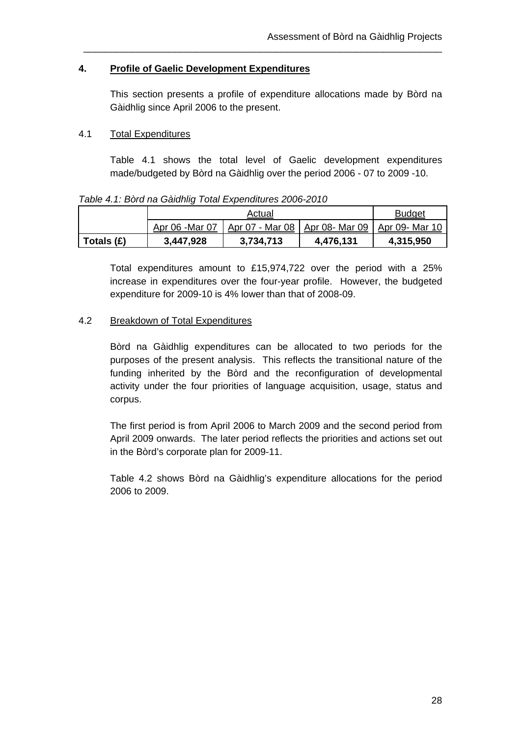## **4. Profile of Gaelic Development Expenditures**

This section presents a profile of expenditure allocations made by Bòrd na Gàidhlig since April 2006 to the present.

\_\_\_\_\_\_\_\_\_\_\_\_\_\_\_\_\_\_\_\_\_\_\_\_\_\_\_\_\_\_\_\_\_\_\_\_\_\_\_\_\_\_\_\_\_\_\_\_\_\_\_\_\_\_\_\_\_\_\_\_\_\_\_\_\_\_\_

## 4.1 Total Expenditures

Table 4.1 shows the total level of Gaelic development expenditures made/budgeted by Bòrd na Gàidhlig over the period 2006 - 07 to 2009 -10.

#### *Table 4.1: Bòrd na Gàidhlig Total Expenditures 2006-2010*

|              | Actual          |                                         |           | <b>Budget</b>  |
|--------------|-----------------|-----------------------------------------|-----------|----------------|
|              | Apr 06 - Mar 07 | <u>Apr 07 - Mar 08   Apr 08- Mar 09</u> |           | Apr 09- Mar 10 |
| Totals $(E)$ | 3,447,928       | 3,734,713                               | 4,476,131 | 4,315,950      |

Total expenditures amount to £15,974,722 over the period with a 25% increase in expenditures over the four-year profile. However, the budgeted expenditure for 2009-10 is 4% lower than that of 2008-09.

## 4.2 Breakdown of Total Expenditures

Bòrd na Gàidhlig expenditures can be allocated to two periods for the purposes of the present analysis. This reflects the transitional nature of the funding inherited by the Bòrd and the reconfiguration of developmental activity under the four priorities of language acquisition, usage, status and corpus.

The first period is from April 2006 to March 2009 and the second period from April 2009 onwards. The later period reflects the priorities and actions set out in the Bòrd's corporate plan for 2009-11.

Table 4.2 shows Bòrd na Gàidhlig's expenditure allocations for the period 2006 to 2009.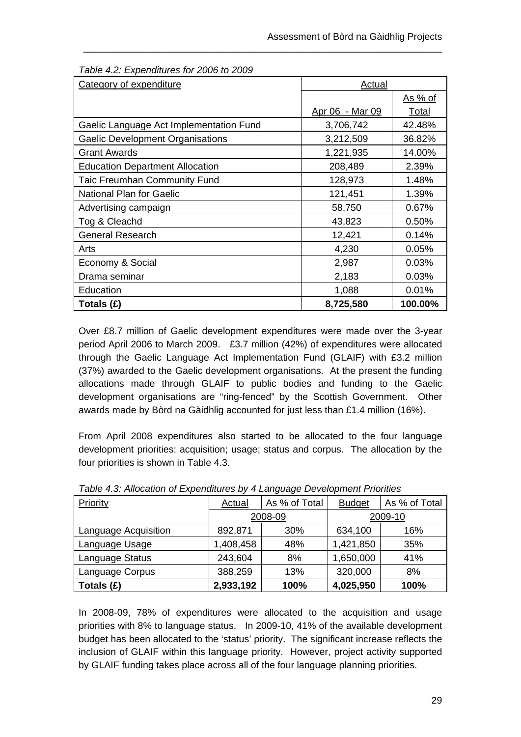| Category of expenditure                 | <b>Actual</b>   |                |
|-----------------------------------------|-----------------|----------------|
|                                         |                 | <u>As % of</u> |
|                                         | Apr 06 - Mar 09 | <u>Total</u>   |
| Gaelic Language Act Implementation Fund | 3,706,742       | 42.48%         |
| Gaelic Development Organisations        | 3,212,509       | 36.82%         |
| <b>Grant Awards</b>                     | 1,221,935       | 14.00%         |
| <b>Education Department Allocation</b>  | 208,489         | 2.39%          |
| <b>Taic Freumhan Community Fund</b>     | 128,973         | 1.48%          |
| National Plan for Gaelic                | 121,451         | 1.39%          |
| Advertising campaign                    | 58,750          | 0.67%          |
| Tog & Cleachd                           | 43,823          | 0.50%          |
| <b>General Research</b>                 | 12,421          | 0.14%          |
| Arts                                    | 4,230           | 0.05%          |
| Economy & Social                        | 2,987           | 0.03%          |
| Drama seminar                           | 2,183           | 0.03%          |
| Education                               | 1,088           | 0.01%          |
| Totals (£)                              | 8,725,580       | 100.00%        |

\_\_\_\_\_\_\_\_\_\_\_\_\_\_\_\_\_\_\_\_\_\_\_\_\_\_\_\_\_\_\_\_\_\_\_\_\_\_\_\_\_\_\_\_\_\_\_\_\_\_\_\_\_\_\_\_\_\_\_\_\_\_\_\_\_\_\_

*Table 4.2: Expenditures for 2006 to 2009* 

Over £8.7 million of Gaelic development expenditures were made over the 3-year period April 2006 to March 2009. £3.7 million (42%) of expenditures were allocated through the Gaelic Language Act Implementation Fund (GLAIF) with £3.2 million (37%) awarded to the Gaelic development organisations. At the present the funding allocations made through GLAIF to public bodies and funding to the Gaelic development organisations are "ring-fenced" by the Scottish Government. Other awards made by Bòrd na Gàidhlig accounted for just less than £1.4 million (16%).

From April 2008 expenditures also started to be allocated to the four language development priorities: acquisition; usage; status and corpus. The allocation by the four priorities is shown in Table 4.3.

| Priority             | Actual    | As % of Total | <b>Budget</b> | As % of Total |
|----------------------|-----------|---------------|---------------|---------------|
|                      | 2008-09   |               | 2009-10       |               |
| Language Acquisition | 892,871   | 30%           | 634,100       | 16%           |
| Language Usage       | 1,408,458 | 48%           | 1,421,850     | 35%           |
| Language Status      | 243,604   | 8%            | 1,650,000     | 41%           |
| Language Corpus      | 388,259   | 13%           | 320,000       | 8%            |
| Totals (£)           | 2,933,192 | 100%          | 4,025,950     | 100%          |

*Table 4.3: Allocation of Expenditures by 4 Language Development Priorities* 

In 2008-09, 78% of expenditures were allocated to the acquisition and usage priorities with 8% to language status. In 2009-10, 41% of the available development budget has been allocated to the 'status' priority. The significant increase reflects the inclusion of GLAIF within this language priority. However, project activity supported by GLAIF funding takes place across all of the four language planning priorities.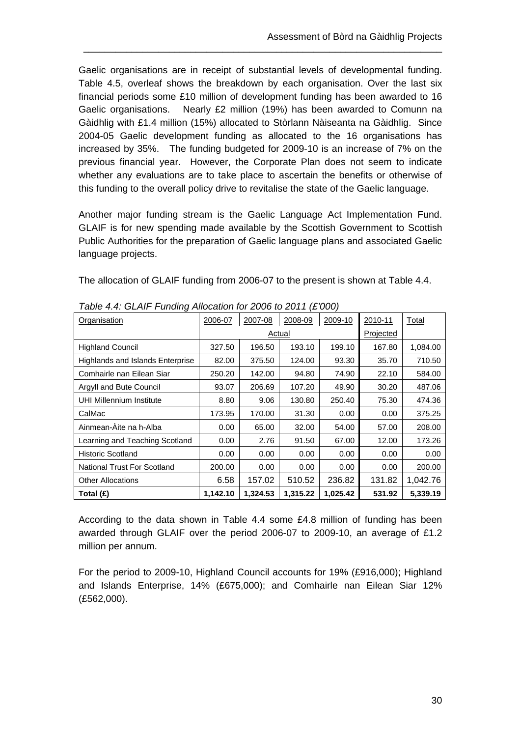Gaelic organisations are in receipt of substantial levels of developmental funding. Table 4.5, overleaf shows the breakdown by each organisation. Over the last six financial periods some £10 million of development funding has been awarded to 16 Gaelic organisations. Nearly £2 million (19%) has been awarded to Comunn na Gàidhlig with £1.4 million (15%) allocated to Stòrlann Nàiseanta na Gàidhlig. Since 2004-05 Gaelic development funding as allocated to the 16 organisations has increased by 35%. The funding budgeted for 2009-10 is an increase of 7% on the previous financial year. However, the Corporate Plan does not seem to indicate whether any evaluations are to take place to ascertain the benefits or otherwise of this funding to the overall policy drive to revitalise the state of the Gaelic language.

\_\_\_\_\_\_\_\_\_\_\_\_\_\_\_\_\_\_\_\_\_\_\_\_\_\_\_\_\_\_\_\_\_\_\_\_\_\_\_\_\_\_\_\_\_\_\_\_\_\_\_\_\_\_\_\_\_\_\_\_\_\_\_\_\_\_\_

Another major funding stream is the Gaelic Language Act Implementation Fund. GLAIF is for new spending made available by the Scottish Government to Scottish Public Authorities for the preparation of Gaelic language plans and associated Gaelic language projects.

The allocation of GLAIF funding from 2006-07 to the present is shown at Table 4.4.

| ັ<br>Organisation                       | 2006-07  | 2007-08  | 2008-09   | 2009-10  | 2010-11 | Total    |
|-----------------------------------------|----------|----------|-----------|----------|---------|----------|
|                                         |          | Actual   | Projected |          |         |          |
| <b>Highland Council</b>                 | 327.50   | 196.50   | 193.10    | 199.10   | 167.80  | 1,084.00 |
| <b>Highlands and Islands Enterprise</b> | 82.00    | 375.50   | 124.00    | 93.30    | 35.70   | 710.50   |
| Comhairle nan Eilean Siar               | 250.20   | 142.00   | 94.80     | 74.90    | 22.10   | 584.00   |
| Argyll and Bute Council                 | 93.07    | 206.69   | 107.20    | 49.90    | 30.20   | 487.06   |
| <b>UHI Millennium Institute</b>         | 8.80     | 9.06     | 130.80    | 250.40   | 75.30   | 474.36   |
| CalMac                                  | 173.95   | 170.00   | 31.30     | 0.00     | 0.00    | 375.25   |
| Ainmean-Àite na h-Alba                  | 0.00     | 65.00    | 32.00     | 54.00    | 57.00   | 208.00   |
| Learning and Teaching Scotland          | 0.00     | 2.76     | 91.50     | 67.00    | 12.00   | 173.26   |
| <b>Historic Scotland</b>                | 0.00     | 0.00     | 0.00      | 0.00     | 0.00    | 0.00     |
| <b>National Trust For Scotland</b>      | 200.00   | 0.00     | 0.00      | 0.00     | 0.00    | 200.00   |
| <b>Other Allocations</b>                | 6.58     | 157.02   | 510.52    | 236.82   | 131.82  | 1,042.76 |
| Total (£)                               | 1,142.10 | 1.324.53 | 1,315.22  | 1.025.42 | 531.92  | 5,339.19 |

*Table 4.4: GLAIF Funding Allocation for 2006 to 2011 (£'000)* 

According to the data shown in Table 4.4 some £4.8 million of funding has been awarded through GLAIF over the period 2006-07 to 2009-10, an average of £1.2 million per annum.

For the period to 2009-10, Highland Council accounts for 19% (£916,000); Highland and Islands Enterprise, 14% (£675,000); and Comhairle nan Eilean Siar 12% (£562,000).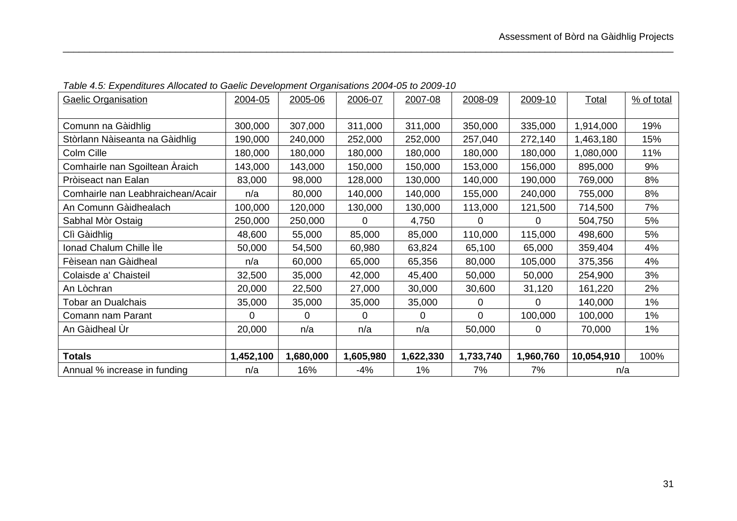| <b>Gaelic Organisation</b>        | 2004-05   | 2005-06   | 2006-07   | 2007-08   | 2008-09   | 2009-10   | <b>Total</b> | % of total |
|-----------------------------------|-----------|-----------|-----------|-----------|-----------|-----------|--------------|------------|
|                                   |           |           |           |           |           |           |              |            |
| Comunn na Gàidhlig                | 300,000   | 307,000   | 311,000   | 311,000   | 350,000   | 335,000   | 1,914,000    | 19%        |
| Stòrlann Nàiseanta na Gàidhlig    | 190,000   | 240,000   | 252,000   | 252,000   | 257,040   | 272,140   | 1,463,180    | 15%        |
| Colm Cille                        | 180,000   | 180,000   | 180,000   | 180,000   | 180,000   | 180,000   | 1,080,000    | 11%        |
| Comhairle nan Sgoiltean Àraich    | 143,000   | 143,000   | 150,000   | 150,000   | 153,000   | 156,000   | 895,000      | 9%         |
| Pròiseact nan Ealan               | 83,000    | 98,000    | 128,000   | 130,000   | 140,000   | 190,000   | 769,000      | 8%         |
| Comhairle nan Leabhraichean/Acair | n/a       | 80,000    | 140,000   | 140,000   | 155,000   | 240,000   | 755,000      | 8%         |
| An Comunn Gàidhealach             | 100,000   | 120,000   | 130,000   | 130,000   | 113,000   | 121,500   | 714,500      | 7%         |
| Sabhal Mòr Ostaig                 | 250,000   | 250,000   | 0         | 4,750     | $\Omega$  | 0         | 504,750      | 5%         |
| Clì Gàidhlig                      | 48,600    | 55,000    | 85,000    | 85,000    | 110,000   | 115,000   | 498,600      | 5%         |
| Ionad Chalum Chille Ìle           | 50,000    | 54,500    | 60,980    | 63,824    | 65,100    | 65,000    | 359,404      | 4%         |
| Fèisean nan Gàidheal              | n/a       | 60,000    | 65,000    | 65,356    | 80,000    | 105,000   | 375,356      | 4%         |
| Colaisde a' Chaisteil             | 32,500    | 35,000    | 42,000    | 45,400    | 50,000    | 50,000    | 254,900      | 3%         |
| An Lòchran                        | 20,000    | 22,500    | 27,000    | 30,000    | 30,600    | 31,120    | 161,220      | 2%         |
| Tobar an Dualchais                | 35,000    | 35,000    | 35,000    | 35,000    | $\Omega$  | $\Omega$  | 140,000      | 1%         |
| Comann nam Parant                 | 0         | $\Omega$  | $\Omega$  | $\Omega$  | $\Omega$  | 100,000   | 100,000      | $1\%$      |
| An Gàidheal Ùr                    | 20,000    | n/a       | n/a       | n/a       | 50,000    | 0         | 70,000       | $1\%$      |
|                                   |           |           |           |           |           |           |              |            |
| Totals                            | 1,452,100 | 1,680,000 | 1,605,980 | 1,622,330 | 1,733,740 | 1,960,760 | 10,054,910   | 100%       |
| Annual % increase in funding      | n/a       | 16%       | $-4%$     | $1\%$     | 7%        | 7%        | n/a          |            |

*Table 4.5: Expenditures Allocated to Gaelic Development Organisations 2004-05 to 2009-10*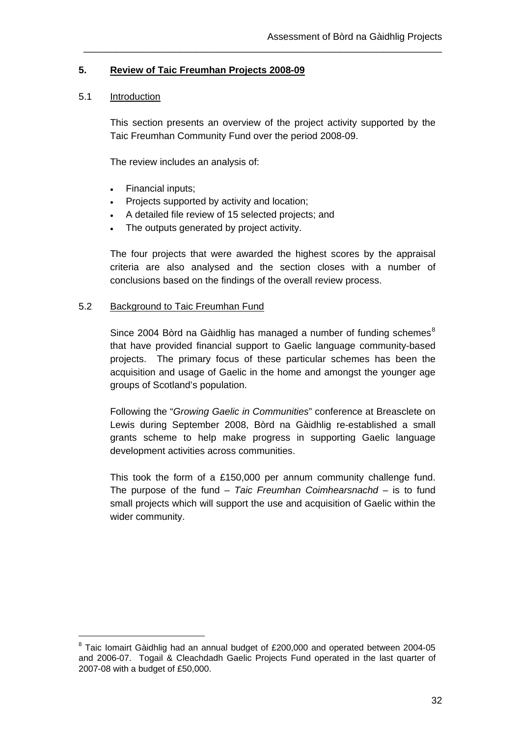## **5. Review of Taic Freumhan Projects 2008-09**

### 5.1 Introduction

 $\overline{a}$ 

This section presents an overview of the project activity supported by the Taic Freumhan Community Fund over the period 2008-09.

\_\_\_\_\_\_\_\_\_\_\_\_\_\_\_\_\_\_\_\_\_\_\_\_\_\_\_\_\_\_\_\_\_\_\_\_\_\_\_\_\_\_\_\_\_\_\_\_\_\_\_\_\_\_\_\_\_\_\_\_\_\_\_\_\_\_\_

The review includes an analysis of:

- Financial inputs;
- Projects supported by activity and location;
- A detailed file review of 15 selected projects; and
- The outputs generated by project activity.

The four projects that were awarded the highest scores by the appraisal criteria are also analysed and the section closes with a number of conclusions based on the findings of the overall review process.

### 5.2 Background to Taic Freumhan Fund

Since 2004 Bòrd na Gàidhlig has managed a number of funding schemes<sup>[8](#page-38-0)</sup> that have provided financial support to Gaelic language community-based projects. The primary focus of these particular schemes has been the acquisition and usage of Gaelic in the home and amongst the younger age groups of Scotland's population.

Following the "*Growing Gaelic in Communities*" conference at Breasclete on Lewis during September 2008, Bòrd na Gàidhlig re-established a small grants scheme to help make progress in supporting Gaelic language development activities across communities.

This took the form of a £150,000 per annum community challenge fund. The purpose of the fund – *Taic Freumhan Coimhearsnachd* – is to fund small projects which will support the use and acquisition of Gaelic within the wider community.

<span id="page-38-0"></span> $8$  Taic Iomairt Gàidhlig had an annual budget of £200,000 and operated between 2004-05 and 2006-07. Togail & Cleachdadh Gaelic Projects Fund operated in the last quarter of 2007-08 with a budget of £50,000.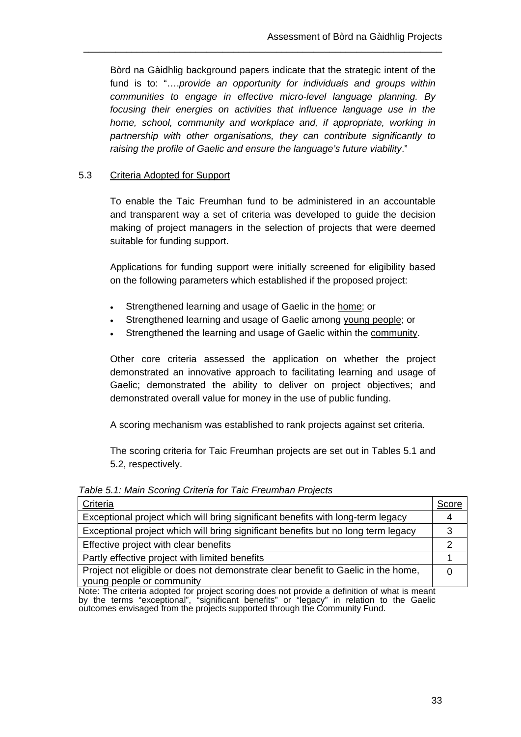Bòrd na Gàidhlig background papers indicate that the strategic intent of the fund is to: "….*provide an opportunity for individuals and groups within communities to engage in effective micro-level language planning. By focusing their energies on activities that influence language use in the home, school, community and workplace and, if appropriate, working in partnership with other organisations, they can contribute significantly to raising the profile of Gaelic and ensure the language's future viability*."

\_\_\_\_\_\_\_\_\_\_\_\_\_\_\_\_\_\_\_\_\_\_\_\_\_\_\_\_\_\_\_\_\_\_\_\_\_\_\_\_\_\_\_\_\_\_\_\_\_\_\_\_\_\_\_\_\_\_\_\_\_\_\_\_\_\_\_

## 5.3 Criteria Adopted for Support

To enable the Taic Freumhan fund to be administered in an accountable and transparent way a set of criteria was developed to guide the decision making of project managers in the selection of projects that were deemed suitable for funding support.

Applications for funding support were initially screened for eligibility based on the following parameters which established if the proposed project:

- Strengthened learning and usage of Gaelic in the home; or
- Strengthened learning and usage of Gaelic among young people; or
- Strengthened the learning and usage of Gaelic within the community.

Other core criteria assessed the application on whether the project demonstrated an innovative approach to facilitating learning and usage of Gaelic; demonstrated the ability to deliver on project objectives; and demonstrated overall value for money in the use of public funding.

A scoring mechanism was established to rank projects against set criteria.

The scoring criteria for Taic Freumhan projects are set out in Tables 5.1 and 5.2, respectively.

| Score                                                                                         |
|-----------------------------------------------------------------------------------------------|
|                                                                                               |
| 3                                                                                             |
|                                                                                               |
|                                                                                               |
|                                                                                               |
| Note: The criteria adopted for project scoring does not provide a definition of what is meant |
|                                                                                               |

*Table 5.1: Main Scoring Criteria for Taic Freumhan Projects* 

Note: The criteria adopted for project scoring does not provide a definition of what is meant by the terms "exceptional", "significant benefits" or "legacy" in relation to the Gaelic outcomes envisaged from the projects supported through the Community Fund.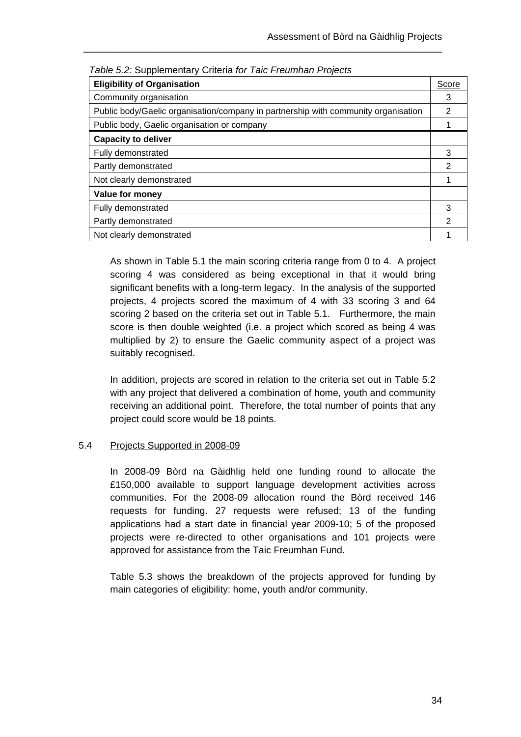| rabic o.z. Ouppicinomary Ontona for raid Froumman Frojocto                         |               |
|------------------------------------------------------------------------------------|---------------|
| <b>Eligibility of Organisation</b>                                                 | Score         |
| Community organisation                                                             | 3             |
| Public body/Gaelic organisation/company in partnership with community organisation |               |
| Public body, Gaelic organisation or company                                        |               |
| <b>Capacity to deliver</b>                                                         |               |
| Fully demonstrated                                                                 | 3             |
| Partly demonstrated                                                                | 2             |
| Not clearly demonstrated                                                           |               |
| Value for money                                                                    |               |
| Fully demonstrated                                                                 | 3             |
| Partly demonstrated                                                                | $\mathcal{P}$ |
| Not clearly demonstrated                                                           |               |

*Table 5.2:* Supplementary Criteria *for Taic Freumhan Projects*

As shown in Table 5.1 the main scoring criteria range from 0 to 4. A project scoring 4 was considered as being exceptional in that it would bring significant benefits with a long-term legacy. In the analysis of the supported projects, 4 projects scored the maximum of 4 with 33 scoring 3 and 64 scoring 2 based on the criteria set out in Table 5.1. Furthermore, the main score is then double weighted (i.e. a project which scored as being 4 was multiplied by 2) to ensure the Gaelic community aspect of a project was suitably recognised.

In addition, projects are scored in relation to the criteria set out in Table 5.2 with any project that delivered a combination of home, youth and community receiving an additional point. Therefore, the total number of points that any project could score would be 18 points.

### 5.4 Projects Supported in 2008-09

In 2008-09 Bòrd na Gàidhlig held one funding round to allocate the £150,000 available to support language development activities across communities. For the 2008-09 allocation round the Bòrd received 146 requests for funding. 27 requests were refused; 13 of the funding applications had a start date in financial year 2009-10; 5 of the proposed projects were re-directed to other organisations and 101 projects were approved for assistance from the Taic Freumhan Fund.

Table 5.3 shows the breakdown of the projects approved for funding by main categories of eligibility: home, youth and/or community.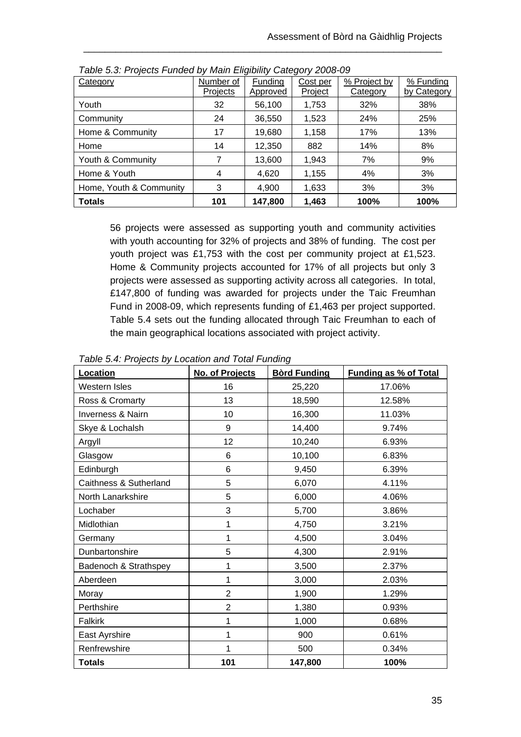| Category                | Number of | Funding  | Cost per | % Project by | % Funding   |
|-------------------------|-----------|----------|----------|--------------|-------------|
|                         | Projects  | Approved | Project  | Category     | by Category |
| Youth                   | 32        | 56,100   | 1,753    | 32%          | 38%         |
| Community               | 24        | 36,550   | 1,523    | 24%          | 25%         |
| Home & Community        | 17        | 19,680   | 1,158    | 17%          | 13%         |
| Home                    | 14        | 12,350   | 882      | 14%          | 8%          |
| Youth & Community       | 7         | 13,600   | 1,943    | 7%           | 9%          |
| Home & Youth            | 4         | 4,620    | 1,155    | 4%           | 3%          |
| Home, Youth & Community | 3         | 4,900    | 1,633    | 3%           | 3%          |
| <b>Totals</b>           | 101       | 147,800  | 1,463    | 100%         | 100%        |

*Table 5.3: Projects Funded by Main Eligibility Category 2008-09* 

56 projects were assessed as supporting youth and community activities with youth accounting for 32% of projects and 38% of funding. The cost per youth project was £1,753 with the cost per community project at £1,523. Home & Community projects accounted for 17% of all projects but only 3 projects were assessed as supporting activity across all categories. In total, £147,800 of funding was awarded for projects under the Taic Freumhan Fund in 2008-09, which represents funding of £1,463 per project supported. Table 5.4 sets out the funding allocated through Taic Freumhan to each of the main geographical locations associated with project activity.

| Location               | No. of Projects | <b>Bòrd Funding</b> | <b>Funding as % of Total</b> |
|------------------------|-----------------|---------------------|------------------------------|
| Western Isles          | 16              | 25,220              | 17.06%                       |
| Ross & Cromarty        | 13              | 18,590              | 12.58%                       |
| Inverness & Nairn      | 10              | 16,300              | 11.03%                       |
| Skye & Lochalsh        | 9               | 14,400              | 9.74%                        |
| Argyll                 | 12              | 10,240              | 6.93%                        |
| Glasgow                | 6               | 10,100              | 6.83%                        |
| Edinburgh              | 6               | 9,450               | 6.39%                        |
| Caithness & Sutherland | 5               | 6,070               | 4.11%                        |
| North Lanarkshire      | 5               | 6,000               | 4.06%                        |
| Lochaber               | 3               | 5,700               | 3.86%                        |
| Midlothian             | 1               | 4,750               | 3.21%                        |
| Germany                | 1               | 4,500               | 3.04%                        |
| Dunbartonshire         | 5               | 4,300               | 2.91%                        |
| Badenoch & Strathspey  | 1               | 3,500               | 2.37%                        |
| Aberdeen               | 1               | 3,000               | 2.03%                        |
| Moray                  | $\overline{2}$  | 1,900               | 1.29%                        |
| Perthshire             | $\overline{2}$  | 1,380               | 0.93%                        |
| <b>Falkirk</b>         |                 | 1,000               | 0.68%                        |
| East Ayrshire          |                 | 900                 | 0.61%                        |
| Renfrewshire           | 1               | 500                 | 0.34%                        |
| <b>Totals</b>          | 101             | 147,800             | 100%                         |

*Table 5.4: Projects by Location and Total Funding*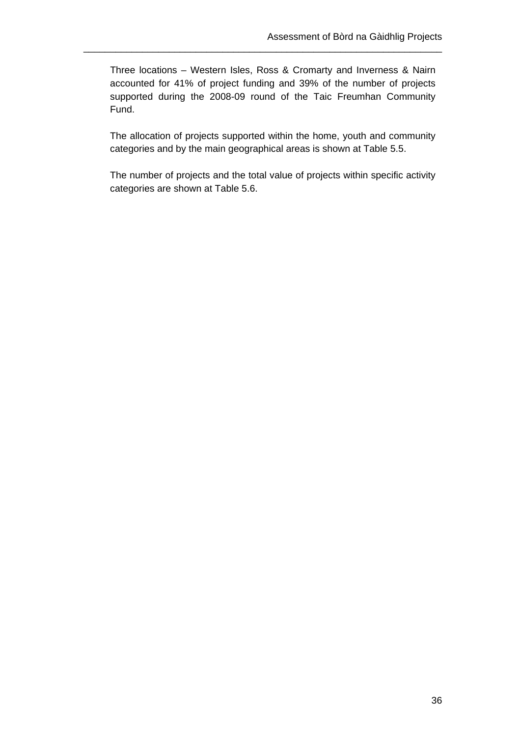Three locations – Western Isles, Ross & Cromarty and Inverness & Nairn accounted for 41% of project funding and 39% of the number of projects supported during the 2008-09 round of the Taic Freumhan Community Fund.

\_\_\_\_\_\_\_\_\_\_\_\_\_\_\_\_\_\_\_\_\_\_\_\_\_\_\_\_\_\_\_\_\_\_\_\_\_\_\_\_\_\_\_\_\_\_\_\_\_\_\_\_\_\_\_\_\_\_\_\_\_\_\_\_\_\_\_

The allocation of projects supported within the home, youth and community categories and by the main geographical areas is shown at Table 5.5.

The number of projects and the total value of projects within specific activity categories are shown at Table 5.6.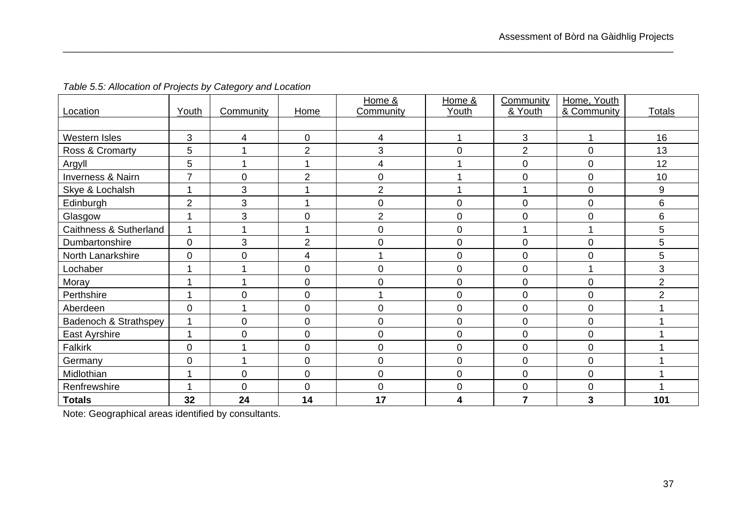| Location               | Youth          | Community    | Home           | Home &<br>Community | Home &<br>Youth | Community<br>& Youth | Home, Youth<br>& Community | <b>Totals</b>    |
|------------------------|----------------|--------------|----------------|---------------------|-----------------|----------------------|----------------------------|------------------|
|                        |                |              |                |                     |                 |                      |                            |                  |
| Western Isles          | 3              | 4            | 0              | 4                   |                 | 3                    |                            | 16               |
| Ross & Cromarty        | 5              |              | $\overline{2}$ | 3                   | $\overline{0}$  | $\overline{2}$       | $\mathbf 0$                | 13               |
| Argyll                 | 5              |              |                | 4                   |                 | $\mathsf 0$          | 0                          | 12               |
| Inverness & Nairn      | 7              | $\mathbf 0$  | $\overline{2}$ | 0                   |                 | 0                    | 0                          | 10               |
| Skye & Lochalsh        |                | 3            |                | $\overline{2}$      |                 |                      | 0                          | $\boldsymbol{9}$ |
| Edinburgh              | $\overline{2}$ | 3            |                | 0                   | $\mathbf 0$     | 0                    | 0                          | 6                |
| Glasgow                |                | 3            | 0              | $\overline{2}$      | $\mathbf 0$     | 0                    | 0                          | 6                |
| Caithness & Sutherland |                |              |                | $\overline{0}$      | $\overline{0}$  | 1                    | 1                          | 5                |
| Dumbartonshire         | $\mathbf 0$    | $\mathbf{3}$ | $\overline{2}$ | 0                   | $\mathbf 0$     | $\mathsf 0$          | 0                          | 5                |
| North Lanarkshire      | $\mathbf 0$    | $\mathbf 0$  | 4              |                     | $\mathbf 0$     | 0                    | 0                          | 5                |
| Lochaber               |                |              | 0              | 0                   | $\overline{0}$  | 0                    | 1                          | 3                |
| Moray                  |                |              | 0              | 0                   | $\overline{0}$  | $\mathsf 0$          | 0                          | $\overline{2}$   |
| Perthshire             |                | $\mathbf 0$  | 0              |                     | $\mathbf 0$     | $\boldsymbol{0}$     | 0                          | $\overline{2}$   |
| Aberdeen               | $\overline{0}$ |              | 0              | 0                   | $\overline{0}$  | $\boldsymbol{0}$     | 0                          |                  |
| Badenoch & Strathspey  | 1              | $\mathbf 0$  | 0              | $\mathbf 0$         | $\mathbf 0$     | $\mathsf 0$          | 0                          |                  |
| East Ayrshire          |                | $\mathbf 0$  | 0              | 0                   | $\mathbf 0$     | $\mathbf 0$          | $\overline{0}$             |                  |
| Falkirk                | $\overline{0}$ |              | 0              | 0                   | $\mathbf 0$     | 0                    | 0                          |                  |
| Germany                | $\overline{0}$ |              | 0              | 0                   | $\overline{0}$  | $\mathsf 0$          | 0                          |                  |
| Midlothian             |                | $\mathbf 0$  | 0              | 0                   | $\mathbf 0$     | 0                    | 0                          |                  |
| Renfrewshire           |                | $\mathbf 0$  | 0              | 0                   | $\mathbf 0$     | 0                    | 0                          |                  |
| <b>Totals</b>          | 32             | 24           | 14             | 17                  | 4               | $\overline{7}$       | 3                          | 101              |

*Table 5.5: Allocation of Projects by Category and Location* 

Note: Geographical areas identified by consultants.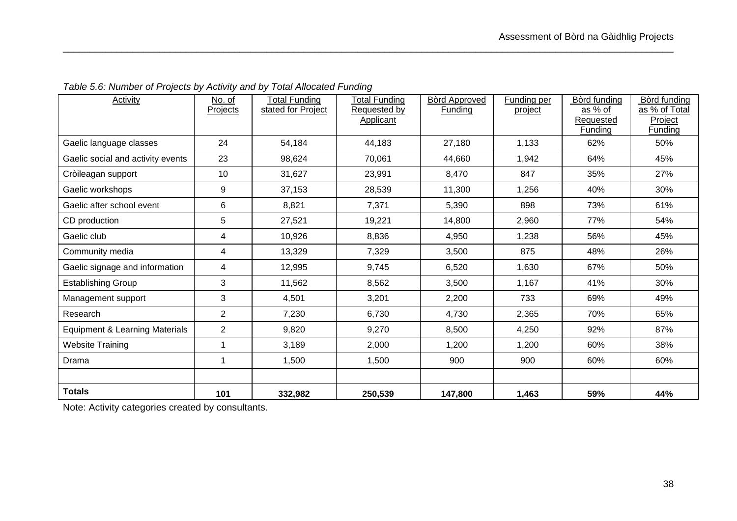| <b>Activity</b>                           | No. of         | <b>Total Funding</b> | <b>Total Funding</b> | <b>Bòrd Approved</b> | Funding per | Bòrd funding | Bòrd funding  |
|-------------------------------------------|----------------|----------------------|----------------------|----------------------|-------------|--------------|---------------|
|                                           | Projects       | stated for Project   | Requested by         | <b>Funding</b>       | project     | as % of      | as % of Total |
|                                           |                |                      | Applicant            |                      |             | Requested    | Project       |
|                                           |                |                      |                      |                      |             | Funding      | Funding       |
| Gaelic language classes                   | 24             | 54,184               | 44,183               | 27,180               | 1,133       | 62%          | 50%           |
| Gaelic social and activity events         | 23             | 98,624               | 70,061               | 44,660               | 1,942       | 64%          | 45%           |
| Cròileagan support                        | 10             | 31,627               | 23,991               | 8,470                | 847         | 35%          | 27%           |
| Gaelic workshops                          | 9              | 37,153               | 28,539               | 11,300               | 1,256       | 40%          | 30%           |
| Gaelic after school event                 | 6              | 8,821                | 7,371                | 5,390                | 898         | 73%          | 61%           |
| CD production                             | 5              | 27,521               | 19,221               | 14,800               | 2,960       | 77%          | 54%           |
| Gaelic club                               | 4              | 10,926               | 8,836                | 4,950                | 1,238       | 56%          | 45%           |
| Community media                           | 4              | 13,329               | 7,329                | 3,500                | 875         | 48%          | 26%           |
| Gaelic signage and information            | 4              | 12,995               | 9,745                | 6,520                | 1,630       | 67%          | 50%           |
| <b>Establishing Group</b>                 | 3              | 11,562               | 8,562                | 3,500                | 1,167       | 41%          | 30%           |
| Management support                        | 3              | 4,501                | 3,201                | 2,200                | 733         | 69%          | 49%           |
| Research                                  | $\overline{2}$ | 7,230                | 6,730                | 4,730                | 2,365       | 70%          | 65%           |
| <b>Equipment &amp; Learning Materials</b> | $\overline{2}$ | 9,820                | 9,270                | 8,500                | 4,250       | 92%          | 87%           |
| <b>Website Training</b>                   | 1              | 3,189                | 2,000                | 1,200                | 1,200       | 60%          | 38%           |
| Drama                                     | 1              | 1,500                | 1,500                | 900                  | 900         | 60%          | 60%           |
|                                           |                |                      |                      |                      |             |              |               |
| <b>Totals</b>                             | 101            | 332,982              | 250,539              | 147,800              | 1,463       | 59%          | 44%           |

*Table 5.6: Number of Projects by Activity and by Total Allocated Funding* 

Note: Activity categories created by consultants.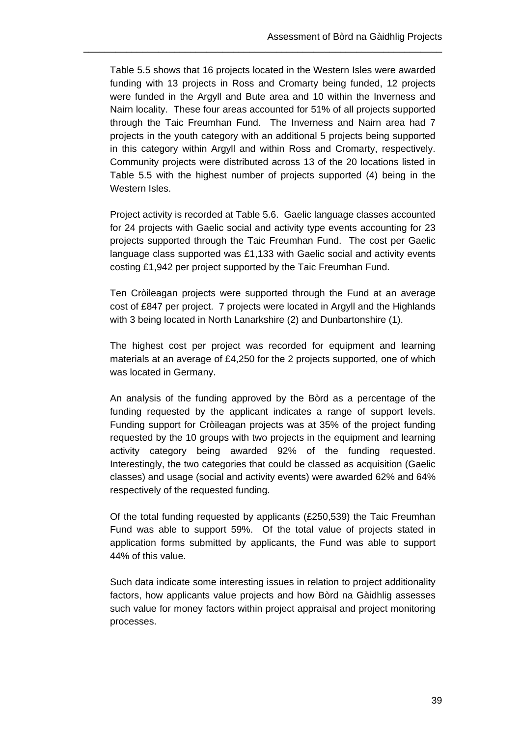Table 5.5 shows that 16 projects located in the Western Isles were awarded funding with 13 projects in Ross and Cromarty being funded, 12 projects were funded in the Argyll and Bute area and 10 within the Inverness and Nairn locality. These four areas accounted for 51% of all projects supported through the Taic Freumhan Fund. The Inverness and Nairn area had 7 projects in the youth category with an additional 5 projects being supported in this category within Argyll and within Ross and Cromarty, respectively. Community projects were distributed across 13 of the 20 locations listed in Table 5.5 with the highest number of projects supported (4) being in the Western Isles.

\_\_\_\_\_\_\_\_\_\_\_\_\_\_\_\_\_\_\_\_\_\_\_\_\_\_\_\_\_\_\_\_\_\_\_\_\_\_\_\_\_\_\_\_\_\_\_\_\_\_\_\_\_\_\_\_\_\_\_\_\_\_\_\_\_\_\_

Project activity is recorded at Table 5.6. Gaelic language classes accounted for 24 projects with Gaelic social and activity type events accounting for 23 projects supported through the Taic Freumhan Fund. The cost per Gaelic language class supported was £1,133 with Gaelic social and activity events costing £1,942 per project supported by the Taic Freumhan Fund.

Ten Cròileagan projects were supported through the Fund at an average cost of £847 per project. 7 projects were located in Argyll and the Highlands with 3 being located in North Lanarkshire (2) and Dunbartonshire (1).

The highest cost per project was recorded for equipment and learning materials at an average of £4,250 for the 2 projects supported, one of which was located in Germany.

An analysis of the funding approved by the Bòrd as a percentage of the funding requested by the applicant indicates a range of support levels. Funding support for Cròileagan projects was at 35% of the project funding requested by the 10 groups with two projects in the equipment and learning activity category being awarded 92% of the funding requested. Interestingly, the two categories that could be classed as acquisition (Gaelic classes) and usage (social and activity events) were awarded 62% and 64% respectively of the requested funding.

Of the total funding requested by applicants (£250,539) the Taic Freumhan Fund was able to support 59%. Of the total value of projects stated in application forms submitted by applicants, the Fund was able to support 44% of this value.

Such data indicate some interesting issues in relation to project additionality factors, how applicants value projects and how Bòrd na Gàidhlig assesses such value for money factors within project appraisal and project monitoring processes.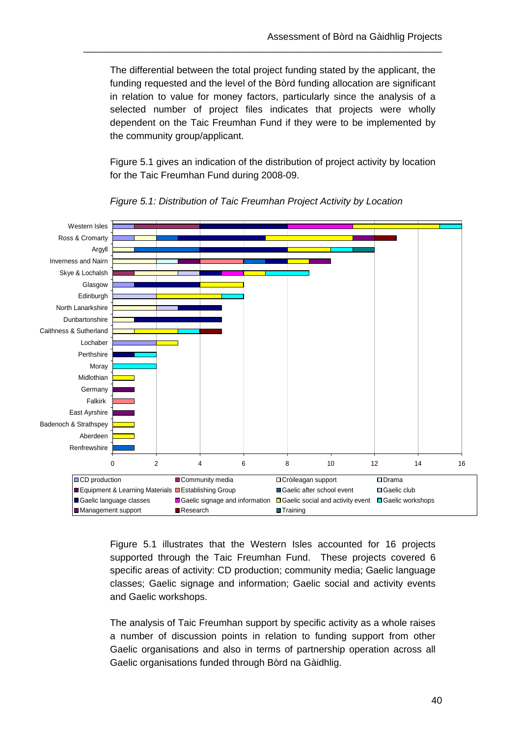The differential between the total project funding stated by the applicant, the funding requested and the level of the Bòrd funding allocation are significant in relation to value for money factors, particularly since the analysis of a selected number of project files indicates that projects were wholly dependent on the Taic Freumhan Fund if they were to be implemented by the community group/applicant.

\_\_\_\_\_\_\_\_\_\_\_\_\_\_\_\_\_\_\_\_\_\_\_\_\_\_\_\_\_\_\_\_\_\_\_\_\_\_\_\_\_\_\_\_\_\_\_\_\_\_\_\_\_\_\_\_\_\_\_\_\_\_\_\_\_\_\_

Figure 5.1 gives an indication of the distribution of project activity by location for the Taic Freumhan Fund during 2008-09.



*Figure 5.1: Distribution of Taic Freumhan Project Activity by Location* 

Figure 5.1 illustrates that the Western Isles accounted for 16 projects supported through the Taic Freumhan Fund. These projects covered 6 specific areas of activity: CD production; community media; Gaelic language classes; Gaelic signage and information; Gaelic social and activity events and Gaelic workshops.

The analysis of Taic Freumhan support by specific activity as a whole raises a number of discussion points in relation to funding support from other Gaelic organisations and also in terms of partnership operation across all Gaelic organisations funded through Bòrd na Gàidhlig.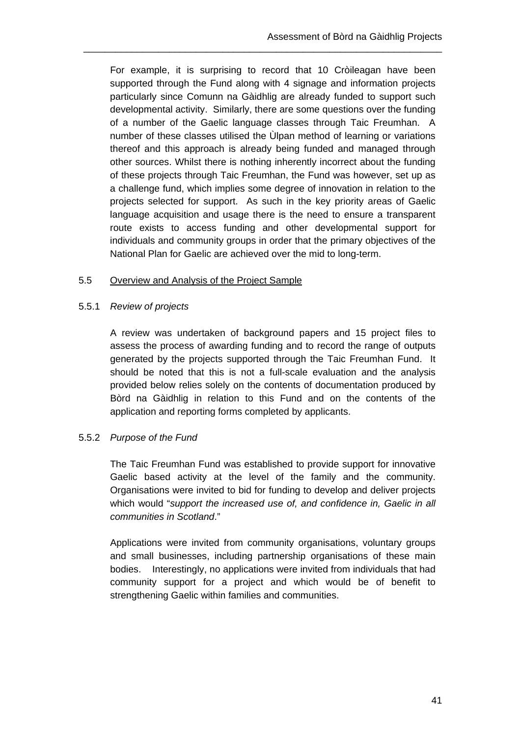For example, it is surprising to record that 10 Cròileagan have been supported through the Fund along with 4 signage and information projects particularly since Comunn na Gàidhlig are already funded to support such developmental activity. Similarly, there are some questions over the funding of a number of the Gaelic language classes through Taic Freumhan. A number of these classes utilised the Ùlpan method of learning or variations thereof and this approach is already being funded and managed through other sources. Whilst there is nothing inherently incorrect about the funding of these projects through Taic Freumhan, the Fund was however, set up as a challenge fund, which implies some degree of innovation in relation to the projects selected for support. As such in the key priority areas of Gaelic language acquisition and usage there is the need to ensure a transparent route exists to access funding and other developmental support for individuals and community groups in order that the primary objectives of the National Plan for Gaelic are achieved over the mid to long-term.

\_\_\_\_\_\_\_\_\_\_\_\_\_\_\_\_\_\_\_\_\_\_\_\_\_\_\_\_\_\_\_\_\_\_\_\_\_\_\_\_\_\_\_\_\_\_\_\_\_\_\_\_\_\_\_\_\_\_\_\_\_\_\_\_\_\_\_

### 5.5 Overview and Analysis of the Project Sample

### 5.5.1 *Review of projects*

A review was undertaken of background papers and 15 project files to assess the process of awarding funding and to record the range of outputs generated by the projects supported through the Taic Freumhan Fund. It should be noted that this is not a full-scale evaluation and the analysis provided below relies solely on the contents of documentation produced by Bòrd na Gàidhlig in relation to this Fund and on the contents of the application and reporting forms completed by applicants.

## 5.5.2 *Purpose of the Fund*

The Taic Freumhan Fund was established to provide support for innovative Gaelic based activity at the level of the family and the community. Organisations were invited to bid for funding to develop and deliver projects which would "*support the increased use of, and confidence in, Gaelic in all communities in Scotland*."

Applications were invited from community organisations, voluntary groups and small businesses, including partnership organisations of these main bodies. Interestingly, no applications were invited from individuals that had community support for a project and which would be of benefit to strengthening Gaelic within families and communities.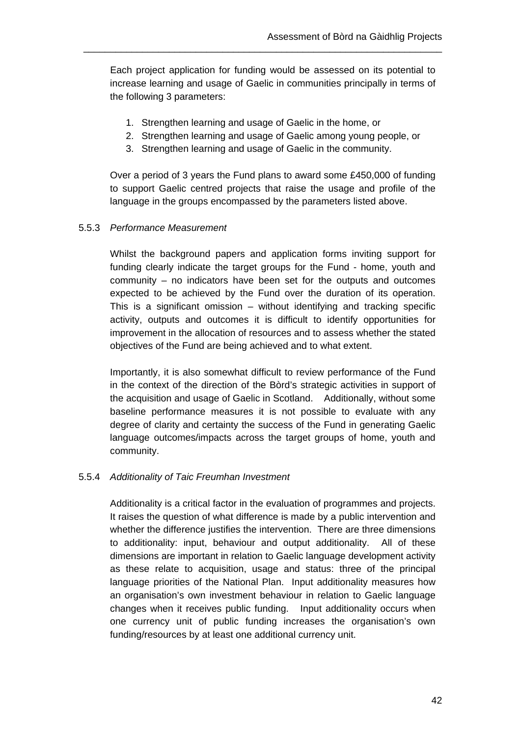Each project application for funding would be assessed on its potential to increase learning and usage of Gaelic in communities principally in terms of the following 3 parameters:

\_\_\_\_\_\_\_\_\_\_\_\_\_\_\_\_\_\_\_\_\_\_\_\_\_\_\_\_\_\_\_\_\_\_\_\_\_\_\_\_\_\_\_\_\_\_\_\_\_\_\_\_\_\_\_\_\_\_\_\_\_\_\_\_\_\_\_

- 1. Strengthen learning and usage of Gaelic in the home, or
- 2. Strengthen learning and usage of Gaelic among young people, or
- 3. Strengthen learning and usage of Gaelic in the community.

Over a period of 3 years the Fund plans to award some £450,000 of funding to support Gaelic centred projects that raise the usage and profile of the language in the groups encompassed by the parameters listed above.

#### 5.5.3 *Performance Measurement*

Whilst the background papers and application forms inviting support for funding clearly indicate the target groups for the Fund - home, youth and community – no indicators have been set for the outputs and outcomes expected to be achieved by the Fund over the duration of its operation. This is a significant omission – without identifying and tracking specific activity, outputs and outcomes it is difficult to identify opportunities for improvement in the allocation of resources and to assess whether the stated objectives of the Fund are being achieved and to what extent.

Importantly, it is also somewhat difficult to review performance of the Fund in the context of the direction of the Bòrd's strategic activities in support of the acquisition and usage of Gaelic in Scotland. Additionally, without some baseline performance measures it is not possible to evaluate with any degree of clarity and certainty the success of the Fund in generating Gaelic language outcomes/impacts across the target groups of home, youth and community.

#### 5.5.4 *Additionality of Taic Freumhan Investment*

Additionality is a critical factor in the evaluation of programmes and projects. It raises the question of what difference is made by a public intervention and whether the difference justifies the intervention. There are three dimensions to additionality: input, behaviour and output additionality. All of these dimensions are important in relation to Gaelic language development activity as these relate to acquisition, usage and status: three of the principal language priorities of the National Plan. Input additionality measures how an organisation's own investment behaviour in relation to Gaelic language changes when it receives public funding. Input additionality occurs when one currency unit of public funding increases the organisation's own funding/resources by at least one additional currency unit.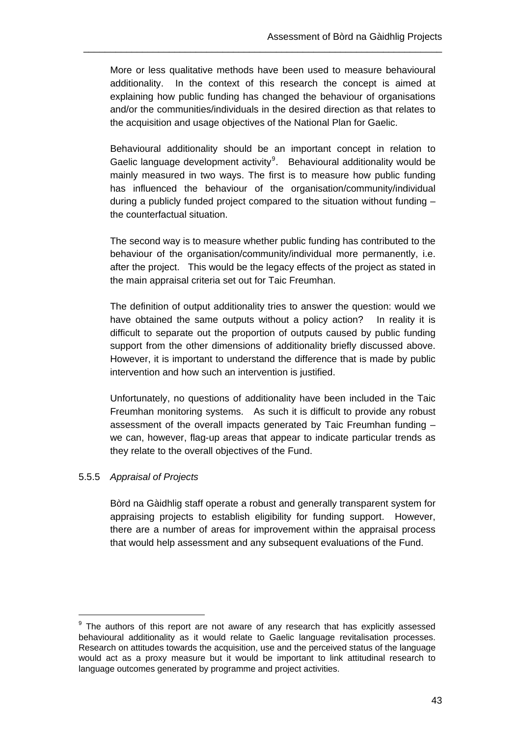More or less qualitative methods have been used to measure behavioural additionality. In the context of this research the concept is aimed at explaining how public funding has changed the behaviour of organisations and/or the communities/individuals in the desired direction as that relates to the acquisition and usage objectives of the National Plan for Gaelic.

\_\_\_\_\_\_\_\_\_\_\_\_\_\_\_\_\_\_\_\_\_\_\_\_\_\_\_\_\_\_\_\_\_\_\_\_\_\_\_\_\_\_\_\_\_\_\_\_\_\_\_\_\_\_\_\_\_\_\_\_\_\_\_\_\_\_\_

Behavioural additionality should be an important concept in relation to Gaelic language development activity $9$ . Behavioural additionality would be mainly measured in two ways. The first is to measure how public funding has influenced the behaviour of the organisation/community/individual during a publicly funded project compared to the situation without funding – the counterfactual situation.

The second way is to measure whether public funding has contributed to the behaviour of the organisation/community/individual more permanently, i.e. after the project. This would be the legacy effects of the project as stated in the main appraisal criteria set out for Taic Freumhan.

The definition of output additionality tries to answer the question: would we have obtained the same outputs without a policy action? In reality it is difficult to separate out the proportion of outputs caused by public funding support from the other dimensions of additionality briefly discussed above. However, it is important to understand the difference that is made by public intervention and how such an intervention is justified.

Unfortunately, no questions of additionality have been included in the Taic Freumhan monitoring systems. As such it is difficult to provide any robust assessment of the overall impacts generated by Taic Freumhan funding – we can, however, flag-up areas that appear to indicate particular trends as they relate to the overall objectives of the Fund.

### 5.5.5 *Appraisal of Projects*

 $\overline{a}$ 

Bòrd na Gàidhlig staff operate a robust and generally transparent system for appraising projects to establish eligibility for funding support. However, there are a number of areas for improvement within the appraisal process that would help assessment and any subsequent evaluations of the Fund.

<span id="page-49-0"></span> $9$  The authors of this report are not aware of any research that has explicitly assessed behavioural additionality as it would relate to Gaelic language revitalisation processes. Research on attitudes towards the acquisition, use and the perceived status of the language would act as a proxy measure but it would be important to link attitudinal research to language outcomes generated by programme and project activities.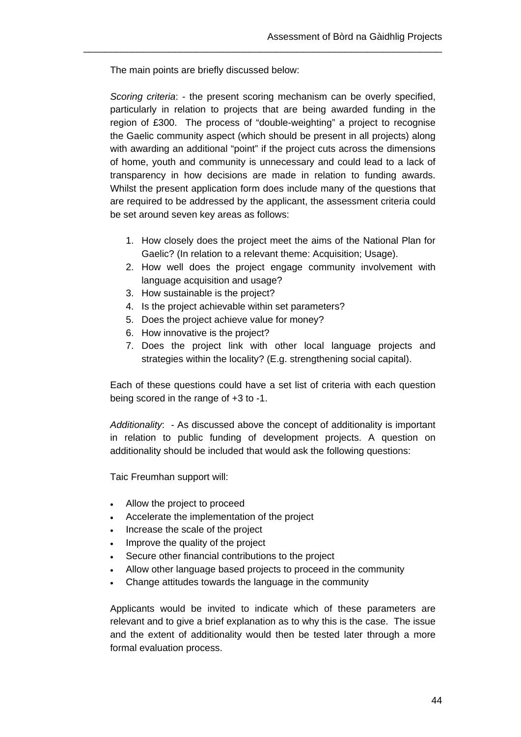The main points are briefly discussed below:

*Scoring criteria*: - the present scoring mechanism can be overly specified, particularly in relation to projects that are being awarded funding in the region of £300. The process of "double-weighting" a project to recognise the Gaelic community aspect (which should be present in all projects) along with awarding an additional "point" if the project cuts across the dimensions of home, youth and community is unnecessary and could lead to a lack of transparency in how decisions are made in relation to funding awards. Whilst the present application form does include many of the questions that are required to be addressed by the applicant, the assessment criteria could be set around seven key areas as follows:

\_\_\_\_\_\_\_\_\_\_\_\_\_\_\_\_\_\_\_\_\_\_\_\_\_\_\_\_\_\_\_\_\_\_\_\_\_\_\_\_\_\_\_\_\_\_\_\_\_\_\_\_\_\_\_\_\_\_\_\_\_\_\_\_\_\_\_

- 1. How closely does the project meet the aims of the National Plan for Gaelic? (In relation to a relevant theme: Acquisition; Usage).
- 2. How well does the project engage community involvement with language acquisition and usage?
- 3. How sustainable is the project?
- 4. Is the project achievable within set parameters?
- 5. Does the project achieve value for money?
- 6. How innovative is the project?
- 7. Does the project link with other local language projects and strategies within the locality? (E.g. strengthening social capital).

Each of these questions could have a set list of criteria with each question being scored in the range of +3 to -1.

*Additionality*: - As discussed above the concept of additionality is important in relation to public funding of development projects. A question on additionality should be included that would ask the following questions:

Taic Freumhan support will:

- Allow the project to proceed
- Accelerate the implementation of the project
- Increase the scale of the project
- Improve the quality of the project
- Secure other financial contributions to the project
- Allow other language based projects to proceed in the community
- Change attitudes towards the language in the community

Applicants would be invited to indicate which of these parameters are relevant and to give a brief explanation as to why this is the case. The issue and the extent of additionality would then be tested later through a more formal evaluation process.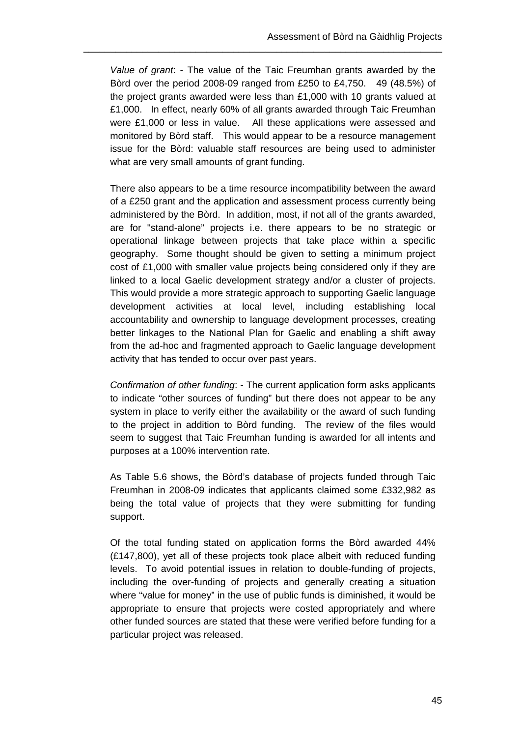*Value of grant*: - The value of the Taic Freumhan grants awarded by the Bòrd over the period 2008-09 ranged from £250 to £4,750. 49 (48.5%) of the project grants awarded were less than £1,000 with 10 grants valued at £1,000. In effect, nearly 60% of all grants awarded through Taic Freumhan were £1,000 or less in value. All these applications were assessed and monitored by Bòrd staff. This would appear to be a resource management issue for the Bòrd: valuable staff resources are being used to administer what are very small amounts of grant funding.

\_\_\_\_\_\_\_\_\_\_\_\_\_\_\_\_\_\_\_\_\_\_\_\_\_\_\_\_\_\_\_\_\_\_\_\_\_\_\_\_\_\_\_\_\_\_\_\_\_\_\_\_\_\_\_\_\_\_\_\_\_\_\_\_\_\_\_

There also appears to be a time resource incompatibility between the award of a £250 grant and the application and assessment process currently being administered by the Bòrd. In addition, most, if not all of the grants awarded, are for "stand-alone" projects i.e. there appears to be no strategic or operational linkage between projects that take place within a specific geography. Some thought should be given to setting a minimum project cost of £1,000 with smaller value projects being considered only if they are linked to a local Gaelic development strategy and/or a cluster of projects. This would provide a more strategic approach to supporting Gaelic language development activities at local level, including establishing local accountability and ownership to language development processes, creating better linkages to the National Plan for Gaelic and enabling a shift away from the ad-hoc and fragmented approach to Gaelic language development activity that has tended to occur over past years.

*Confirmation of other funding*: - The current application form asks applicants to indicate "other sources of funding" but there does not appear to be any system in place to verify either the availability or the award of such funding to the project in addition to Bòrd funding. The review of the files would seem to suggest that Taic Freumhan funding is awarded for all intents and purposes at a 100% intervention rate.

As Table 5.6 shows, the Bòrd's database of projects funded through Taic Freumhan in 2008-09 indicates that applicants claimed some £332,982 as being the total value of projects that they were submitting for funding support.

Of the total funding stated on application forms the Bòrd awarded 44% (£147,800), yet all of these projects took place albeit with reduced funding levels. To avoid potential issues in relation to double-funding of projects, including the over-funding of projects and generally creating a situation where "value for money" in the use of public funds is diminished, it would be appropriate to ensure that projects were costed appropriately and where other funded sources are stated that these were verified before funding for a particular project was released.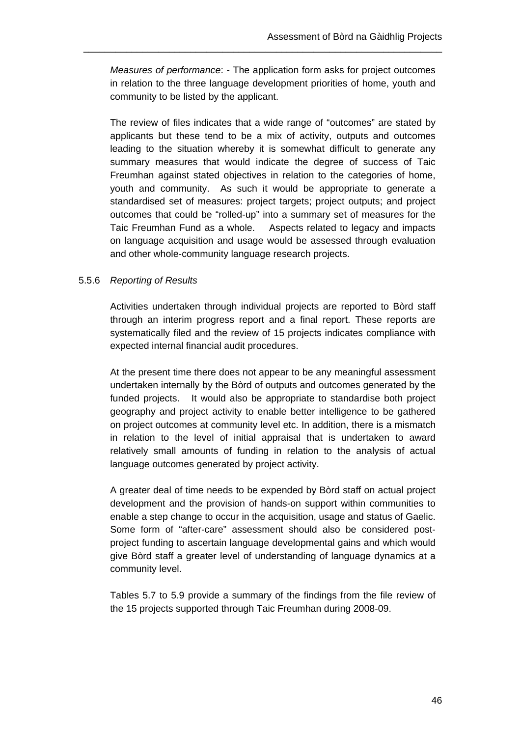*Measures of performance*: - The application form asks for project outcomes in relation to the three language development priorities of home, youth and community to be listed by the applicant.

\_\_\_\_\_\_\_\_\_\_\_\_\_\_\_\_\_\_\_\_\_\_\_\_\_\_\_\_\_\_\_\_\_\_\_\_\_\_\_\_\_\_\_\_\_\_\_\_\_\_\_\_\_\_\_\_\_\_\_\_\_\_\_\_\_\_\_

The review of files indicates that a wide range of "outcomes" are stated by applicants but these tend to be a mix of activity, outputs and outcomes leading to the situation whereby it is somewhat difficult to generate any summary measures that would indicate the degree of success of Taic Freumhan against stated objectives in relation to the categories of home, youth and community. As such it would be appropriate to generate a standardised set of measures: project targets; project outputs; and project outcomes that could be "rolled-up" into a summary set of measures for the Taic Freumhan Fund as a whole. Aspects related to legacy and impacts on language acquisition and usage would be assessed through evaluation and other whole-community language research projects.

#### 5.5.6 *Reporting of Results*

Activities undertaken through individual projects are reported to Bòrd staff through an interim progress report and a final report. These reports are systematically filed and the review of 15 projects indicates compliance with expected internal financial audit procedures.

At the present time there does not appear to be any meaningful assessment undertaken internally by the Bòrd of outputs and outcomes generated by the funded projects. It would also be appropriate to standardise both project geography and project activity to enable better intelligence to be gathered on project outcomes at community level etc. In addition, there is a mismatch in relation to the level of initial appraisal that is undertaken to award relatively small amounts of funding in relation to the analysis of actual language outcomes generated by project activity.

A greater deal of time needs to be expended by Bòrd staff on actual project development and the provision of hands-on support within communities to enable a step change to occur in the acquisition, usage and status of Gaelic. Some form of "after-care" assessment should also be considered postproject funding to ascertain language developmental gains and which would give Bòrd staff a greater level of understanding of language dynamics at a community level.

Tables 5.7 to 5.9 provide a summary of the findings from the file review of the 15 projects supported through Taic Freumhan during 2008-09.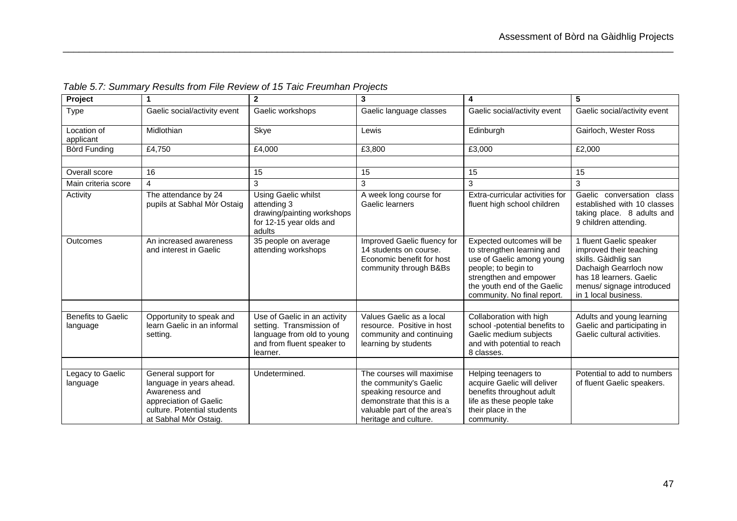| Project                               | 1                                                                                                                                                  | $\overline{2}$                                                                                                                   | 3                                                                                                                                                                  | $\overline{\mathbf{4}}$                                                                                                                                                                             | 5                                                                                                                                                                                    |
|---------------------------------------|----------------------------------------------------------------------------------------------------------------------------------------------------|----------------------------------------------------------------------------------------------------------------------------------|--------------------------------------------------------------------------------------------------------------------------------------------------------------------|-----------------------------------------------------------------------------------------------------------------------------------------------------------------------------------------------------|--------------------------------------------------------------------------------------------------------------------------------------------------------------------------------------|
| <b>Type</b>                           | Gaelic social/activity event                                                                                                                       | Gaelic workshops                                                                                                                 | Gaelic language classes                                                                                                                                            | Gaelic social/activity event                                                                                                                                                                        | Gaelic social/activity event                                                                                                                                                         |
| Location of<br>applicant              | Midlothian                                                                                                                                         | Skye                                                                                                                             | Lewis                                                                                                                                                              | Edinburgh                                                                                                                                                                                           | Gairloch, Wester Ross                                                                                                                                                                |
| Bòrd Funding                          | £4,750                                                                                                                                             | £4,000                                                                                                                           | £3,800                                                                                                                                                             | £3,000                                                                                                                                                                                              | £2,000                                                                                                                                                                               |
|                                       |                                                                                                                                                    |                                                                                                                                  |                                                                                                                                                                    |                                                                                                                                                                                                     |                                                                                                                                                                                      |
| Overall score                         | 16                                                                                                                                                 | 15                                                                                                                               | 15                                                                                                                                                                 | 15                                                                                                                                                                                                  | 15                                                                                                                                                                                   |
| Main criteria score                   | $\overline{4}$                                                                                                                                     | 3                                                                                                                                | 3                                                                                                                                                                  | 3                                                                                                                                                                                                   | 3                                                                                                                                                                                    |
| Activity                              | The attendance by 24<br>pupils at Sabhal Mòr Ostaig                                                                                                | Using Gaelic whilst<br>attending 3<br>drawing/painting workshops<br>for 12-15 year olds and<br>adults                            | A week long course for<br>Gaelic learners                                                                                                                          | Extra-curricular activities for<br>fluent high school children                                                                                                                                      | Gaelic conversation class<br>established with 10 classes<br>taking place. 8 adults and<br>9 children attending.                                                                      |
| Outcomes                              | An increased awareness<br>and interest in Gaelic                                                                                                   | 35 people on average<br>attending workshops                                                                                      | Improved Gaelic fluency for<br>14 students on course.<br>Economic benefit for host<br>community through B&Bs                                                       | Expected outcomes will be<br>to strengthen learning and<br>use of Gaelic among young<br>people; to begin to<br>strengthen and empower<br>the youth end of the Gaelic<br>community. No final report. | 1 fluent Gaelic speaker<br>improved their teaching<br>skills. Gàidhlig san<br>Dachaigh Gearrloch now<br>has 18 learners. Gaelic<br>menus/ signage introduced<br>in 1 local business. |
|                                       |                                                                                                                                                    |                                                                                                                                  |                                                                                                                                                                    |                                                                                                                                                                                                     |                                                                                                                                                                                      |
| <b>Benefits to Gaelic</b><br>language | Opportunity to speak and<br>learn Gaelic in an informal<br>setting.                                                                                | Use of Gaelic in an activity<br>setting. Transmission of<br>language from old to young<br>and from fluent speaker to<br>learner. | Values Gaelic as a local<br>resource. Positive in host<br>community and continuing<br>learning by students                                                         | Collaboration with high<br>school -potential benefits to<br>Gaelic medium subjects<br>and with potential to reach<br>8 classes.                                                                     | Adults and young learning<br>Gaelic and participating in<br>Gaelic cultural activities.                                                                                              |
|                                       |                                                                                                                                                    |                                                                                                                                  |                                                                                                                                                                    |                                                                                                                                                                                                     |                                                                                                                                                                                      |
| Legacy to Gaelic<br>language          | General support for<br>language in years ahead.<br>Awareness and<br>appreciation of Gaelic<br>culture. Potential students<br>at Sabhal Mòr Ostaig. | Undetermined.                                                                                                                    | The courses will maximise<br>the community's Gaelic<br>speaking resource and<br>demonstrate that this is a<br>valuable part of the area's<br>heritage and culture. | Helping teenagers to<br>acquire Gaelic will deliver<br>benefits throughout adult<br>life as these people take<br>their place in the<br>community.                                                   | Potential to add to numbers<br>of fluent Gaelic speakers.                                                                                                                            |

*Table 5.7: Summary Results from File Review of 15 Taic Freumhan Projects*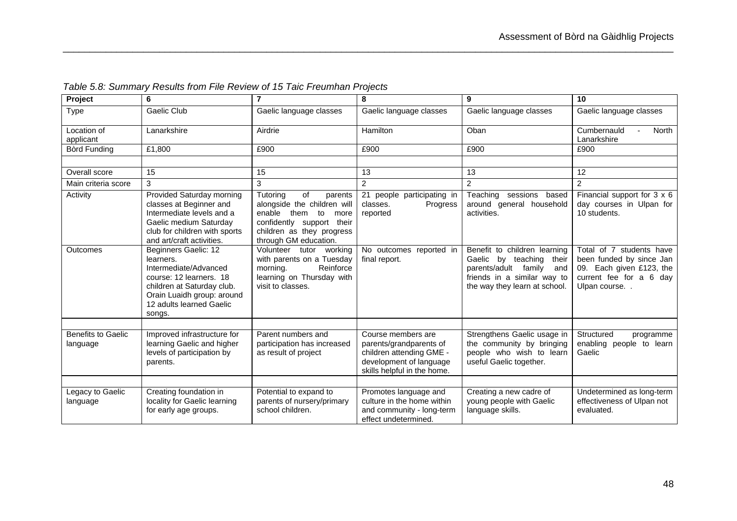| Project                               | 6                                                                                                                                                                                       | $\overline{7}$                                                                                                                                                              | 8                                                                                                                                   | 9                                                                                                                                                       | 10                                                                                                                          |
|---------------------------------------|-----------------------------------------------------------------------------------------------------------------------------------------------------------------------------------------|-----------------------------------------------------------------------------------------------------------------------------------------------------------------------------|-------------------------------------------------------------------------------------------------------------------------------------|---------------------------------------------------------------------------------------------------------------------------------------------------------|-----------------------------------------------------------------------------------------------------------------------------|
| <b>Type</b>                           | Gaelic Club                                                                                                                                                                             | Gaelic language classes                                                                                                                                                     | Gaelic language classes                                                                                                             | Gaelic language classes                                                                                                                                 | Gaelic language classes                                                                                                     |
| Location of<br>applicant              | Lanarkshire                                                                                                                                                                             | Airdrie                                                                                                                                                                     | Hamilton                                                                                                                            | Oban                                                                                                                                                    | Cumbernauld<br><b>North</b><br>Lanarkshire                                                                                  |
| Bòrd Funding                          | £1,800                                                                                                                                                                                  | £900                                                                                                                                                                        | £900                                                                                                                                | £900                                                                                                                                                    | £900                                                                                                                        |
|                                       |                                                                                                                                                                                         |                                                                                                                                                                             |                                                                                                                                     |                                                                                                                                                         |                                                                                                                             |
| Overall score                         | 15                                                                                                                                                                                      | 15                                                                                                                                                                          | 13                                                                                                                                  | 13                                                                                                                                                      | 12                                                                                                                          |
| Main criteria score                   | 3                                                                                                                                                                                       | 3                                                                                                                                                                           | $\overline{c}$                                                                                                                      | 2                                                                                                                                                       | $\overline{2}$                                                                                                              |
| Activity                              | Provided Saturday morning<br>classes at Beginner and<br>Intermediate levels and a<br>Gaelic medium Saturday<br>club for children with sports<br>and art/craft activities.               | Tutoring<br>οf<br>parents<br>alongside the children will<br>enable<br>them<br>to<br>more<br>confidently support their<br>children as they progress<br>through GM education. | 21 people participating in<br>classes.<br>Progress<br>reported                                                                      | Teaching sessions based<br>around general household<br>activities.                                                                                      | Financial support for 3 x 6<br>day courses in Ulpan for<br>10 students.                                                     |
| Outcomes                              | Beginners Gaelic: 12<br>learners.<br>Intermediate/Advanced<br>course: 12 learners. 18<br>children at Saturday club.<br>Orain Luaidh group: around<br>12 adults learned Gaelic<br>songs. | Volunteer tutor<br>working<br>with parents on a Tuesday<br>Reinforce<br>morning.<br>learning on Thursday with<br>visit to classes.                                          | No outcomes reported in<br>final report.                                                                                            | Benefit to children learning<br>Gaelic by teaching their<br>parents/adult family<br>and<br>friends in a similar way to<br>the way they learn at school. | Total of 7 students have<br>been funded by since Jan<br>09. Each given £123, the<br>current fee for a 6 day<br>Ulpan course |
| <b>Benefits to Gaelic</b><br>language | Improved infrastructure for<br>learning Gaelic and higher<br>levels of participation by<br>parents.                                                                                     | Parent numbers and<br>participation has increased<br>as result of project                                                                                                   | Course members are<br>parents/grandparents of<br>children attending GME -<br>development of language<br>skills helpful in the home. | Strengthens Gaelic usage in<br>the community by bringing<br>people who wish to learn<br>useful Gaelic together.                                         | Structured<br>programme<br>enabling people to learn<br>Gaelic                                                               |
| Legacy to Gaelic<br>language          | Creating foundation in<br>locality for Gaelic learning<br>for early age groups.                                                                                                         | Potential to expand to<br>parents of nursery/primary<br>school children.                                                                                                    | Promotes language and<br>culture in the home within<br>and community - long-term<br>effect undetermined.                            | Creating a new cadre of<br>young people with Gaelic<br>language skills.                                                                                 | Undetermined as long-term<br>effectiveness of Ulpan not<br>evaluated.                                                       |

*Table 5.8: Summary Results from File Review of 15 Taic Freumhan Projects*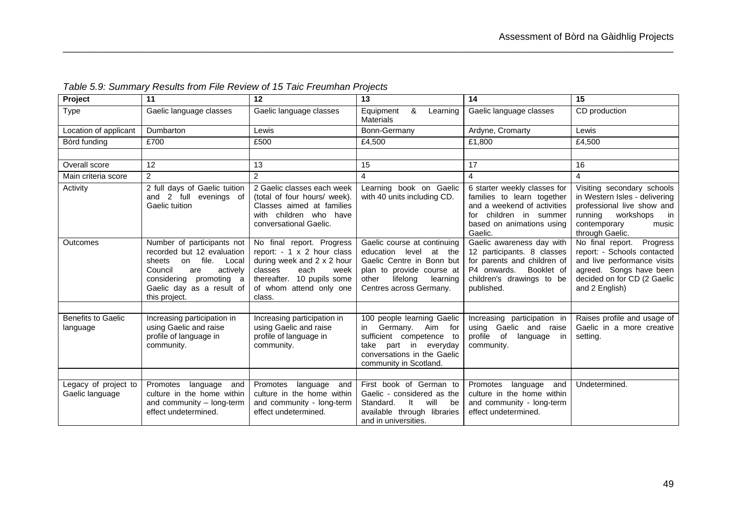| Project                                 | 11                                                                                                                                                                                                | 12                                                                                                                                                                                  | 13                                                                                                                                                                          | $\overline{14}$                                                                                                                                                | 15                                                                                                                                                                     |
|-----------------------------------------|---------------------------------------------------------------------------------------------------------------------------------------------------------------------------------------------------|-------------------------------------------------------------------------------------------------------------------------------------------------------------------------------------|-----------------------------------------------------------------------------------------------------------------------------------------------------------------------------|----------------------------------------------------------------------------------------------------------------------------------------------------------------|------------------------------------------------------------------------------------------------------------------------------------------------------------------------|
| <b>Type</b>                             | Gaelic language classes                                                                                                                                                                           | Gaelic language classes                                                                                                                                                             | Equipment<br>&<br>Learning<br><b>Materials</b>                                                                                                                              | Gaelic language classes                                                                                                                                        | CD production                                                                                                                                                          |
| Location of applicant                   | Dumbarton                                                                                                                                                                                         | Lewis                                                                                                                                                                               | Bonn-Germany                                                                                                                                                                | Ardyne, Cromarty                                                                                                                                               | Lewis                                                                                                                                                                  |
| Bòrd funding                            | £700                                                                                                                                                                                              | £500                                                                                                                                                                                | £4,500                                                                                                                                                                      | £1,800                                                                                                                                                         | £4,500                                                                                                                                                                 |
|                                         |                                                                                                                                                                                                   |                                                                                                                                                                                     |                                                                                                                                                                             |                                                                                                                                                                |                                                                                                                                                                        |
| Overall score                           | 12                                                                                                                                                                                                | 13                                                                                                                                                                                  | 15                                                                                                                                                                          | 17                                                                                                                                                             | 16                                                                                                                                                                     |
| Main criteria score                     | $\overline{2}$                                                                                                                                                                                    | $\overline{2}$                                                                                                                                                                      | 4                                                                                                                                                                           | $\overline{4}$                                                                                                                                                 | $\overline{4}$                                                                                                                                                         |
| Activity                                | 2 full days of Gaelic tuition<br>and 2 full evenings of<br>Gaelic tuition                                                                                                                         | 2 Gaelic classes each week<br>(total of four hours/ week).<br>Classes aimed at families<br>with children who have<br>conversational Gaelic.                                         | Learning book on Gaelic<br>with 40 units including CD.                                                                                                                      | 6 starter weekly classes for<br>families to learn together<br>and a weekend of activities<br>for children in summer<br>based on animations using<br>Gaelic.    | Visiting secondary schools<br>in Western Isles - delivering<br>professional live show and<br>running<br>workshops<br>in in<br>contemporary<br>music<br>through Gaelic. |
| Outcomes                                | Number of participants not<br>recorded but 12 evaluation<br>file.<br>sheets<br>Local<br>on<br>Council<br>actively<br>are<br>considering promoting a<br>Gaelic day as a result of<br>this project. | No final report. Progress<br>report: - 1 x 2 hour class<br>during week and 2 x 2 hour<br>each<br>classes<br>week<br>thereafter. 10 pupils some<br>of whom attend only one<br>class. | Gaelic course at continuing<br>education level at the<br>Gaelic Centre in Bonn but<br>plan to provide course at<br>lifelong<br>other<br>learning<br>Centres across Germany. | Gaelic awareness day with<br>12 participants. 8 classes<br>for parents and children of<br>Booklet of<br>P4 onwards.<br>children's drawings to be<br>published. | No final report. Progress<br>report: - Schools contacted<br>and live performance visits<br>agreed. Songs have been<br>decided on for CD (2 Gaelic<br>and 2 English)    |
| <b>Benefits to Gaelic</b><br>language   | Increasing participation in<br>using Gaelic and raise<br>profile of language in<br>community.                                                                                                     | Increasing participation in<br>using Gaelic and raise<br>profile of language in<br>community.                                                                                       | 100 people learning Gaelic<br>Germany. Aim<br>in<br>for<br>sufficient competence to<br>take part in everyday<br>conversations in the Gaelic<br>community in Scotland.       | Increasing participation in<br>using Gaelic and raise<br>profile<br>of<br>language in<br>community.                                                            | Raises profile and usage of<br>Gaelic in a more creative<br>setting.                                                                                                   |
|                                         |                                                                                                                                                                                                   |                                                                                                                                                                                     |                                                                                                                                                                             |                                                                                                                                                                |                                                                                                                                                                        |
| Legacy of project to<br>Gaelic language | language<br>Promotes<br>and<br>culture in the home within<br>and community - long-term<br>effect undetermined.                                                                                    | Promotes<br>language<br>and<br>culture in the home within<br>and community - long-term<br>effect undetermined.                                                                      | First book of German to<br>Gaelic - considered as the<br>Standard.<br>It<br>will<br>be<br>available through libraries<br>and in universities.                               | Promotes<br>language<br>and<br>culture in the home within<br>and community - long-term<br>effect undetermined.                                                 | Undetermined.                                                                                                                                                          |

*Table 5.9: Summary Results from File Review of 15 Taic Freumhan Projects*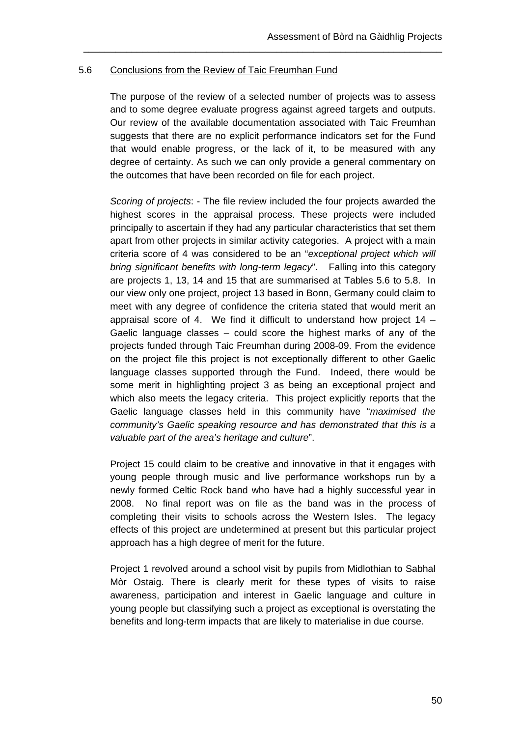### 5.6 Conclusions from the Review of Taic Freumhan Fund

The purpose of the review of a selected number of projects was to assess and to some degree evaluate progress against agreed targets and outputs. Our review of the available documentation associated with Taic Freumhan suggests that there are no explicit performance indicators set for the Fund that would enable progress, or the lack of it, to be measured with any degree of certainty. As such we can only provide a general commentary on the outcomes that have been recorded on file for each project.

\_\_\_\_\_\_\_\_\_\_\_\_\_\_\_\_\_\_\_\_\_\_\_\_\_\_\_\_\_\_\_\_\_\_\_\_\_\_\_\_\_\_\_\_\_\_\_\_\_\_\_\_\_\_\_\_\_\_\_\_\_\_\_\_\_\_\_

*Scoring of projects*: - The file review included the four projects awarded the highest scores in the appraisal process. These projects were included principally to ascertain if they had any particular characteristics that set them apart from other projects in similar activity categories. A project with a main criteria score of 4 was considered to be an "*exceptional project which will bring significant benefits with long-term legacy*". Falling into this category are projects 1, 13, 14 and 15 that are summarised at Tables 5.6 to 5.8. In our view only one project, project 13 based in Bonn, Germany could claim to meet with any degree of confidence the criteria stated that would merit an appraisal score of 4. We find it difficult to understand how project 14 – Gaelic language classes – could score the highest marks of any of the projects funded through Taic Freumhan during 2008-09. From the evidence on the project file this project is not exceptionally different to other Gaelic language classes supported through the Fund. Indeed, there would be some merit in highlighting project 3 as being an exceptional project and which also meets the legacy criteria. This project explicitly reports that the Gaelic language classes held in this community have "*maximised the community's Gaelic speaking resource and has demonstrated that this is a valuable part of the area's heritage and culture*".

Project 15 could claim to be creative and innovative in that it engages with young people through music and live performance workshops run by a newly formed Celtic Rock band who have had a highly successful year in 2008. No final report was on file as the band was in the process of completing their visits to schools across the Western Isles. The legacy effects of this project are undetermined at present but this particular project approach has a high degree of merit for the future.

Project 1 revolved around a school visit by pupils from Midlothian to Sabhal Mòr Ostaig. There is clearly merit for these types of visits to raise awareness, participation and interest in Gaelic language and culture in young people but classifying such a project as exceptional is overstating the benefits and long-term impacts that are likely to materialise in due course.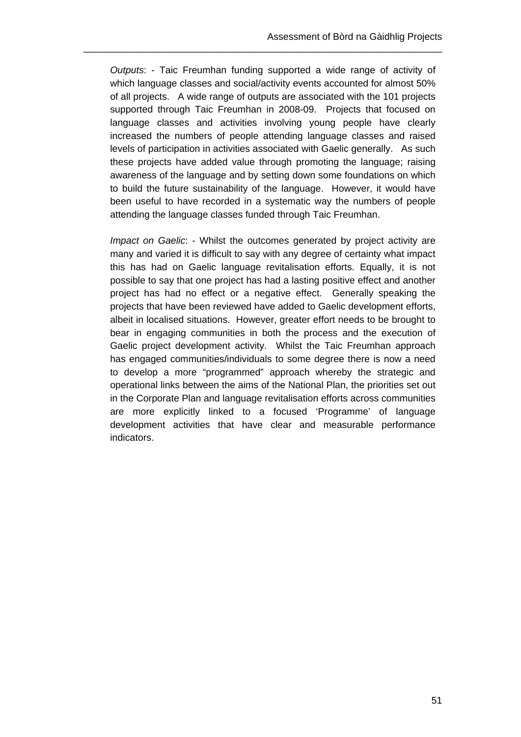*Outputs*: - Taic Freumhan funding supported a wide range of activity of which language classes and social/activity events accounted for almost 50% of all projects. A wide range of outputs are associated with the 101 projects supported through Taic Freumhan in 2008-09. Projects that focused on language classes and activities involving young people have clearly increased the numbers of people attending language classes and raised levels of participation in activities associated with Gaelic generally. As such these projects have added value through promoting the language; raising awareness of the language and by setting down some foundations on which to build the future sustainability of the language. However, it would have been useful to have recorded in a systematic way the numbers of people attending the language classes funded through Taic Freumhan.

\_\_\_\_\_\_\_\_\_\_\_\_\_\_\_\_\_\_\_\_\_\_\_\_\_\_\_\_\_\_\_\_\_\_\_\_\_\_\_\_\_\_\_\_\_\_\_\_\_\_\_\_\_\_\_\_\_\_\_\_\_\_\_\_\_\_\_

*Impact on Gaelic*: - Whilst the outcomes generated by project activity are many and varied it is difficult to say with any degree of certainty what impact this has had on Gaelic language revitalisation efforts. Equally, it is not possible to say that one project has had a lasting positive effect and another project has had no effect or a negative effect. Generally speaking the projects that have been reviewed have added to Gaelic development efforts, albeit in localised situations. However, greater effort needs to be brought to bear in engaging communities in both the process and the execution of Gaelic project development activity. Whilst the Taic Freumhan approach has engaged communities/individuals to some degree there is now a need to develop a more "programmed" approach whereby the strategic and operational links between the aims of the National Plan, the priorities set out in the Corporate Plan and language revitalisation efforts across communities are more explicitly linked to a focused 'Programme' of language development activities that have clear and measurable performance indicators.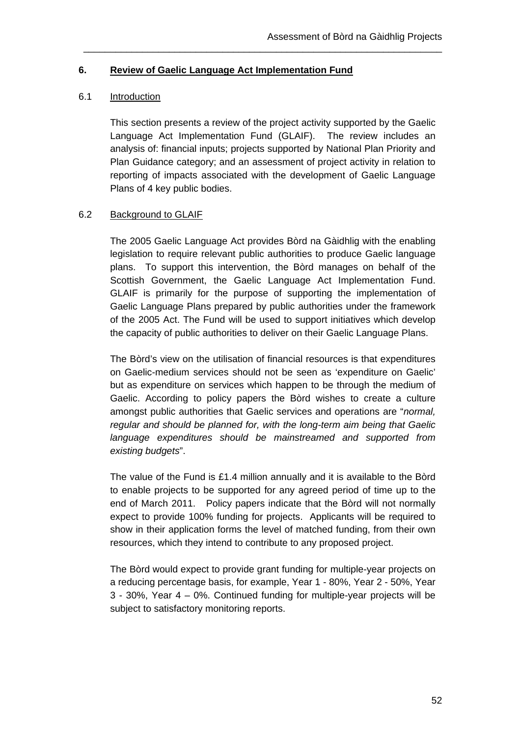### **6. Review of Gaelic Language Act Implementation Fund**

### 6.1 Introduction

This section presents a review of the project activity supported by the Gaelic Language Act Implementation Fund (GLAIF). The review includes an analysis of: financial inputs; projects supported by National Plan Priority and Plan Guidance category; and an assessment of project activity in relation to reporting of impacts associated with the development of Gaelic Language Plans of 4 key public bodies.

\_\_\_\_\_\_\_\_\_\_\_\_\_\_\_\_\_\_\_\_\_\_\_\_\_\_\_\_\_\_\_\_\_\_\_\_\_\_\_\_\_\_\_\_\_\_\_\_\_\_\_\_\_\_\_\_\_\_\_\_\_\_\_\_\_\_\_

## 6.2 Background to GLAIF

The 2005 Gaelic Language Act provides Bòrd na Gàidhlig with the enabling legislation to require relevant public authorities to produce Gaelic language plans. To support this intervention, the Bòrd manages on behalf of the Scottish Government, the Gaelic Language Act Implementation Fund. GLAIF is primarily for the purpose of supporting the implementation of Gaelic Language Plans prepared by public authorities under the framework of the 2005 Act. The Fund will be used to support initiatives which develop the capacity of public authorities to deliver on their Gaelic Language Plans.

The Bòrd's view on the utilisation of financial resources is that expenditures on Gaelic-medium services should not be seen as 'expenditure on Gaelic' but as expenditure on services which happen to be through the medium of Gaelic. According to policy papers the Bòrd wishes to create a culture amongst public authorities that Gaelic services and operations are "*normal, regular and should be planned for, with the long-term aim being that Gaelic language expenditures should be mainstreamed and supported from existing budgets*".

The value of the Fund is £1.4 million annually and it is available to the Bòrd to enable projects to be supported for any agreed period of time up to the end of March 2011. Policy papers indicate that the Bòrd will not normally expect to provide 100% funding for projects. Applicants will be required to show in their application forms the level of matched funding, from their own resources, which they intend to contribute to any proposed project.

The Bòrd would expect to provide grant funding for multiple-year projects on a reducing percentage basis, for example, Year 1 - 80%, Year 2 - 50%, Year 3 - 30%, Year 4 – 0%. Continued funding for multiple-year projects will be subject to satisfactory monitoring reports.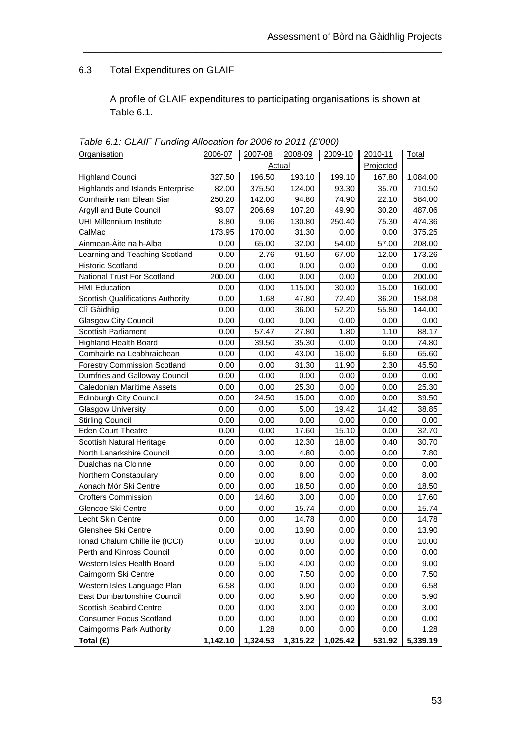# 6.3 Total Expenditures on GLAIF

A profile of GLAIF expenditures to participating organisations is shown at Table 6.1.

| Organisation                             | 2006-07  | 2007-08       | 2008-09  | 2009-10  | 2010-11   | Total    |
|------------------------------------------|----------|---------------|----------|----------|-----------|----------|
|                                          |          | <b>Actual</b> |          |          | Projected |          |
| <b>Highland Council</b>                  | 327.50   | 196.50        | 193.10   | 199.10   | 167.80    | 1,084.00 |
| Highlands and Islands Enterprise         | 82.00    | 375.50        | 124.00   | 93.30    | 35.70     | 710.50   |
| Comhairle nan Eilean Siar                | 250.20   | 142.00        | 94.80    | 74.90    | 22.10     | 584.00   |
| Argyll and Bute Council                  | 93.07    | 206.69        | 107.20   | 49.90    | 30.20     | 487.06   |
| <b>UHI Millennium Institute</b>          | 8.80     | 9.06          | 130.80   | 250.40   | 75.30     | 474.36   |
| CalMac                                   | 173.95   | 170.00        | 31.30    | 0.00     | 0.00      | 375.25   |
| Ainmean-Àite na h-Alba                   | 0.00     | 65.00         | 32.00    | 54.00    | 57.00     | 208.00   |
| Learning and Teaching Scotland           | 0.00     | 2.76          | 91.50    | 67.00    | 12.00     | 173.26   |
| <b>Historic Scotland</b>                 | 0.00     | 0.00          | 0.00     | 0.00     | 0.00      | 0.00     |
| National Trust For Scotland              | 200.00   | 0.00          | 0.00     | 0.00     | 0.00      | 200.00   |
| <b>HMI Education</b>                     | 0.00     | 0.00          | 115.00   | 30.00    | 15.00     | 160.00   |
| <b>Scottish Qualifications Authority</b> | 0.00     | 1.68          | 47.80    | 72.40    | 36.20     | 158.08   |
| Clì Gàidhlig                             | 0.00     | 0.00          | 36.00    | 52.20    | 55.80     | 144.00   |
| <b>Glasgow City Council</b>              | 0.00     | 0.00          | 0.00     | 0.00     | 0.00      | 0.00     |
| Scottish Parliament                      | 0.00     | 57.47         | 27.80    | 1.80     | 1.10      | 88.17    |
| <b>Highland Health Board</b>             | 0.00     | 39.50         | 35.30    | 0.00     | 0.00      | 74.80    |
| Comhairle na Leabhraichean               | 0.00     | 0.00          | 43.00    | 16.00    | 6.60      | 65.60    |
| <b>Forestry Commission Scotland</b>      | 0.00     | 0.00          | 31.30    | 11.90    | 2.30      | 45.50    |
| Dumfries and Galloway Council            | 0.00     | 0.00          | 0.00     | 0.00     | 0.00      | 0.00     |
| <b>Caledonian Maritime Assets</b>        | 0.00     | 0.00          | 25.30    | 0.00     | 0.00      | 25.30    |
| <b>Edinburgh City Council</b>            | 0.00     | 24.50         | 15.00    | 0.00     | 0.00      | 39.50    |
| <b>Glasgow University</b>                | 0.00     | 0.00          | 5.00     | 19.42    | 14.42     | 38.85    |
| <b>Stirling Council</b>                  | 0.00     | 0.00          | 0.00     | 0.00     | 0.00      | 0.00     |
| <b>Eden Court Theatre</b>                | 0.00     | 0.00          | 17.60    | 15.10    | 0.00      | 32.70    |
| Scottish Natural Heritage                | 0.00     | 0.00          | 12.30    | 18.00    | 0.40      | 30.70    |
| North Lanarkshire Council                | 0.00     | 3.00          | 4.80     | 0.00     | 0.00      | 7.80     |
| Dualchas na Cloinne                      | 0.00     | 0.00          | 0.00     | 0.00     | 0.00      | 0.00     |
| Northern Constabulary                    | 0.00     | 0.00          | 8.00     | 0.00     | 0.00      | 8.00     |
| Aonach Mòr Ski Centre                    | 0.00     | 0.00          | 18.50    | 0.00     | 0.00      | 18.50    |
| <b>Crofters Commission</b>               | 0.00     | 14.60         | 3.00     | 0.00     | 0.00      | 17.60    |
| Glencoe Ski Centre                       | 0.00     | 0.00          | 15.74    | 0.00     | 0.00      | 15.74    |
| Lecht Skin Centre                        | 0.00     | 0.00          | 14.78    | 0.00     | 0.00      | 14.78    |
| Glenshee Ski Centre                      | 0.00     | 0.00          | 13.90    | 0.00     | 0.00      | 13.90    |
| Ionad Chalum Chille Ile (ICCI)           | 0.00     | 10.00         | 0.00     | 0.00     | 0.00      | 10.00    |
| Perth and Kinross Council                | 0.00     | 0.00          | 0.00     | 0.00     | 0.00      | 0.00     |
| Western Isles Health Board               | 0.00     | 5.00          | 4.00     | 0.00     | 0.00      | 9.00     |
| Cairngorm Ski Centre                     | 0.00     | 0.00          | 7.50     | 0.00     | 0.00      | 7.50     |
| Western Isles Language Plan              | 6.58     | 0.00          | 0.00     | 0.00     | 0.00      | 6.58     |
| East Dumbartonshire Council              | 0.00     | 0.00          | 5.90     | 0.00     | 0.00      | 5.90     |
| Scottish Seabird Centre                  | 0.00     | 0.00          | 3.00     | 0.00     | 0.00      | 3.00     |
| <b>Consumer Focus Scotland</b>           | 0.00     | 0.00          | 0.00     | 0.00     | 0.00      | 0.00     |
| Cairngorms Park Authority                | 0.00     | 1.28          | 0.00     | 0.00     | 0.00      | 1.28     |
| Total (£)                                | 1,142.10 | 1,324.53      | 1,315.22 | 1,025.42 | 531.92    | 5,339.19 |

*Table 6.1: GLAIF Funding Allocation for 2006 to 2011 (£'000)*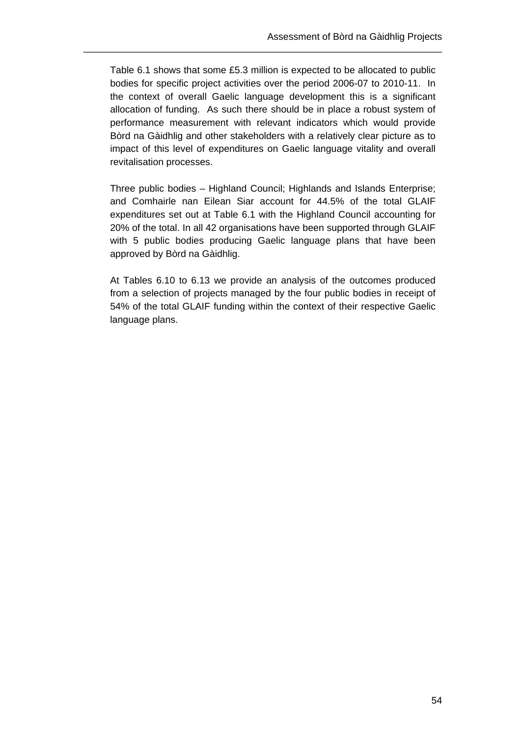Table 6.1 shows that some £5.3 million is expected to be allocated to public bodies for specific project activities over the period 2006-07 to 2010-11. In the context of overall Gaelic language development this is a significant allocation of funding. As such there should be in place a robust system of performance measurement with relevant indicators which would provide Bòrd na Gàidhlig and other stakeholders with a relatively clear picture as to impact of this level of expenditures on Gaelic language vitality and overall revitalisation processes.

\_\_\_\_\_\_\_\_\_\_\_\_\_\_\_\_\_\_\_\_\_\_\_\_\_\_\_\_\_\_\_\_\_\_\_\_\_\_\_\_\_\_\_\_\_\_\_\_\_\_\_\_\_\_\_\_\_\_\_\_\_\_\_\_\_\_\_

Three public bodies – Highland Council; Highlands and Islands Enterprise; and Comhairle nan Eilean Siar account for 44.5% of the total GLAIF expenditures set out at Table 6.1 with the Highland Council accounting for 20% of the total. In all 42 organisations have been supported through GLAIF with 5 public bodies producing Gaelic language plans that have been approved by Bòrd na Gàidhlig.

At Tables 6.10 to 6.13 we provide an analysis of the outcomes produced from a selection of projects managed by the four public bodies in receipt of 54% of the total GLAIF funding within the context of their respective Gaelic language plans.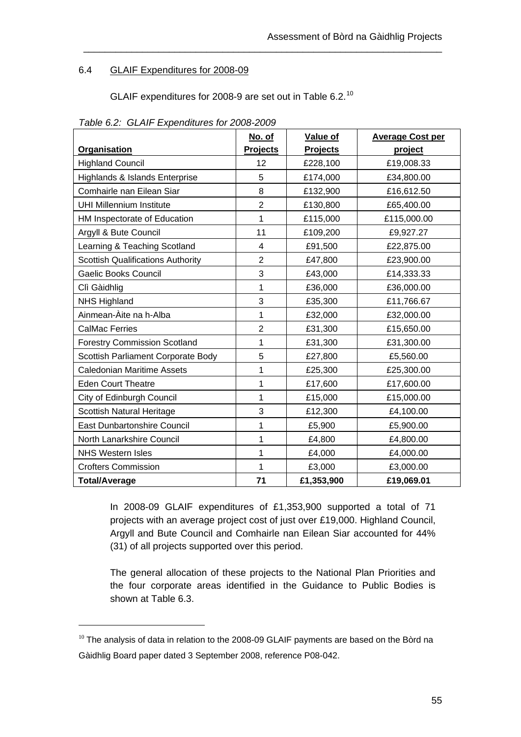## 6.4 GLAIF Expenditures for 2008-09

GLAIF expenditures for 2008-9 are set out in Table 6.2.[10](#page-61-0)

\_\_\_\_\_\_\_\_\_\_\_\_\_\_\_\_\_\_\_\_\_\_\_\_\_\_\_\_\_\_\_\_\_\_\_\_\_\_\_\_\_\_\_\_\_\_\_\_\_\_\_\_\_\_\_\_\_\_\_\_\_\_\_\_\_\_\_

|                                          | No. of          | Value of        | <b>Average Cost per</b> |
|------------------------------------------|-----------------|-----------------|-------------------------|
| Organisation                             | <b>Projects</b> | <b>Projects</b> | project                 |
| <b>Highland Council</b>                  | 12              | £228,100        | £19,008.33              |
| Highlands & Islands Enterprise           | 5               | £174,000        | £34,800.00              |
| Comhairle nan Eilean Siar                | 8               | £132,900        | £16,612.50              |
| <b>UHI Millennium Institute</b>          | $\overline{c}$  | £130,800        | £65,400.00              |
| HM Inspectorate of Education             | 1               | £115,000        | £115,000.00             |
| Argyll & Bute Council                    | 11              | £109,200        | £9,927.27               |
| Learning & Teaching Scotland             | 4               | £91,500         | £22,875.00              |
| <b>Scottish Qualifications Authority</b> | $\overline{2}$  | £47,800         | £23,900.00              |
| <b>Gaelic Books Council</b>              | 3               | £43,000         | £14,333.33              |
| Clì Gàidhlig                             | 1               | £36,000         | £36,000.00              |
| <b>NHS Highland</b>                      | 3               | £35,300         | £11,766.67              |
| Ainmean-Àite na h-Alba                   | 1               | £32,000         | £32,000.00              |
| <b>CalMac Ferries</b>                    | $\overline{2}$  | £31,300         | £15,650.00              |
| <b>Forestry Commission Scotland</b>      | 1               | £31,300         | £31,300.00              |
| Scottish Parliament Corporate Body       | 5               | £27,800         | £5,560.00               |
| <b>Caledonian Maritime Assets</b>        | 1               | £25,300         | £25,300.00              |
| <b>Eden Court Theatre</b>                | 1               | £17,600         | £17,600.00              |
| City of Edinburgh Council                | 1               | £15,000         | £15,000.00              |
| <b>Scottish Natural Heritage</b>         | 3               | £12,300         | £4,100.00               |
| <b>East Dunbartonshire Council</b>       | 1               | £5,900          | £5,900.00               |
| North Lanarkshire Council                | 1               | £4,800          | £4,800.00               |
| <b>NHS Western Isles</b>                 | 1               | £4,000          | £4,000.00               |
| <b>Crofters Commission</b>               | 1               | £3,000          | £3,000.00               |
| <b>Total/Average</b>                     | 71              | £1,353,900      | £19,069.01              |

*Table 6.2: GLAIF Expenditures for 2008-2009* 

In 2008-09 GLAIF expenditures of £1,353,900 supported a total of 71 projects with an average project cost of just over £19,000. Highland Council, Argyll and Bute Council and Comhairle nan Eilean Siar accounted for 44% (31) of all projects supported over this period.

The general allocation of these projects to the National Plan Priorities and the four corporate areas identified in the Guidance to Public Bodies is shown at Table 6.3.

 $\overline{a}$ 

<span id="page-61-0"></span> $10$  The analysis of data in relation to the 2008-09 GLAIF payments are based on the Bòrd na Gàidhlig Board paper dated 3 September 2008, reference P08-042.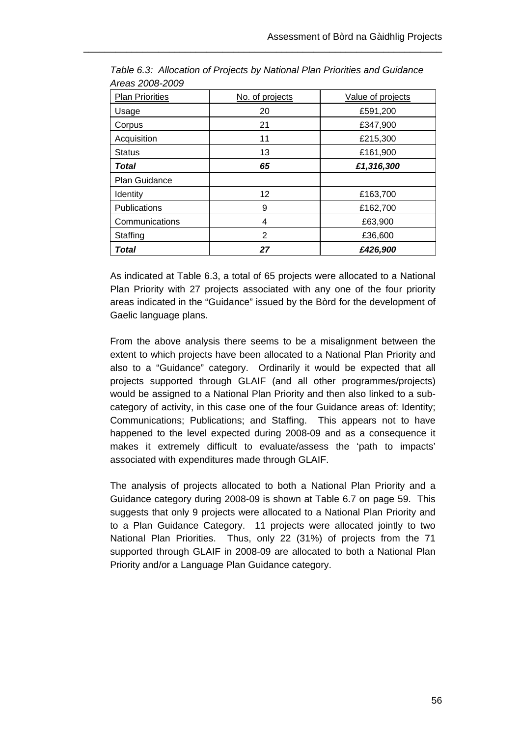| <b>Plan Priorities</b> | No. of projects | Value of projects |
|------------------------|-----------------|-------------------|
| Usage                  | 20              | £591,200          |
| Corpus                 | 21              | £347,900          |
| Acquisition            | 11              | £215,300          |
| <b>Status</b>          | 13              | £161,900          |
| Total                  | 65              | £1,316,300        |
|                        |                 |                   |
| Plan Guidance          |                 |                   |
| Identity               | 12              | £163,700          |
| Publications           | 9               | £162,700          |
| Communications         | 4               | £63,900           |
| Staffing               | 2               | £36,600           |

*Table 6.3: Allocation of Projects by National Plan Priorities and Guidance Areas 2008-2009* 

As indicated at Table 6.3, a total of 65 projects were allocated to a National Plan Priority with 27 projects associated with any one of the four priority areas indicated in the "Guidance" issued by the Bòrd for the development of Gaelic language plans.

From the above analysis there seems to be a misalignment between the extent to which projects have been allocated to a National Plan Priority and also to a "Guidance" category. Ordinarily it would be expected that all projects supported through GLAIF (and all other programmes/projects) would be assigned to a National Plan Priority and then also linked to a subcategory of activity, in this case one of the four Guidance areas of: Identity; Communications; Publications; and Staffing. This appears not to have happened to the level expected during 2008-09 and as a consequence it makes it extremely difficult to evaluate/assess the 'path to impacts' associated with expenditures made through GLAIF.

The analysis of projects allocated to both a National Plan Priority and a Guidance category during 2008-09 is shown at Table 6.7 on page 59. This suggests that only 9 projects were allocated to a National Plan Priority and to a Plan Guidance Category. 11 projects were allocated jointly to two National Plan Priorities. Thus, only 22 (31%) of projects from the 71 supported through GLAIF in 2008-09 are allocated to both a National Plan Priority and/or a Language Plan Guidance category.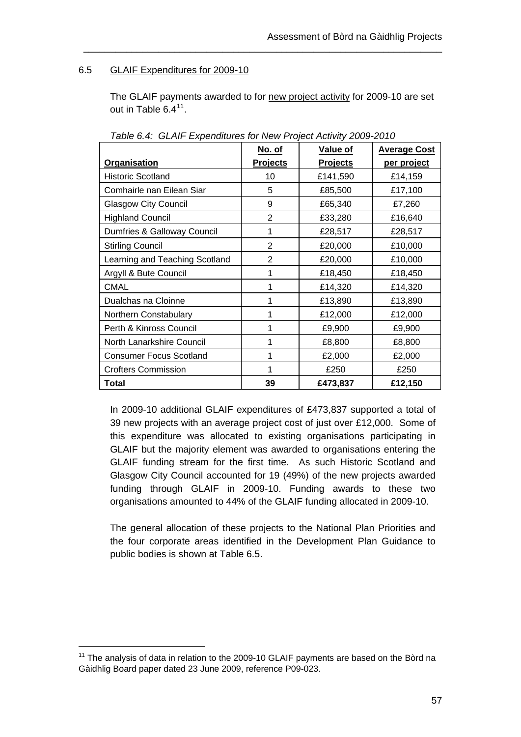## 6.5 GLAIF Expenditures for 2009-10

The GLAIF payments awarded to for new project activity for 2009-10 are set out in Table 6.4<sup>[11](#page-63-0)</sup>.

\_\_\_\_\_\_\_\_\_\_\_\_\_\_\_\_\_\_\_\_\_\_\_\_\_\_\_\_\_\_\_\_\_\_\_\_\_\_\_\_\_\_\_\_\_\_\_\_\_\_\_\_\_\_\_\_\_\_\_\_\_\_\_\_\_\_\_

|                                | No. of          | Value of        | <b>Average Cost</b> |
|--------------------------------|-----------------|-----------------|---------------------|
| Organisation                   | <b>Projects</b> | <b>Projects</b> | per project         |
| <b>Historic Scotland</b>       | 10              | £141,590        | £14,159             |
| Comhairle nan Eilean Siar      | 5               | £85,500         | £17,100             |
| <b>Glasgow City Council</b>    | 9               | £65,340         | £7,260              |
| <b>Highland Council</b>        | $\overline{2}$  | £33,280         | £16,640             |
| Dumfries & Galloway Council    | 1               | £28,517         | £28,517             |
| <b>Stirling Council</b>        | $\overline{2}$  | £20,000         | £10,000             |
| Learning and Teaching Scotland | 2               | £20,000         | £10,000             |
| Argyll & Bute Council          |                 | £18,450         | £18,450             |
| <b>CMAL</b>                    |                 | £14,320         | £14,320             |
| Dualchas na Cloinne            |                 | £13,890         | £13,890             |
| Northern Constabulary          | 1               | £12,000         | £12,000             |
| Perth & Kinross Council        | 1               | £9,900          | £9,900              |
| North Lanarkshire Council      | 1               | £8,800          | £8,800              |
| <b>Consumer Focus Scotland</b> | 1               | £2,000          | £2,000              |
| <b>Crofters Commission</b>     |                 | £250            | £250                |
| Total                          | 39              | £473,837        | £12,150             |

*Table 6.4: GLAIF Expenditures for New Project Activity 2009-2010* 

In 2009-10 additional GLAIF expenditures of £473,837 supported a total of 39 new projects with an average project cost of just over £12,000. Some of this expenditure was allocated to existing organisations participating in GLAIF but the majority element was awarded to organisations entering the GLAIF funding stream for the first time. As such Historic Scotland and Glasgow City Council accounted for 19 (49%) of the new projects awarded funding through GLAIF in 2009-10. Funding awards to these two organisations amounted to 44% of the GLAIF funding allocated in 2009-10.

The general allocation of these projects to the National Plan Priorities and the four corporate areas identified in the Development Plan Guidance to public bodies is shown at Table 6.5.

 $\overline{a}$ 

<span id="page-63-0"></span> $11$  The analysis of data in relation to the 2009-10 GLAIF payments are based on the Bòrd na Gàidhlig Board paper dated 23 June 2009, reference P09-023.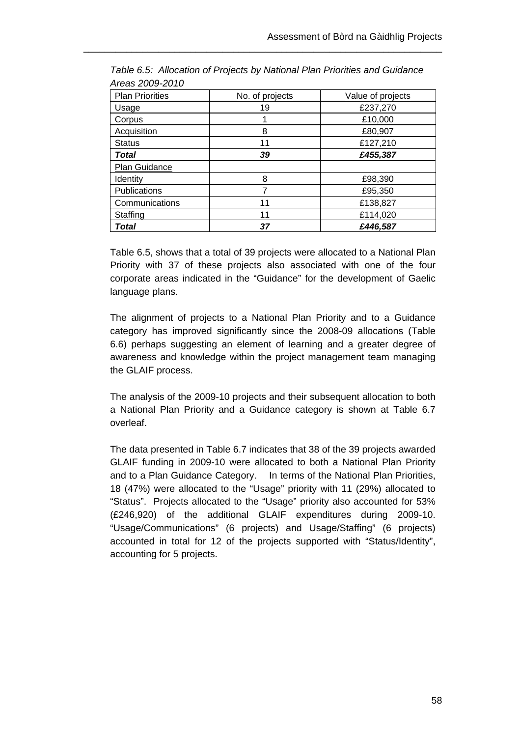| <b>Plan Priorities</b> | No. of projects | Value of projects |
|------------------------|-----------------|-------------------|
| Usage                  | 19              | £237,270          |
| Corpus                 |                 | £10,000           |
| Acquisition            | 8               | £80,907           |
| <b>Status</b>          | 11              | £127,210          |
| <b>Total</b>           | 39              | £455,387          |
| Plan Guidance          |                 |                   |
| Identity               | 8               | £98,390           |
| <b>Publications</b>    |                 | £95,350           |
| Communications         | 11              | £138,827          |
| Staffing               | 11              | £114,020          |
| Total                  | 37              | £446,587          |

*Table 6.5: Allocation of Projects by National Plan Priorities and Guidance Areas 2009-2010* 

Table 6.5, shows that a total of 39 projects were allocated to a National Plan Priority with 37 of these projects also associated with one of the four corporate areas indicated in the "Guidance" for the development of Gaelic language plans.

The alignment of projects to a National Plan Priority and to a Guidance category has improved significantly since the 2008-09 allocations (Table 6.6) perhaps suggesting an element of learning and a greater degree of awareness and knowledge within the project management team managing the GLAIF process.

The analysis of the 2009-10 projects and their subsequent allocation to both a National Plan Priority and a Guidance category is shown at Table 6.7 overleaf.

The data presented in Table 6.7 indicates that 38 of the 39 projects awarded GLAIF funding in 2009-10 were allocated to both a National Plan Priority and to a Plan Guidance Category. In terms of the National Plan Priorities, 18 (47%) were allocated to the "Usage" priority with 11 (29%) allocated to "Status". Projects allocated to the "Usage" priority also accounted for 53% (£246,920) of the additional GLAIF expenditures during 2009-10. "Usage/Communications" (6 projects) and Usage/Staffing" (6 projects) accounted in total for 12 of the projects supported with "Status/Identity", accounting for 5 projects.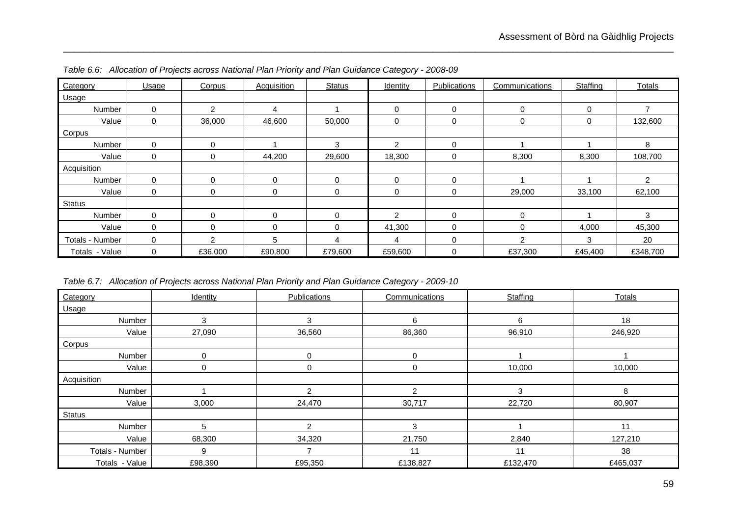| Category        | Usage       | Corpus         | <b>Acquisition</b> | <b>Status</b> | Identity       | Publications | Communications | Staffing    | <b>Totals</b>  |
|-----------------|-------------|----------------|--------------------|---------------|----------------|--------------|----------------|-------------|----------------|
| Usage           |             |                |                    |               |                |              |                |             |                |
| Number          | $\mathbf 0$ | $\mathfrak{p}$ | 4                  |               | $\Omega$       | 0            | 0              | $\mathbf 0$ | $\overline{ }$ |
| Value           | $\Omega$    | 36,000         | 46,600             | 50,000        | 0              | 0            | 0              | 0           | 132,600        |
| Corpus          |             |                |                    |               |                |              |                |             |                |
| Number          | $\mathbf 0$ | $\mathbf 0$    |                    | 3             | $\overline{2}$ | 0            |                |             | 8              |
| Value           | $\Omega$    | 0              | 44,200             | 29,600        | 18,300         | 0            | 8,300          | 8,300       | 108,700        |
| Acquisition     |             |                |                    |               |                |              |                |             |                |
| Number          | $\Omega$    | $\Omega$       | 0                  | $\Omega$      | $\Omega$       | 0            |                |             | 2              |
| Value           | $\mathbf 0$ | 0              | 0                  | 0             | 0              | 0            | 29,000         | 33,100      | 62,100         |
| <b>Status</b>   |             |                |                    |               |                |              |                |             |                |
| Number          | $\Omega$    | $\mathbf 0$    | 0                  | $\Omega$      | $\mathcal{P}$  | $\Omega$     | $\Omega$       |             | 3              |
| Value           | $\mathbf 0$ | $\mathbf 0$    | 0                  | $\Omega$      | 41,300         | 0            | 0              | 4,000       | 45,300         |
| Totals - Number | $\Omega$    | $\mathcal{P}$  | 5                  |               | 4              | 0            | $\mathcal{P}$  | 3           | 20             |
| Totals - Value  | $\mathbf 0$ | £36,000        | £90,800            | £79,600       | £59,600        | 0            | £37,300        | £45,400     | £348,700       |

*Table 6.6: Allocation of Projects across National Plan Priority and Plan Guidance Category - 2008-09* 

*Table 6.7: Allocation of Projects across National Plan Priority and Plan Guidance Category - 2009-10* 

| Category        | Identity | Publications  | Communications | Staffing | Totals   |
|-----------------|----------|---------------|----------------|----------|----------|
| Usage           |          |               |                |          |          |
| Number          | 3        | 3             | 6              | 6        | 18       |
| Value           | 27,090   | 36,560        | 86,360         | 96,910   | 246,920  |
| Corpus          |          |               |                |          |          |
| Number          | ∩        | 0             | 0              |          |          |
| Value           | $\Omega$ | 0             | 0              | 10,000   | 10,000   |
| Acquisition     |          |               |                |          |          |
| Number          |          | 2             | 2              | 3        | 8        |
| Value           | 3,000    | 24,470        | 30,717         | 22,720   | 80,907   |
| <b>Status</b>   |          |               |                |          |          |
| Number          | 5        | $\mathcal{P}$ | 3              |          | 11       |
| Value           | 68,300   | 34,320        | 21,750         | 2,840    | 127,210  |
| Totals - Number | 9        |               | 11             | 11       | 38       |
| Totals - Value  | £98,390  | £95,350       | £138,827       | £132,470 | £465,037 |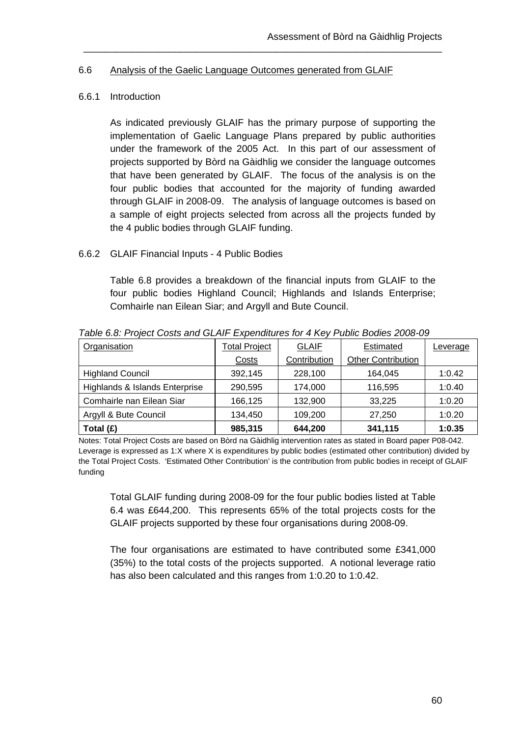#### 6.6 Analysis of the Gaelic Language Outcomes generated from GLAIF

\_\_\_\_\_\_\_\_\_\_\_\_\_\_\_\_\_\_\_\_\_\_\_\_\_\_\_\_\_\_\_\_\_\_\_\_\_\_\_\_\_\_\_\_\_\_\_\_\_\_\_\_\_\_\_\_\_\_\_\_\_\_\_\_\_\_\_

#### 6.6.1 Introduction

As indicated previously GLAIF has the primary purpose of supporting the implementation of Gaelic Language Plans prepared by public authorities under the framework of the 2005 Act. In this part of our assessment of projects supported by Bòrd na Gàidhlig we consider the language outcomes that have been generated by GLAIF. The focus of the analysis is on the four public bodies that accounted for the majority of funding awarded through GLAIF in 2008-09. The analysis of language outcomes is based on a sample of eight projects selected from across all the projects funded by the 4 public bodies through GLAIF funding.

### 6.6.2 GLAIF Financial Inputs - 4 Public Bodies

Table 6.8 provides a breakdown of the financial inputs from GLAIF to the four public bodies Highland Council; Highlands and Islands Enterprise; Comhairle nan Eilean Siar; and Argyll and Bute Council.

| Organisation                   | <b>Total Project</b> | <b>GLAIF</b> | Estimated                 | Leverage |
|--------------------------------|----------------------|--------------|---------------------------|----------|
|                                | Costs                | Contribution | <b>Other Contribution</b> |          |
| <b>Highland Council</b>        | 392,145              | 228,100      | 164.045                   | 1:0.42   |
| Highlands & Islands Enterprise | 290,595              | 174,000      | 116.595                   | 1:0.40   |
| Comhairle nan Eilean Siar      | 166,125              | 132,900      | 33,225                    | 1:0.20   |
| Argyll & Bute Council          | 134,450              | 109.200      | 27,250                    | 1:0.20   |
| Total $(E)$                    | 985,315              | 644,200      | 341,115                   | 1:0.35   |

*Table 6.8: Project Costs and GLAIF Expenditures for 4 Key Public Bodies 2008-09* 

Notes: Total Project Costs are based on Bòrd na Gàidhlig intervention rates as stated in Board paper P08-042. Leverage is expressed as 1:X where X is expenditures by public bodies (estimated other contribution) divided by the Total Project Costs. 'Estimated Other Contribution' is the contribution from public bodies in receipt of GLAIF funding

Total GLAIF funding during 2008-09 for the four public bodies listed at Table 6.4 was £644,200. This represents 65% of the total projects costs for the GLAIF projects supported by these four organisations during 2008-09.

The four organisations are estimated to have contributed some £341,000 (35%) to the total costs of the projects supported. A notional leverage ratio has also been calculated and this ranges from 1:0.20 to 1:0.42.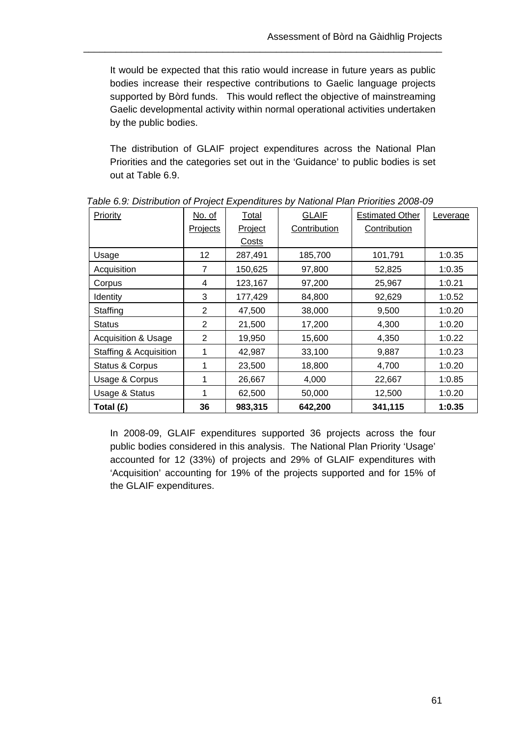It would be expected that this ratio would increase in future years as public bodies increase their respective contributions to Gaelic language projects supported by Bòrd funds. This would reflect the objective of mainstreaming Gaelic developmental activity within normal operational activities undertaken by the public bodies.

\_\_\_\_\_\_\_\_\_\_\_\_\_\_\_\_\_\_\_\_\_\_\_\_\_\_\_\_\_\_\_\_\_\_\_\_\_\_\_\_\_\_\_\_\_\_\_\_\_\_\_\_\_\_\_\_\_\_\_\_\_\_\_\_\_\_\_

The distribution of GLAIF project expenditures across the National Plan Priorities and the categories set out in the 'Guidance' to public bodies is set out at Table 6.9.

| Priority                       | No. of         | Total   | <b>GLAIF</b> | <b>Estimated Other</b> | Leverage |
|--------------------------------|----------------|---------|--------------|------------------------|----------|
|                                | Projects       | Project | Contribution | Contribution           |          |
|                                |                | Costs   |              |                        |          |
| Usage                          | 12             | 287,491 | 185,700      | 101,791                | 1:0.35   |
| Acquisition                    | $\overline{7}$ | 150,625 | 97,800       | 52,825                 | 1:0.35   |
| Corpus                         | 4              | 123,167 | 97,200       | 25,967                 | 1:0.21   |
| Identity                       | 3              | 177,429 | 84,800       | 92,629                 | 1:0.52   |
| Staffing                       | 2              | 47,500  | 38,000       | 9,500                  | 1:0.20   |
| <b>Status</b>                  | 2              | 21,500  | 17,200       | 4,300                  | 1:0.20   |
| <b>Acquisition &amp; Usage</b> | 2              | 19,950  | 15,600       | 4,350                  | 1:0.22   |
| Staffing & Acquisition         | 1              | 42,987  | 33,100       | 9,887                  | 1:0.23   |
| Status & Corpus                | 1              | 23,500  | 18,800       | 4,700                  | 1:0.20   |
| Usage & Corpus                 | 1              | 26,667  | 4,000        | 22,667                 | 1:0.85   |
| Usage & Status                 | 1              | 62,500  | 50,000       | 12,500                 | 1:0.20   |
| Total (£)                      | 36             | 983,315 | 642,200      | 341,115                | 1:0.35   |

 *Table 6.9: Distribution of Project Expenditures by National Plan Priorities 2008-09* 

In 2008-09, GLAIF expenditures supported 36 projects across the four public bodies considered in this analysis. The National Plan Priority 'Usage' accounted for 12 (33%) of projects and 29% of GLAIF expenditures with 'Acquisition' accounting for 19% of the projects supported and for 15% of the GLAIF expenditures.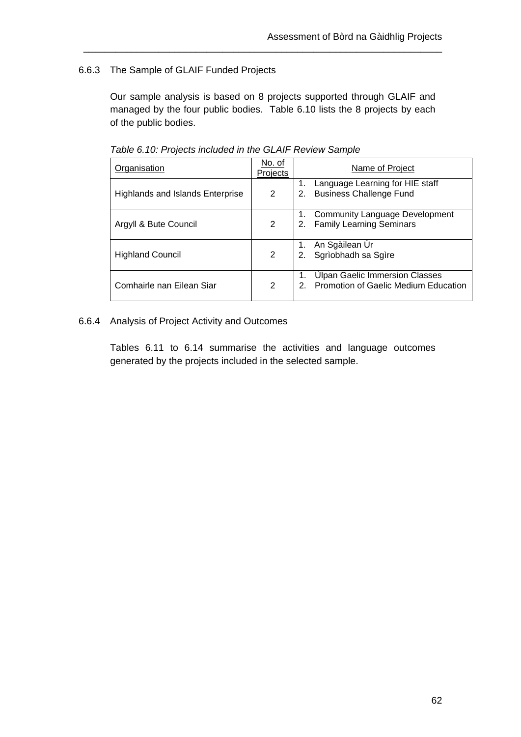# 6.6.3 The Sample of GLAIF Funded Projects

Our sample analysis is based on 8 projects supported through GLAIF and managed by the four public bodies. Table 6.10 lists the 8 projects by each of the public bodies.

\_\_\_\_\_\_\_\_\_\_\_\_\_\_\_\_\_\_\_\_\_\_\_\_\_\_\_\_\_\_\_\_\_\_\_\_\_\_\_\_\_\_\_\_\_\_\_\_\_\_\_\_\_\_\_\_\_\_\_\_\_\_\_\_\_\_\_

|                                  |                    | . as to the thing of the state of the theory of the state of the state of the state of the state of the state o |  |  |  |  |
|----------------------------------|--------------------|-----------------------------------------------------------------------------------------------------------------|--|--|--|--|
| Organisation                     | No. of<br>Projects | Name of Project                                                                                                 |  |  |  |  |
| Highlands and Islands Enterprise | $\overline{2}$     | Language Learning for HIE staff<br><b>Business Challenge Fund</b><br>2.                                         |  |  |  |  |
| Argyll & Bute Council            | $\overline{2}$     | 1. Community Language Development<br>2. Family Learning Seminars                                                |  |  |  |  |
| <b>Highland Council</b>          | 2                  | An Sgàilean Ùr<br>Sgrìobhadh sa Sgìre<br>2.                                                                     |  |  |  |  |
| Comhairle nan Eilean Siar        | $\overline{2}$     | <b>Ulpan Gaelic Immersion Classes</b><br><b>Promotion of Gaelic Medium Education</b>                            |  |  |  |  |

*Table 6.10: Projects included in the GLAIF Review Sample* 

### 6.6.4 Analysis of Project Activity and Outcomes

Tables 6.11 to 6.14 summarise the activities and language outcomes generated by the projects included in the selected sample.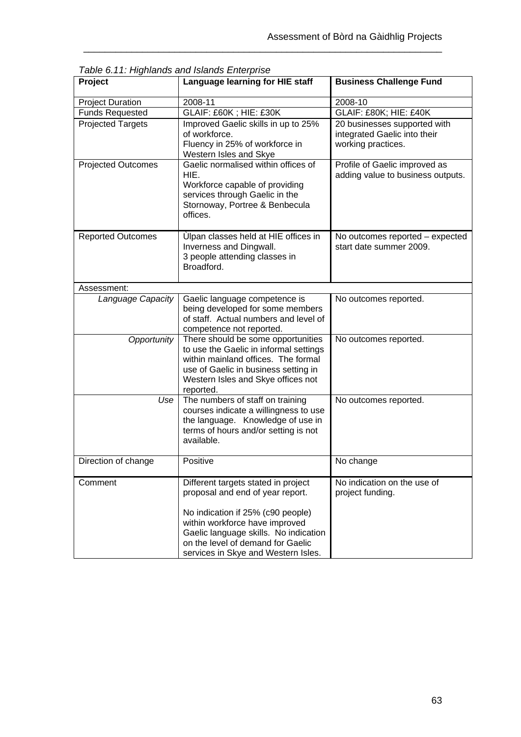| rabic 0.11.1 iiginahas aha islahas Enterprise<br>Project | Language learning for HIE staff                                                                                                                                                                                                                                     | <b>Business Challenge Fund</b>                                                     |
|----------------------------------------------------------|---------------------------------------------------------------------------------------------------------------------------------------------------------------------------------------------------------------------------------------------------------------------|------------------------------------------------------------------------------------|
| <b>Project Duration</b>                                  | 2008-11                                                                                                                                                                                                                                                             | 2008-10                                                                            |
| <b>Funds Requested</b>                                   | GLAIF: £60K; HIE: £30K                                                                                                                                                                                                                                              | <b>GLAIF: £80K; HIE: £40K</b>                                                      |
| <b>Projected Targets</b>                                 | Improved Gaelic skills in up to 25%<br>of workforce.<br>Fluency in 25% of workforce in<br>Western Isles and Skye                                                                                                                                                    | 20 businesses supported with<br>integrated Gaelic into their<br>working practices. |
| <b>Projected Outcomes</b>                                | Gaelic normalised within offices of<br>HIE.<br>Workforce capable of providing<br>services through Gaelic in the<br>Stornoway, Portree & Benbecula<br>offices.                                                                                                       | Profile of Gaelic improved as<br>adding value to business outputs.                 |
| <b>Reported Outcomes</b>                                 | Ulpan classes held at HIE offices in<br>Inverness and Dingwall.<br>3 people attending classes in<br>Broadford.                                                                                                                                                      | No outcomes reported - expected<br>start date summer 2009.                         |
| Assessment:                                              |                                                                                                                                                                                                                                                                     |                                                                                    |
| Language Capacity                                        | Gaelic language competence is<br>being developed for some members<br>of staff. Actual numbers and level of<br>competence not reported.                                                                                                                              | No outcomes reported.                                                              |
| Opportunity                                              | There should be some opportunities<br>to use the Gaelic in informal settings<br>within mainland offices. The formal<br>use of Gaelic in business setting in<br>Western Isles and Skye offices not<br>reported.                                                      | No outcomes reported.                                                              |
| Use                                                      | The numbers of staff on training<br>courses indicate a willingness to use<br>the language. Knowledge of use in<br>terms of hours and/or setting is not<br>available.                                                                                                | No outcomes reported.                                                              |
| Direction of change                                      | Positive                                                                                                                                                                                                                                                            | No change                                                                          |
| Comment                                                  | Different targets stated in project<br>proposal and end of year report.<br>No indication if 25% (c90 people)<br>within workforce have improved<br>Gaelic language skills. No indication<br>on the level of demand for Gaelic<br>services in Skye and Western Isles. | No indication on the use of<br>project funding.                                    |

*Table 6.11: Highlands and Islands Enterprise*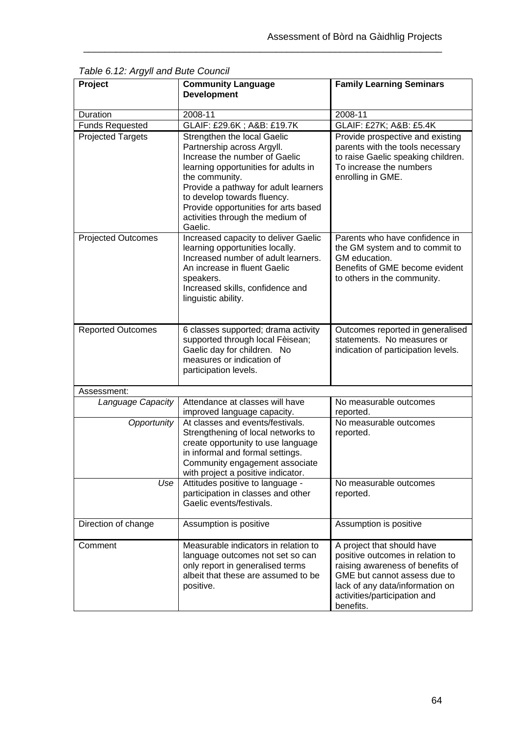| Project                   | <b>Community Language</b><br><b>Development</b>                                                                                                                                                                                                                                                                    | <b>Family Learning Seminars</b>                                                                                                                                                                                    |
|---------------------------|--------------------------------------------------------------------------------------------------------------------------------------------------------------------------------------------------------------------------------------------------------------------------------------------------------------------|--------------------------------------------------------------------------------------------------------------------------------------------------------------------------------------------------------------------|
| Duration                  | 2008-11                                                                                                                                                                                                                                                                                                            | 2008-11                                                                                                                                                                                                            |
| <b>Funds Requested</b>    | GLAIF: £29.6K; A&B: £19.7K                                                                                                                                                                                                                                                                                         | GLAIF: £27K; A&B: £5.4K                                                                                                                                                                                            |
| <b>Projected Targets</b>  | Strengthen the local Gaelic<br>Partnership across Argyll.<br>Increase the number of Gaelic<br>learning opportunities for adults in<br>the community.<br>Provide a pathway for adult learners<br>to develop towards fluency.<br>Provide opportunities for arts based<br>activities through the medium of<br>Gaelic. | Provide prospective and existing<br>parents with the tools necessary<br>to raise Gaelic speaking children.<br>To increase the numbers<br>enrolling in GME.                                                         |
| <b>Projected Outcomes</b> | Increased capacity to deliver Gaelic<br>learning opportunities locally.<br>Increased number of adult learners.<br>An increase in fluent Gaelic<br>speakers.<br>Increased skills, confidence and<br>linguistic ability.                                                                                             | Parents who have confidence in<br>the GM system and to commit to<br>GM education.<br>Benefits of GME become evident<br>to others in the community.                                                                 |
| <b>Reported Outcomes</b>  | 6 classes supported; drama activity<br>supported through local Fèisean;<br>Gaelic day for children. No<br>measures or indication of<br>participation levels.                                                                                                                                                       | Outcomes reported in generalised<br>statements. No measures or<br>indication of participation levels.                                                                                                              |
| Assessment:               |                                                                                                                                                                                                                                                                                                                    |                                                                                                                                                                                                                    |
| Language Capacity         | Attendance at classes will have<br>improved language capacity.                                                                                                                                                                                                                                                     | No measurable outcomes<br>reported.                                                                                                                                                                                |
| Opportunity               | At classes and events/festivals.<br>Strengthening of local networks to<br>create opportunity to use language<br>in informal and formal settings.<br>Community engagement associate<br>with project a positive indicator.                                                                                           | No measurable outcomes<br>reported.                                                                                                                                                                                |
| Use                       | Attitudes positive to language -<br>participation in classes and other<br>Gaelic events/festivals.                                                                                                                                                                                                                 | No measurable outcomes<br>reported.                                                                                                                                                                                |
| Direction of change       | Assumption is positive                                                                                                                                                                                                                                                                                             | Assumption is positive                                                                                                                                                                                             |
| Comment                   | Measurable indicators in relation to<br>language outcomes not set so can<br>only report in generalised terms<br>albeit that these are assumed to be<br>positive.                                                                                                                                                   | A project that should have<br>positive outcomes in relation to<br>raising awareness of benefits of<br>GME but cannot assess due to<br>lack of any data/information on<br>activities/participation and<br>benefits. |

*Table 6.12: Argyll and Bute Council*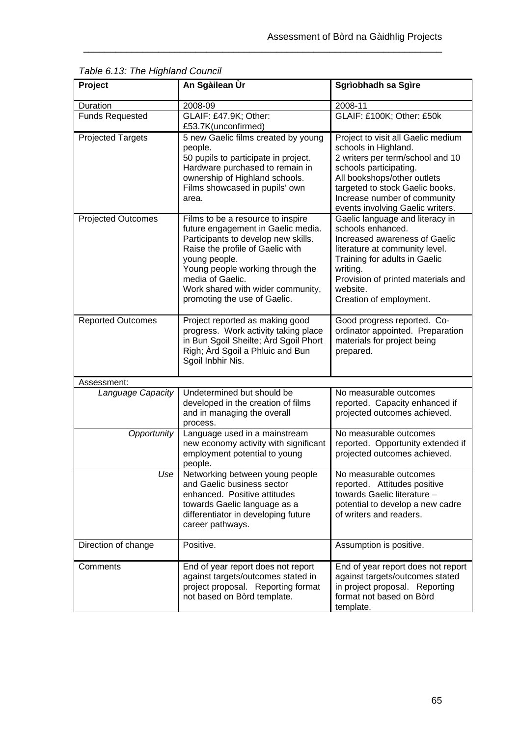| Project                   | An Sgàilean Ùr                                                                                                                                                                                                                                                                                   | Sgrìobhadh sa Sgìre                                                                                                                                                                                                                                            |
|---------------------------|--------------------------------------------------------------------------------------------------------------------------------------------------------------------------------------------------------------------------------------------------------------------------------------------------|----------------------------------------------------------------------------------------------------------------------------------------------------------------------------------------------------------------------------------------------------------------|
| Duration                  | 2008-09                                                                                                                                                                                                                                                                                          | 2008-11                                                                                                                                                                                                                                                        |
| <b>Funds Requested</b>    | GLAIF: £47.9K; Other:<br>£53.7K(unconfirmed)                                                                                                                                                                                                                                                     | GLAIF: £100K; Other: £50k                                                                                                                                                                                                                                      |
| <b>Projected Targets</b>  | 5 new Gaelic films created by young<br>people.<br>50 pupils to participate in project.<br>Hardware purchased to remain in<br>ownership of Highland schools.<br>Films showcased in pupils' own<br>area.                                                                                           | Project to visit all Gaelic medium<br>schools in Highland.<br>2 writers per term/school and 10<br>schools participating.<br>All bookshops/other outlets<br>targeted to stock Gaelic books.<br>Increase number of community<br>events involving Gaelic writers. |
| <b>Projected Outcomes</b> | Films to be a resource to inspire<br>future engagement in Gaelic media.<br>Participants to develop new skills.<br>Raise the profile of Gaelic with<br>young people.<br>Young people working through the<br>media of Gaelic.<br>Work shared with wider community,<br>promoting the use of Gaelic. | Gaelic language and literacy in<br>schools enhanced.<br>Increased awareness of Gaelic<br>literature at community level.<br>Training for adults in Gaelic<br>writing.<br>Provision of printed materials and<br>website.<br>Creation of employment.              |
| <b>Reported Outcomes</b>  | Project reported as making good<br>progress. Work activity taking place<br>in Bun Sgoil Sheilte; Ard Sgoil Phort<br>Righ; Ard Sgoil a Phluic and Bun<br>Sgoil Inbhir Nis.                                                                                                                        | Good progress reported. Co-<br>ordinator appointed. Preparation<br>materials for project being<br>prepared.                                                                                                                                                    |
| Assessment:               |                                                                                                                                                                                                                                                                                                  |                                                                                                                                                                                                                                                                |
| Language Capacity         | Undetermined but should be<br>developed in the creation of films<br>and in managing the overall<br>process.                                                                                                                                                                                      | No measurable outcomes<br>reported. Capacity enhanced if<br>projected outcomes achieved.                                                                                                                                                                       |
| Opportunity               | Language used in a mainstream<br>new economy activity with significant<br>employment potential to young<br>people.                                                                                                                                                                               | No measurable outcomes<br>reported. Opportunity extended if<br>projected outcomes achieved.                                                                                                                                                                    |
| Use                       | Networking between young people<br>and Gaelic business sector<br>enhanced. Positive attitudes<br>towards Gaelic language as a<br>differentiator in developing future<br>career pathways.                                                                                                         | No measurable outcomes<br>reported. Attitudes positive<br>towards Gaelic literature -<br>potential to develop a new cadre<br>of writers and readers.                                                                                                           |
| Direction of change       | Positive.                                                                                                                                                                                                                                                                                        | Assumption is positive.                                                                                                                                                                                                                                        |
| Comments                  | End of year report does not report<br>against targets/outcomes stated in<br>project proposal. Reporting format<br>not based on Bòrd template.                                                                                                                                                    | End of year report does not report<br>against targets/outcomes stated<br>in project proposal. Reporting<br>format not based on Bord<br>template.                                                                                                               |

*Table 6.13: The Highland Council*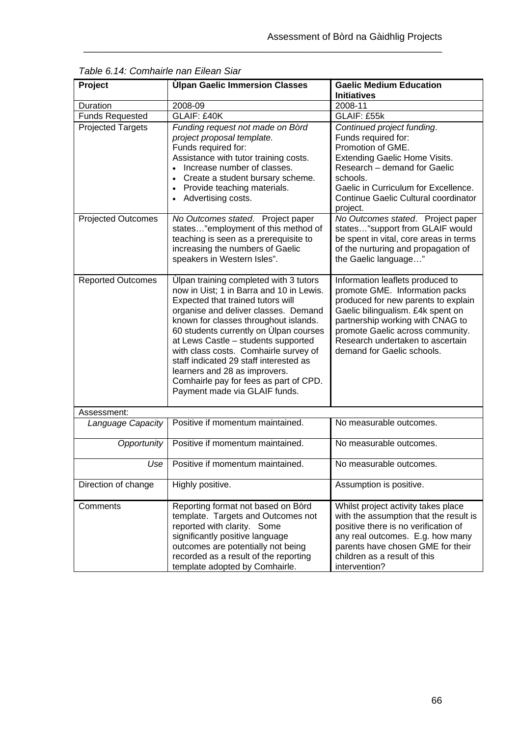| Project                   | <b>Ulpan Gaelic Immersion Classes</b>                                                                                                                                                                                                                                                                                                                                                                                                                                                    | <b>Gaelic Medium Education</b>                                                                                                                                                                                                                                                           |
|---------------------------|------------------------------------------------------------------------------------------------------------------------------------------------------------------------------------------------------------------------------------------------------------------------------------------------------------------------------------------------------------------------------------------------------------------------------------------------------------------------------------------|------------------------------------------------------------------------------------------------------------------------------------------------------------------------------------------------------------------------------------------------------------------------------------------|
|                           |                                                                                                                                                                                                                                                                                                                                                                                                                                                                                          | <b>Initiatives</b>                                                                                                                                                                                                                                                                       |
| Duration                  | 2008-09                                                                                                                                                                                                                                                                                                                                                                                                                                                                                  | 2008-11                                                                                                                                                                                                                                                                                  |
| <b>Funds Requested</b>    | <b>GLAIF: £40K</b>                                                                                                                                                                                                                                                                                                                                                                                                                                                                       | GLAIF: £55k                                                                                                                                                                                                                                                                              |
| <b>Projected Targets</b>  | Funding request not made on Bòrd<br>project proposal template.<br>Funds required for:<br>Assistance with tutor training costs.<br>Increase number of classes.<br>Create a student bursary scheme.<br>Provide teaching materials.<br>Advertising costs.                                                                                                                                                                                                                                   | Continued project funding.<br>Funds required for:<br>Promotion of GME.<br>Extending Gaelic Home Visits.<br>Research - demand for Gaelic<br>schools.<br>Gaelic in Curriculum for Excellence.<br>Continue Gaelic Cultural coordinator<br>project.                                          |
| <b>Projected Outcomes</b> | No Outcomes stated. Project paper<br>states"employment of this method of<br>teaching is seen as a prerequisite to<br>increasing the numbers of Gaelic<br>speakers in Western Isles".                                                                                                                                                                                                                                                                                                     | No Outcomes stated. Project paper<br>states"support from GLAIF would<br>be spent in vital, core areas in terms<br>of the nurturing and propagation of<br>the Gaelic language"                                                                                                            |
| <b>Reported Outcomes</b>  | Ulpan training completed with 3 tutors<br>now in Uist; 1 in Barra and 10 in Lewis.<br>Expected that trained tutors will<br>organise and deliver classes. Demand<br>known for classes throughout islands.<br>60 students currently on Ulpan courses<br>at Lews Castle - students supported<br>with class costs. Comhairle survey of<br>staff indicated 29 staff interested as<br>learners and 28 as improvers.<br>Comhairle pay for fees as part of CPD.<br>Payment made via GLAIF funds. | Information leaflets produced to<br>promote GME. Information packs<br>produced for new parents to explain<br>Gaelic bilingualism. £4k spent on<br>partnership working with CNAG to<br>promote Gaelic across community.<br>Research undertaken to ascertain<br>demand for Gaelic schools. |
| Assessment:               |                                                                                                                                                                                                                                                                                                                                                                                                                                                                                          |                                                                                                                                                                                                                                                                                          |
| Language Capacity         | Positive if momentum maintained.                                                                                                                                                                                                                                                                                                                                                                                                                                                         | No measurable outcomes.                                                                                                                                                                                                                                                                  |
| Opportunity               | Positive if momentum maintained.                                                                                                                                                                                                                                                                                                                                                                                                                                                         | No measurable outcomes.                                                                                                                                                                                                                                                                  |
| Use                       | Positive if momentum maintained.                                                                                                                                                                                                                                                                                                                                                                                                                                                         | No measurable outcomes.                                                                                                                                                                                                                                                                  |
| Direction of change       | Highly positive.                                                                                                                                                                                                                                                                                                                                                                                                                                                                         | Assumption is positive.                                                                                                                                                                                                                                                                  |
| Comments                  | Reporting format not based on Bord<br>template. Targets and Outcomes not<br>reported with clarity. Some<br>significantly positive language<br>outcomes are potentially not being<br>recorded as a result of the reporting<br>template adopted by Comhairle.                                                                                                                                                                                                                              | Whilst project activity takes place<br>with the assumption that the result is<br>positive there is no verification of<br>any real outcomes. E.g. how many<br>parents have chosen GME for their<br>children as a result of this<br>intervention?                                          |

\_\_\_\_\_\_\_\_\_\_\_\_\_\_\_\_\_\_\_\_\_\_\_\_\_\_\_\_\_\_\_\_\_\_\_\_\_\_\_\_\_\_\_\_\_\_\_\_\_\_\_\_\_\_\_\_\_\_\_\_\_\_\_\_\_\_\_

*Table 6.14: Comhairle nan Eilean Siar*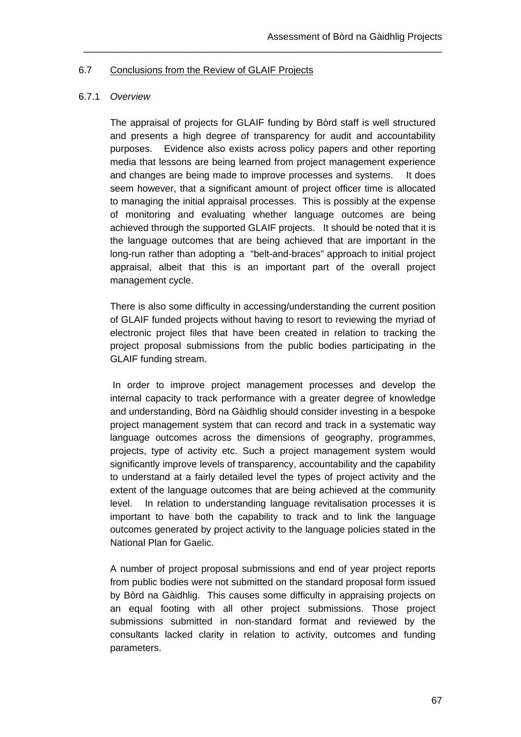#### 6.7 Conclusions from the Review of GLAIF Projects

#### 6.7.1 *Overview*

The appraisal of projects for GLAIF funding by Bòrd staff is well structured and presents a high degree of transparency for audit and accountability purposes. Evidence also exists across policy papers and other reporting media that lessons are being learned from project management experience and changes are being made to improve processes and systems. It does seem however, that a significant amount of project officer time is allocated to managing the initial appraisal processes. This is possibly at the expense of monitoring and evaluating whether language outcomes are being achieved through the supported GLAIF projects. It should be noted that it is the language outcomes that are being achieved that are important in the long-run rather than adopting a "belt-and-braces" approach to initial project appraisal, albeit that this is an important part of the overall project management cycle.

\_\_\_\_\_\_\_\_\_\_\_\_\_\_\_\_\_\_\_\_\_\_\_\_\_\_\_\_\_\_\_\_\_\_\_\_\_\_\_\_\_\_\_\_\_\_\_\_\_\_\_\_\_\_\_\_\_\_\_\_\_\_\_\_\_\_\_

There is also some difficulty in accessing/understanding the current position of GLAIF funded projects without having to resort to reviewing the myriad of electronic project files that have been created in relation to tracking the project proposal submissions from the public bodies participating in the GLAIF funding stream.

 In order to improve project management processes and develop the internal capacity to track performance with a greater degree of knowledge and understanding, Bòrd na Gàidhlig should consider investing in a bespoke project management system that can record and track in a systematic way language outcomes across the dimensions of geography, programmes, projects, type of activity etc. Such a project management system would significantly improve levels of transparency, accountability and the capability to understand at a fairly detailed level the types of project activity and the extent of the language outcomes that are being achieved at the community level. In relation to understanding language revitalisation processes it is important to have both the capability to track and to link the language outcomes generated by project activity to the language policies stated in the National Plan for Gaelic.

A number of project proposal submissions and end of year project reports from public bodies were not submitted on the standard proposal form issued by Bòrd na Gàidhlig. This causes some difficulty in appraising projects on an equal footing with all other project submissions. Those project submissions submitted in non-standard format and reviewed by the consultants lacked clarity in relation to activity, outcomes and funding parameters.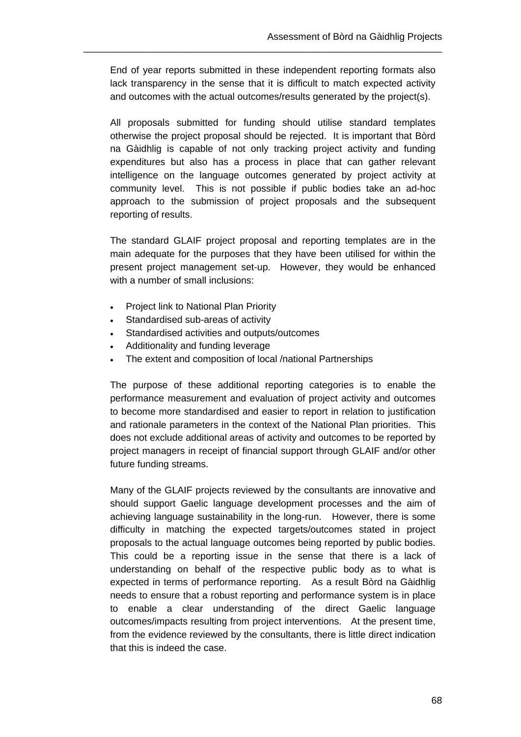End of year reports submitted in these independent reporting formats also lack transparency in the sense that it is difficult to match expected activity and outcomes with the actual outcomes/results generated by the project(s).

\_\_\_\_\_\_\_\_\_\_\_\_\_\_\_\_\_\_\_\_\_\_\_\_\_\_\_\_\_\_\_\_\_\_\_\_\_\_\_\_\_\_\_\_\_\_\_\_\_\_\_\_\_\_\_\_\_\_\_\_\_\_\_\_\_\_\_

All proposals submitted for funding should utilise standard templates otherwise the project proposal should be rejected. It is important that Bòrd na Gàidhlig is capable of not only tracking project activity and funding expenditures but also has a process in place that can gather relevant intelligence on the language outcomes generated by project activity at community level. This is not possible if public bodies take an ad-hoc approach to the submission of project proposals and the subsequent reporting of results.

The standard GLAIF project proposal and reporting templates are in the main adequate for the purposes that they have been utilised for within the present project management set-up. However, they would be enhanced with a number of small inclusions:

- Project link to National Plan Priority
- Standardised sub-areas of activity
- Standardised activities and outputs/outcomes
- Additionality and funding leverage
- The extent and composition of local /national Partnerships

The purpose of these additional reporting categories is to enable the performance measurement and evaluation of project activity and outcomes to become more standardised and easier to report in relation to justification and rationale parameters in the context of the National Plan priorities. This does not exclude additional areas of activity and outcomes to be reported by project managers in receipt of financial support through GLAIF and/or other future funding streams.

Many of the GLAIF projects reviewed by the consultants are innovative and should support Gaelic language development processes and the aim of achieving language sustainability in the long-run. However, there is some difficulty in matching the expected targets/outcomes stated in project proposals to the actual language outcomes being reported by public bodies. This could be a reporting issue in the sense that there is a lack of understanding on behalf of the respective public body as to what is expected in terms of performance reporting. As a result Bòrd na Gàidhlig needs to ensure that a robust reporting and performance system is in place to enable a clear understanding of the direct Gaelic language outcomes/impacts resulting from project interventions. At the present time, from the evidence reviewed by the consultants, there is little direct indication that this is indeed the case.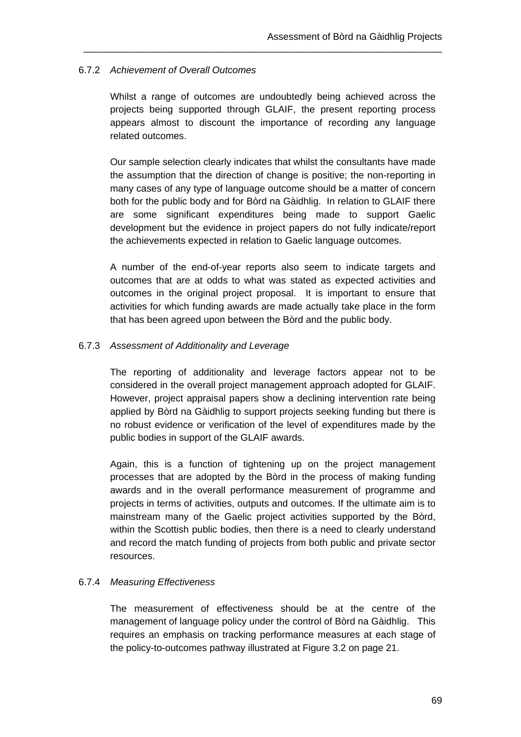### 6.7.2 *Achievement of Overall Outcomes*

Whilst a range of outcomes are undoubtedly being achieved across the projects being supported through GLAIF, the present reporting process appears almost to discount the importance of recording any language related outcomes.

\_\_\_\_\_\_\_\_\_\_\_\_\_\_\_\_\_\_\_\_\_\_\_\_\_\_\_\_\_\_\_\_\_\_\_\_\_\_\_\_\_\_\_\_\_\_\_\_\_\_\_\_\_\_\_\_\_\_\_\_\_\_\_\_\_\_\_

Our sample selection clearly indicates that whilst the consultants have made the assumption that the direction of change is positive; the non-reporting in many cases of any type of language outcome should be a matter of concern both for the public body and for Bòrd na Gàidhlig. In relation to GLAIF there are some significant expenditures being made to support Gaelic development but the evidence in project papers do not fully indicate/report the achievements expected in relation to Gaelic language outcomes.

A number of the end-of-year reports also seem to indicate targets and outcomes that are at odds to what was stated as expected activities and outcomes in the original project proposal. It is important to ensure that activities for which funding awards are made actually take place in the form that has been agreed upon between the Bòrd and the public body.

### 6.7.3 *Assessment of Additionality and Leverage*

The reporting of additionality and leverage factors appear not to be considered in the overall project management approach adopted for GLAIF. However, project appraisal papers show a declining intervention rate being applied by Bòrd na Gàidhlig to support projects seeking funding but there is no robust evidence or verification of the level of expenditures made by the public bodies in support of the GLAIF awards.

Again, this is a function of tightening up on the project management processes that are adopted by the Bòrd in the process of making funding awards and in the overall performance measurement of programme and projects in terms of activities, outputs and outcomes. If the ultimate aim is to mainstream many of the Gaelic project activities supported by the Bòrd, within the Scottish public bodies, then there is a need to clearly understand and record the match funding of projects from both public and private sector resources.

### 6.7.4 *Measuring Effectiveness*

The measurement of effectiveness should be at the centre of the management of language policy under the control of Bòrd na Gàidhlig. This requires an emphasis on tracking performance measures at each stage of the policy-to-outcomes pathway illustrated at Figure 3.2 on page 21.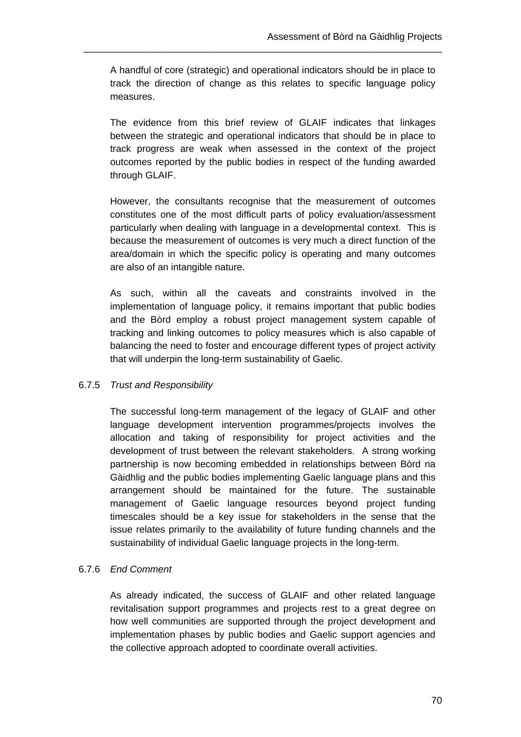A handful of core (strategic) and operational indicators should be in place to track the direction of change as this relates to specific language policy measures.

\_\_\_\_\_\_\_\_\_\_\_\_\_\_\_\_\_\_\_\_\_\_\_\_\_\_\_\_\_\_\_\_\_\_\_\_\_\_\_\_\_\_\_\_\_\_\_\_\_\_\_\_\_\_\_\_\_\_\_\_\_\_\_\_\_\_\_

The evidence from this brief review of GLAIF indicates that linkages between the strategic and operational indicators that should be in place to track progress are weak when assessed in the context of the project outcomes reported by the public bodies in respect of the funding awarded through GLAIF.

However, the consultants recognise that the measurement of outcomes constitutes one of the most difficult parts of policy evaluation/assessment particularly when dealing with language in a developmental context. This is because the measurement of outcomes is very much a direct function of the area/domain in which the specific policy is operating and many outcomes are also of an intangible nature.

As such, within all the caveats and constraints involved in the implementation of language policy, it remains important that public bodies and the Bòrd employ a robust project management system capable of tracking and linking outcomes to policy measures which is also capable of balancing the need to foster and encourage different types of project activity that will underpin the long-term sustainability of Gaelic.

### 6.7.5 *Trust and Responsibility*

The successful long-term management of the legacy of GLAIF and other language development intervention programmes/projects involves the allocation and taking of responsibility for project activities and the development of trust between the relevant stakeholders. A strong working partnership is now becoming embedded in relationships between Bòrd na Gàidhlig and the public bodies implementing Gaelic language plans and this arrangement should be maintained for the future. The sustainable management of Gaelic language resources beyond project funding timescales should be a key issue for stakeholders in the sense that the issue relates primarily to the availability of future funding channels and the sustainability of individual Gaelic language projects in the long-term.

#### 6.7.6 *End Comment*

As already indicated, the success of GLAIF and other related language revitalisation support programmes and projects rest to a great degree on how well communities are supported through the project development and implementation phases by public bodies and Gaelic support agencies and the collective approach adopted to coordinate overall activities.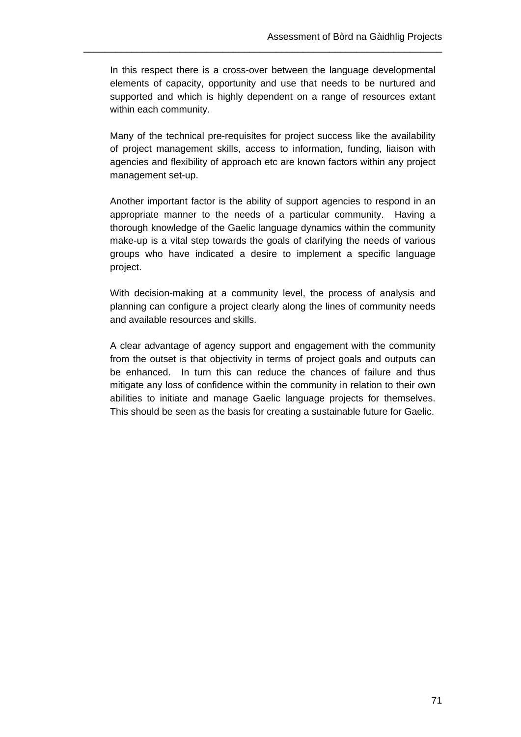In this respect there is a cross-over between the language developmental elements of capacity, opportunity and use that needs to be nurtured and supported and which is highly dependent on a range of resources extant within each community.

\_\_\_\_\_\_\_\_\_\_\_\_\_\_\_\_\_\_\_\_\_\_\_\_\_\_\_\_\_\_\_\_\_\_\_\_\_\_\_\_\_\_\_\_\_\_\_\_\_\_\_\_\_\_\_\_\_\_\_\_\_\_\_\_\_\_\_

Many of the technical pre-requisites for project success like the availability of project management skills, access to information, funding, liaison with agencies and flexibility of approach etc are known factors within any project management set-up.

Another important factor is the ability of support agencies to respond in an appropriate manner to the needs of a particular community. Having a thorough knowledge of the Gaelic language dynamics within the community make-up is a vital step towards the goals of clarifying the needs of various groups who have indicated a desire to implement a specific language project.

With decision-making at a community level, the process of analysis and planning can configure a project clearly along the lines of community needs and available resources and skills.

A clear advantage of agency support and engagement with the community from the outset is that objectivity in terms of project goals and outputs can be enhanced. In turn this can reduce the chances of failure and thus mitigate any loss of confidence within the community in relation to their own abilities to initiate and manage Gaelic language projects for themselves. This should be seen as the basis for creating a sustainable future for Gaelic.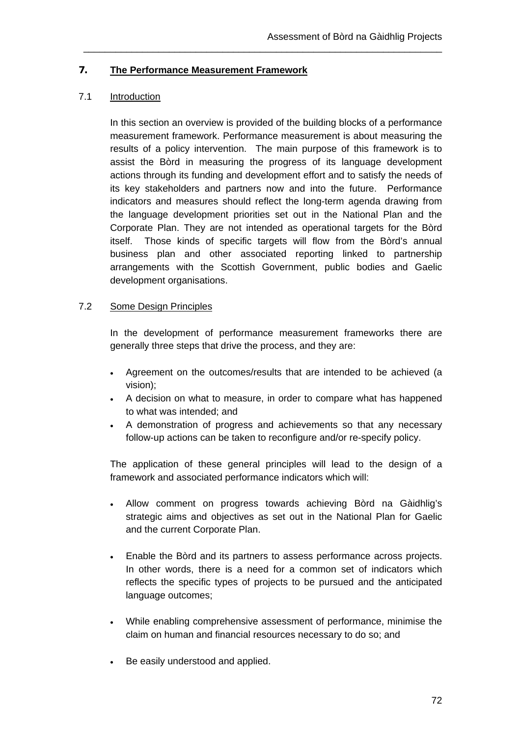### **7. The Performance Measurement Framework**

### 7.1 Introduction

In this section an overview is provided of the building blocks of a performance measurement framework. Performance measurement is about measuring the results of a policy intervention. The main purpose of this framework is to assist the Bòrd in measuring the progress of its language development actions through its funding and development effort and to satisfy the needs of its key stakeholders and partners now and into the future. Performance indicators and measures should reflect the long-term agenda drawing from the language development priorities set out in the National Plan and the Corporate Plan. They are not intended as operational targets for the Bòrd itself. Those kinds of specific targets will flow from the Bòrd's annual business plan and other associated reporting linked to partnership arrangements with the Scottish Government, public bodies and Gaelic development organisations.

\_\_\_\_\_\_\_\_\_\_\_\_\_\_\_\_\_\_\_\_\_\_\_\_\_\_\_\_\_\_\_\_\_\_\_\_\_\_\_\_\_\_\_\_\_\_\_\_\_\_\_\_\_\_\_\_\_\_\_\_\_\_\_\_\_\_\_

## 7.2 Some Design Principles

In the development of performance measurement frameworks there are generally three steps that drive the process, and they are:

- Agreement on the outcomes/results that are intended to be achieved (a vision);
- A decision on what to measure, in order to compare what has happened to what was intended; and
- A demonstration of progress and achievements so that any necessary follow-up actions can be taken to reconfigure and/or re-specify policy.

The application of these general principles will lead to the design of a framework and associated performance indicators which will:

- Allow comment on progress towards achieving Bòrd na Gàidhlig's strategic aims and objectives as set out in the National Plan for Gaelic and the current Corporate Plan.
- Enable the Bòrd and its partners to assess performance across projects. In other words, there is a need for a common set of indicators which reflects the specific types of projects to be pursued and the anticipated language outcomes;
- While enabling comprehensive assessment of performance, minimise the claim on human and financial resources necessary to do so; and
- Be easily understood and applied.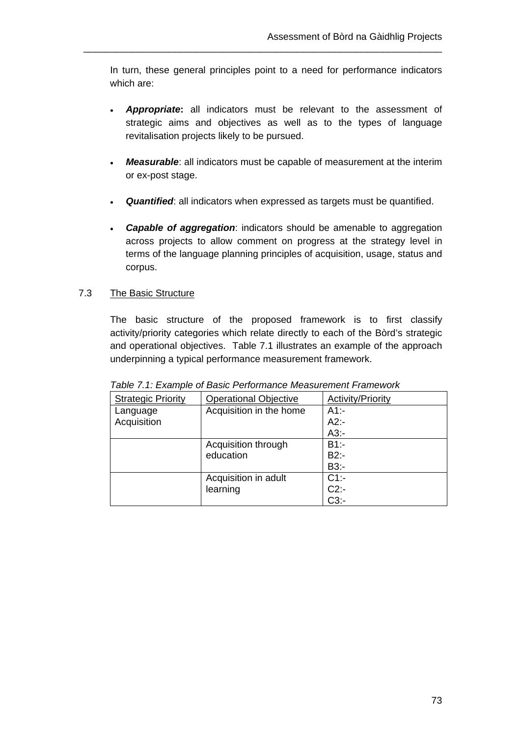In turn, these general principles point to a need for performance indicators which are:

\_\_\_\_\_\_\_\_\_\_\_\_\_\_\_\_\_\_\_\_\_\_\_\_\_\_\_\_\_\_\_\_\_\_\_\_\_\_\_\_\_\_\_\_\_\_\_\_\_\_\_\_\_\_\_\_\_\_\_\_\_\_\_\_\_\_\_

- *Appropriate***:** all indicators must be relevant to the assessment of strategic aims and objectives as well as to the types of language revitalisation projects likely to be pursued.
- *Measurable*: all indicators must be capable of measurement at the interim or ex-post stage.
- *Quantified*: all indicators when expressed as targets must be quantified.
- *Capable of aggregation*: indicators should be amenable to aggregation across projects to allow comment on progress at the strategy level in terms of the language planning principles of acquisition, usage, status and corpus.

## 7.3 The Basic Structure

The basic structure of the proposed framework is to first classify activity/priority categories which relate directly to each of the Bòrd's strategic and operational objectives. Table 7.1 illustrates an example of the approach underpinning a typical performance measurement framework.

| <b>Strategic Priority</b> | <b>Operational Objective</b> | <b>Activity/Priority</b> |
|---------------------------|------------------------------|--------------------------|
| Language                  | Acquisition in the home      | $A1 -$                   |
| Acquisition               |                              | $A2$ :-                  |
|                           |                              | $A3$ :-                  |
|                           | Acquisition through          | $B1$ :-                  |
|                           | education                    | $B2$ :-                  |
|                           |                              | B3:-                     |
|                           | Acquisition in adult         | $C1$ :-                  |
|                           | learning                     | $C2$ :-                  |
|                           |                              | $C3$ :-                  |

*Table 7.1: Example of Basic Performance Measurement Framework*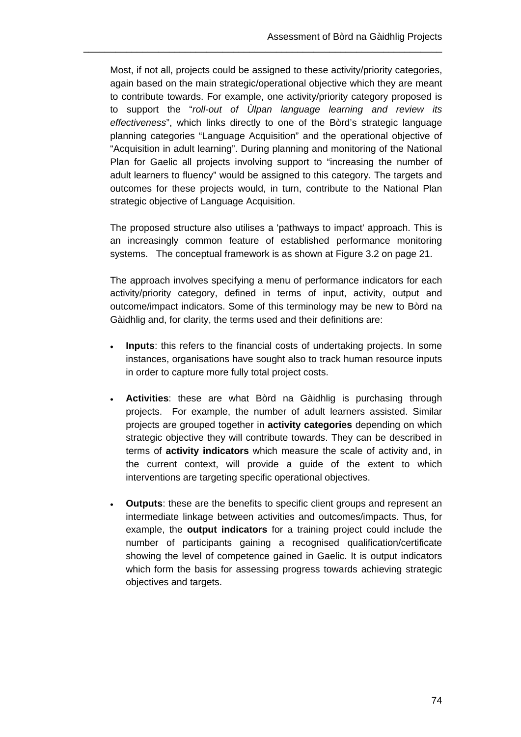Most, if not all, projects could be assigned to these activity/priority categories, again based on the main strategic/operational objective which they are meant to contribute towards. For example, one activity/priority category proposed is to support the "*roll-out of Ùlpan language learning and review its effectiveness*", which links directly to one of the Bòrd's strategic language planning categories "Language Acquisition" and the operational objective of "Acquisition in adult learning". During planning and monitoring of the National Plan for Gaelic all projects involving support to "increasing the number of adult learners to fluency" would be assigned to this category. The targets and outcomes for these projects would, in turn, contribute to the National Plan strategic objective of Language Acquisition.

\_\_\_\_\_\_\_\_\_\_\_\_\_\_\_\_\_\_\_\_\_\_\_\_\_\_\_\_\_\_\_\_\_\_\_\_\_\_\_\_\_\_\_\_\_\_\_\_\_\_\_\_\_\_\_\_\_\_\_\_\_\_\_\_\_\_\_

The proposed structure also utilises a 'pathways to impact' approach. This is an increasingly common feature of established performance monitoring systems. The conceptual framework is as shown at Figure 3.2 on page 21.

The approach involves specifying a menu of performance indicators for each activity/priority category, defined in terms of input, activity, output and outcome/impact indicators. Some of this terminology may be new to Bòrd na Gàidhlig and, for clarity, the terms used and their definitions are:

- **Inputs**: this refers to the financial costs of undertaking projects. In some instances, organisations have sought also to track human resource inputs in order to capture more fully total project costs.
- **Activities**: these are what Bòrd na Gàidhlig is purchasing through projects. For example, the number of adult learners assisted. Similar projects are grouped together in **activity categories** depending on which strategic objective they will contribute towards. They can be described in terms of **activity indicators** which measure the scale of activity and, in the current context, will provide a guide of the extent to which interventions are targeting specific operational objectives.
- **Outputs**: these are the benefits to specific client groups and represent an intermediate linkage between activities and outcomes/impacts. Thus, for example, the **output indicators** for a training project could include the number of participants gaining a recognised qualification/certificate showing the level of competence gained in Gaelic. It is output indicators which form the basis for assessing progress towards achieving strategic objectives and targets.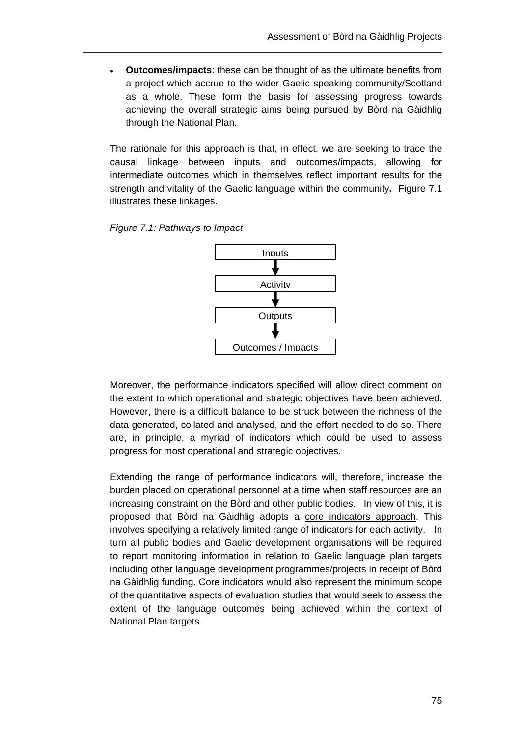**Outcomes/impacts**: these can be thought of as the ultimate benefits from a project which accrue to the wider Gaelic speaking community/Scotland as a whole. These form the basis for assessing progress towards achieving the overall strategic aims being pursued by Bòrd na Gàidhlig through the National Plan.

\_\_\_\_\_\_\_\_\_\_\_\_\_\_\_\_\_\_\_\_\_\_\_\_\_\_\_\_\_\_\_\_\_\_\_\_\_\_\_\_\_\_\_\_\_\_\_\_\_\_\_\_\_\_\_\_\_\_\_\_\_\_\_\_\_\_\_

The rationale for this approach is that, in effect, we are seeking to trace the causal linkage between inputs and outcomes/impacts, allowing for intermediate outcomes which in themselves reflect important results for the strength and vitality of the Gaelic language within the community**.** Figure 7.1 illustrates these linkages.





Moreover, the performance indicators specified will allow direct comment on the extent to which operational and strategic objectives have been achieved. However, there is a difficult balance to be struck between the richness of the data generated, collated and analysed, and the effort needed to do so. There are, in principle, a myriad of indicators which could be used to assess progress for most operational and strategic objectives.

Extending the range of performance indicators will, therefore, increase the burden placed on operational personnel at a time when staff resources are an increasing constraint on the Bòrd and other public bodies. In view of this, it is proposed that Bòrd na Gàidhlig adopts a core indicators approach. This involves specifying a relatively limited range of indicators for each activity. In turn all public bodies and Gaelic development organisations will be required to report monitoring information in relation to Gaelic language plan targets including other language development programmes/projects in receipt of Bòrd na Gàidhlig funding. Core indicators would also represent the minimum scope of the quantitative aspects of evaluation studies that would seek to assess the extent of the language outcomes being achieved within the context of National Plan targets.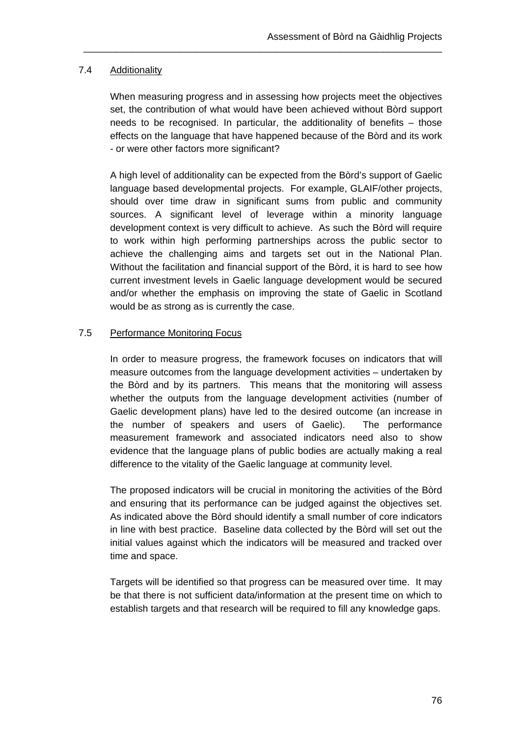## 7.4 Additionality

When measuring progress and in assessing how projects meet the objectives set, the contribution of what would have been achieved without Bòrd support needs to be recognised. In particular, the additionality of benefits – those effects on the language that have happened because of the Bòrd and its work - or were other factors more significant?

\_\_\_\_\_\_\_\_\_\_\_\_\_\_\_\_\_\_\_\_\_\_\_\_\_\_\_\_\_\_\_\_\_\_\_\_\_\_\_\_\_\_\_\_\_\_\_\_\_\_\_\_\_\_\_\_\_\_\_\_\_\_\_\_\_\_\_

A high level of additionality can be expected from the Bòrd's support of Gaelic language based developmental projects. For example, GLAIF/other projects, should over time draw in significant sums from public and community sources. A significant level of leverage within a minority language development context is very difficult to achieve. As such the Bòrd will require to work within high performing partnerships across the public sector to achieve the challenging aims and targets set out in the National Plan. Without the facilitation and financial support of the Bòrd, it is hard to see how current investment levels in Gaelic language development would be secured and/or whether the emphasis on improving the state of Gaelic in Scotland would be as strong as is currently the case.

## 7.5 Performance Monitoring Focus

In order to measure progress, the framework focuses on indicators that will measure outcomes from the language development activities – undertaken by the Bòrd and by its partners. This means that the monitoring will assess whether the outputs from the language development activities (number of Gaelic development plans) have led to the desired outcome (an increase in the number of speakers and users of Gaelic). The performance measurement framework and associated indicators need also to show evidence that the language plans of public bodies are actually making a real difference to the vitality of the Gaelic language at community level.

The proposed indicators will be crucial in monitoring the activities of the Bòrd and ensuring that its performance can be judged against the objectives set. As indicated above the Bòrd should identify a small number of core indicators in line with best practice. Baseline data collected by the Bòrd will set out the initial values against which the indicators will be measured and tracked over time and space.

Targets will be identified so that progress can be measured over time. It may be that there is not sufficient data/information at the present time on which to establish targets and that research will be required to fill any knowledge gaps.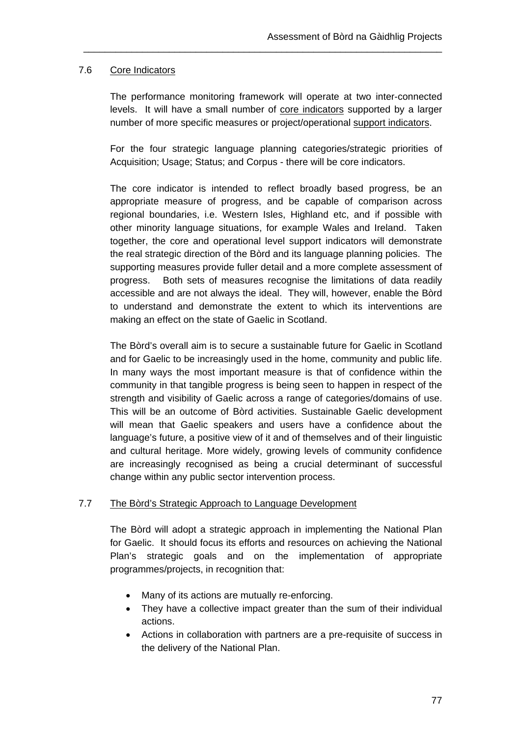## 7.6 Core Indicators

The performance monitoring framework will operate at two inter-connected levels. It will have a small number of core indicators supported by a larger number of more specific measures or project/operational support indicators.

\_\_\_\_\_\_\_\_\_\_\_\_\_\_\_\_\_\_\_\_\_\_\_\_\_\_\_\_\_\_\_\_\_\_\_\_\_\_\_\_\_\_\_\_\_\_\_\_\_\_\_\_\_\_\_\_\_\_\_\_\_\_\_\_\_\_\_

For the four strategic language planning categories/strategic priorities of Acquisition; Usage; Status; and Corpus - there will be core indicators.

The core indicator is intended to reflect broadly based progress, be an appropriate measure of progress, and be capable of comparison across regional boundaries, i.e. Western Isles, Highland etc, and if possible with other minority language situations, for example Wales and Ireland. Taken together, the core and operational level support indicators will demonstrate the real strategic direction of the Bòrd and its language planning policies. The supporting measures provide fuller detail and a more complete assessment of progress. Both sets of measures recognise the limitations of data readily accessible and are not always the ideal. They will, however, enable the Bòrd to understand and demonstrate the extent to which its interventions are making an effect on the state of Gaelic in Scotland.

The Bòrd's overall aim is to secure a sustainable future for Gaelic in Scotland and for Gaelic to be increasingly used in the home, community and public life. In many ways the most important measure is that of confidence within the community in that tangible progress is being seen to happen in respect of the strength and visibility of Gaelic across a range of categories/domains of use. This will be an outcome of Bòrd activities. Sustainable Gaelic development will mean that Gaelic speakers and users have a confidence about the language's future, a positive view of it and of themselves and of their linguistic and cultural heritage. More widely, growing levels of community confidence are increasingly recognised as being a crucial determinant of successful change within any public sector intervention process.

### 7.7 The Bòrd's Strategic Approach to Language Development

The Bòrd will adopt a strategic approach in implementing the National Plan for Gaelic. It should focus its efforts and resources on achieving the National Plan's strategic goals and on the implementation of appropriate programmes/projects, in recognition that:

- Many of its actions are mutually re-enforcing.
- They have a collective impact greater than the sum of their individual actions.
- Actions in collaboration with partners are a pre-requisite of success in the delivery of the National Plan.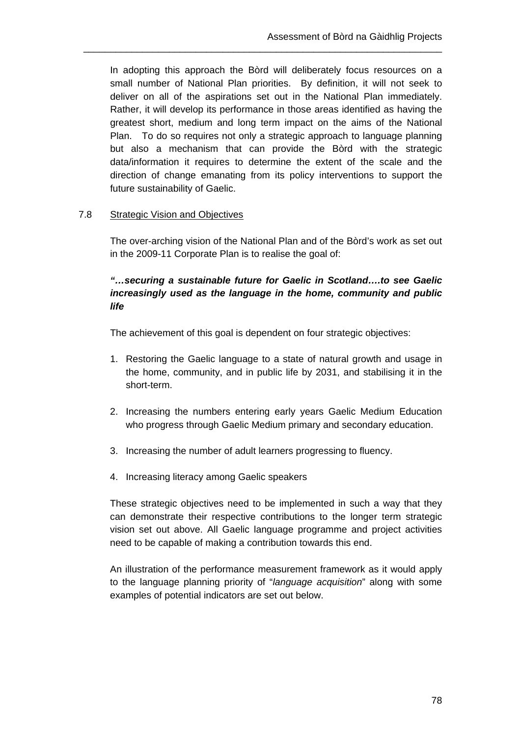In adopting this approach the Bòrd will deliberately focus resources on a small number of National Plan priorities. By definition, it will not seek to deliver on all of the aspirations set out in the National Plan immediately. Rather, it will develop its performance in those areas identified as having the greatest short, medium and long term impact on the aims of the National Plan. To do so requires not only a strategic approach to language planning but also a mechanism that can provide the Bòrd with the strategic data/information it requires to determine the extent of the scale and the direction of change emanating from its policy interventions to support the future sustainability of Gaelic.

\_\_\_\_\_\_\_\_\_\_\_\_\_\_\_\_\_\_\_\_\_\_\_\_\_\_\_\_\_\_\_\_\_\_\_\_\_\_\_\_\_\_\_\_\_\_\_\_\_\_\_\_\_\_\_\_\_\_\_\_\_\_\_\_\_\_\_

## 7.8 Strategic Vision and Objectives

The over-arching vision of the National Plan and of the Bòrd's work as set out in the 2009-11 Corporate Plan is to realise the goal of:

# *"…securing a sustainable future for Gaelic in Scotland….to see Gaelic increasingly used as the language in the home, community and public life*

The achievement of this goal is dependent on four strategic objectives:

- 1. Restoring the Gaelic language to a state of natural growth and usage in the home, community, and in public life by 2031, and stabilising it in the short-term.
- 2. Increasing the numbers entering early years Gaelic Medium Education who progress through Gaelic Medium primary and secondary education.
- 3. Increasing the number of adult learners progressing to fluency.
- 4. Increasing literacy among Gaelic speakers

These strategic objectives need to be implemented in such a way that they can demonstrate their respective contributions to the longer term strategic vision set out above. All Gaelic language programme and project activities need to be capable of making a contribution towards this end.

An illustration of the performance measurement framework as it would apply to the language planning priority of "*language acquisition*" along with some examples of potential indicators are set out below.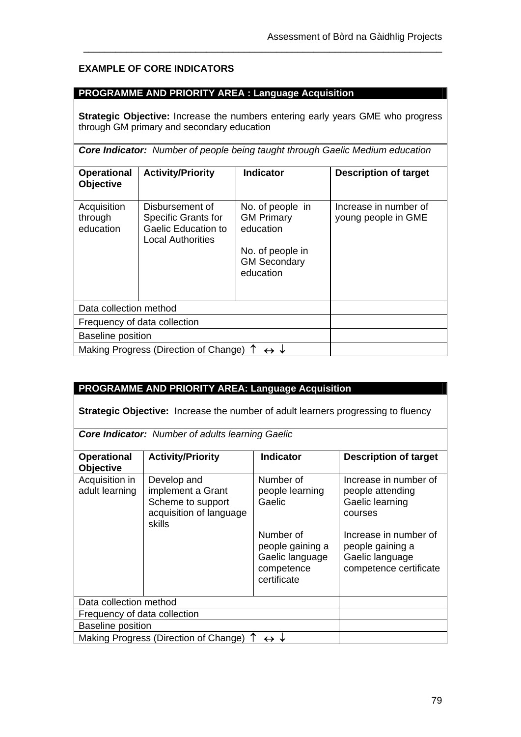# **EXAMPLE OF CORE INDICATORS**

### **PROGRAMME AND PRIORITY AREA : Language Acquisition**

**Strategic Objective:** Increase the numbers entering early years GME who progress through GM primary and secondary education

\_\_\_\_\_\_\_\_\_\_\_\_\_\_\_\_\_\_\_\_\_\_\_\_\_\_\_\_\_\_\_\_\_\_\_\_\_\_\_\_\_\_\_\_\_\_\_\_\_\_\_\_\_\_\_\_\_\_\_\_\_\_\_\_\_\_\_

*Core Indicator: Number of people being taught through Gaelic Medium education*

| <b>Operational</b><br><b>Objective</b> | <b>Activity/Priority</b>                                                                         | Indicator                                                                                                  | <b>Description of target</b>                 |
|----------------------------------------|--------------------------------------------------------------------------------------------------|------------------------------------------------------------------------------------------------------------|----------------------------------------------|
| Acquisition<br>through<br>education    | Disbursement of<br><b>Specific Grants for</b><br><b>Gaelic Education to</b><br>Local Authorities | No. of people in<br><b>GM Primary</b><br>education<br>No. of people in<br><b>GM Secondary</b><br>education | Increase in number of<br>young people in GME |
| Data collection method                 |                                                                                                  |                                                                                                            |                                              |
| Frequency of data collection           |                                                                                                  |                                                                                                            |                                              |
| <b>Baseline position</b>               |                                                                                                  |                                                                                                            |                                              |
| Making Progress (Direction of Change)  |                                                                                                  |                                                                                                            |                                              |

# **PROGRAMME AND PRIORITY AREA: Language Acquisition**

**Strategic Objective:** Increase the number of adult learners progressing to fluency

*Core Indicator: Number of adults learning Gaelic*

| <b>Operational</b><br><b>Objective</b> | <b>Activity/Priority</b>                                                                   | <b>Indicator</b>                                                              | <b>Description of target</b>                                                           |
|----------------------------------------|--------------------------------------------------------------------------------------------|-------------------------------------------------------------------------------|----------------------------------------------------------------------------------------|
| Acquisition in<br>adult learning       | Develop and<br>implement a Grant<br>Scheme to support<br>acquisition of language<br>skills | Number of<br>people learning<br>Gaelic                                        | Increase in number of<br>people attending<br>Gaelic learning<br>courses                |
|                                        |                                                                                            | Number of<br>people gaining a<br>Gaelic language<br>competence<br>certificate | Increase in number of<br>people gaining a<br>Gaelic language<br>competence certificate |
| Data collection method                 |                                                                                            |                                                                               |                                                                                        |
| Frequency of data collection           |                                                                                            |                                                                               |                                                                                        |
| <b>Baseline position</b>               |                                                                                            |                                                                               |                                                                                        |
| Making Progress (Direction of Change)  |                                                                                            |                                                                               |                                                                                        |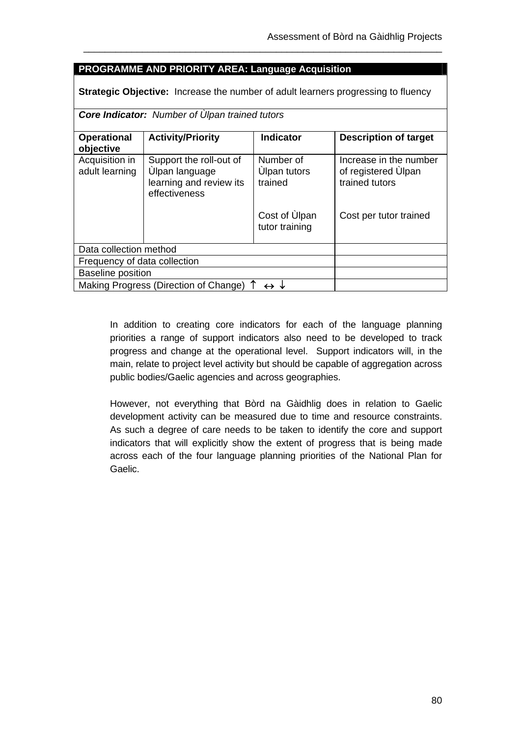## **PROGRAMME AND PRIORITY AREA: Language Acquisition**

**Strategic Objective:** Increase the number of adult learners progressing to fluency

\_\_\_\_\_\_\_\_\_\_\_\_\_\_\_\_\_\_\_\_\_\_\_\_\_\_\_\_\_\_\_\_\_\_\_\_\_\_\_\_\_\_\_\_\_\_\_\_\_\_\_\_\_\_\_\_\_\_\_\_\_\_\_\_\_\_\_

|  | <b>Core Indicator:</b> Number of Ulpan trained tutors |
|--|-------------------------------------------------------|
|--|-------------------------------------------------------|

| <b>Operational</b><br>objective  | <b>Activity/Priority</b>                                                              | <b>Indicator</b>                            | <b>Description of target</b>                                    |
|----------------------------------|---------------------------------------------------------------------------------------|---------------------------------------------|-----------------------------------------------------------------|
| Acquisition in<br>adult learning | Support the roll-out of<br>Ulpan language<br>learning and review its<br>effectiveness | Number of<br><b>Ulpan tutors</b><br>trained | Increase in the number<br>of registered Ulpan<br>trained tutors |
|                                  |                                                                                       | Cost of Ulpan<br>tutor training             | Cost per tutor trained                                          |
| Data collection method           |                                                                                       |                                             |                                                                 |
| Frequency of data collection     |                                                                                       |                                             |                                                                 |
| <b>Baseline position</b>         |                                                                                       |                                             |                                                                 |
|                                  | Making Progress (Direction of Change) 1                                               | $\leftrightarrow \downarrow$                |                                                                 |

In addition to creating core indicators for each of the language planning priorities a range of support indicators also need to be developed to track progress and change at the operational level. Support indicators will, in the main, relate to project level activity but should be capable of aggregation across public bodies/Gaelic agencies and across geographies.

However, not everything that Bòrd na Gàidhlig does in relation to Gaelic development activity can be measured due to time and resource constraints. As such a degree of care needs to be taken to identify the core and support indicators that will explicitly show the extent of progress that is being made across each of the four language planning priorities of the National Plan for Gaelic.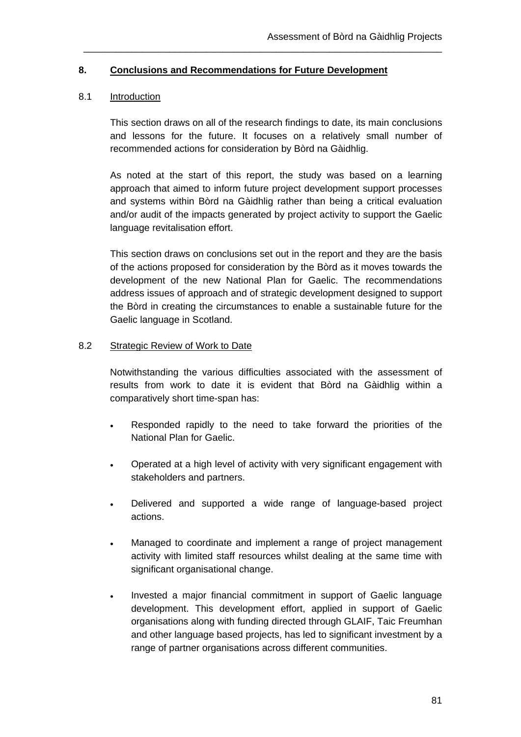### **8. Conclusions and Recommendations for Future Development**

### 8.1 Introduction

This section draws on all of the research findings to date, its main conclusions and lessons for the future. It focuses on a relatively small number of recommended actions for consideration by Bòrd na Gàidhlig.

\_\_\_\_\_\_\_\_\_\_\_\_\_\_\_\_\_\_\_\_\_\_\_\_\_\_\_\_\_\_\_\_\_\_\_\_\_\_\_\_\_\_\_\_\_\_\_\_\_\_\_\_\_\_\_\_\_\_\_\_\_\_\_\_\_\_\_

As noted at the start of this report, the study was based on a learning approach that aimed to inform future project development support processes and systems within Bòrd na Gàidhlig rather than being a critical evaluation and/or audit of the impacts generated by project activity to support the Gaelic language revitalisation effort.

This section draws on conclusions set out in the report and they are the basis of the actions proposed for consideration by the Bòrd as it moves towards the development of the new National Plan for Gaelic. The recommendations address issues of approach and of strategic development designed to support the Bòrd in creating the circumstances to enable a sustainable future for the Gaelic language in Scotland.

### 8.2 Strategic Review of Work to Date

Notwithstanding the various difficulties associated with the assessment of results from work to date it is evident that Bòrd na Gàidhlig within a comparatively short time-span has:

- Responded rapidly to the need to take forward the priorities of the National Plan for Gaelic.
- Operated at a high level of activity with very significant engagement with stakeholders and partners.
- Delivered and supported a wide range of language-based project actions.
- Managed to coordinate and implement a range of project management activity with limited staff resources whilst dealing at the same time with significant organisational change.
- . Invested a major financial commitment in support of Gaelic language development. This development effort, applied in support of Gaelic organisations along with funding directed through GLAIF, Taic Freumhan and other language based projects, has led to significant investment by a range of partner organisations across different communities.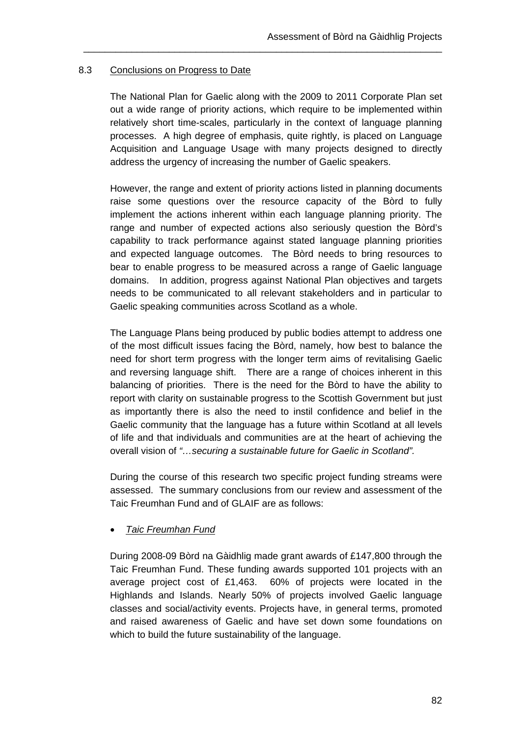## 8.3 Conclusions on Progress to Date

The National Plan for Gaelic along with the 2009 to 2011 Corporate Plan set out a wide range of priority actions, which require to be implemented within relatively short time-scales, particularly in the context of language planning processes. A high degree of emphasis, quite rightly, is placed on Language Acquisition and Language Usage with many projects designed to directly address the urgency of increasing the number of Gaelic speakers.

\_\_\_\_\_\_\_\_\_\_\_\_\_\_\_\_\_\_\_\_\_\_\_\_\_\_\_\_\_\_\_\_\_\_\_\_\_\_\_\_\_\_\_\_\_\_\_\_\_\_\_\_\_\_\_\_\_\_\_\_\_\_\_\_\_\_\_

However, the range and extent of priority actions listed in planning documents raise some questions over the resource capacity of the Bòrd to fully implement the actions inherent within each language planning priority. The range and number of expected actions also seriously question the Bòrd's capability to track performance against stated language planning priorities and expected language outcomes. The Bòrd needs to bring resources to bear to enable progress to be measured across a range of Gaelic language domains. In addition, progress against National Plan objectives and targets needs to be communicated to all relevant stakeholders and in particular to Gaelic speaking communities across Scotland as a whole.

The Language Plans being produced by public bodies attempt to address one of the most difficult issues facing the Bòrd, namely, how best to balance the need for short term progress with the longer term aims of revitalising Gaelic and reversing language shift. There are a range of choices inherent in this balancing of priorities. There is the need for the Bòrd to have the ability to report with clarity on sustainable progress to the Scottish Government but just as importantly there is also the need to instil confidence and belief in the Gaelic community that the language has a future within Scotland at all levels of life and that individuals and communities are at the heart of achieving the overall vision of *"…securing a sustainable future for Gaelic in Scotland".*

During the course of this research two specific project funding streams were assessed. The summary conclusions from our review and assessment of the Taic Freumhan Fund and of GLAIF are as follows:

*Taic Freumhan Fund* 

During 2008-09 Bòrd na Gàidhlig made grant awards of £147,800 through the Taic Freumhan Fund. These funding awards supported 101 projects with an average project cost of £1,463. 60% of projects were located in the Highlands and Islands. Nearly 50% of projects involved Gaelic language classes and social/activity events. Projects have, in general terms, promoted and raised awareness of Gaelic and have set down some foundations on which to build the future sustainability of the language.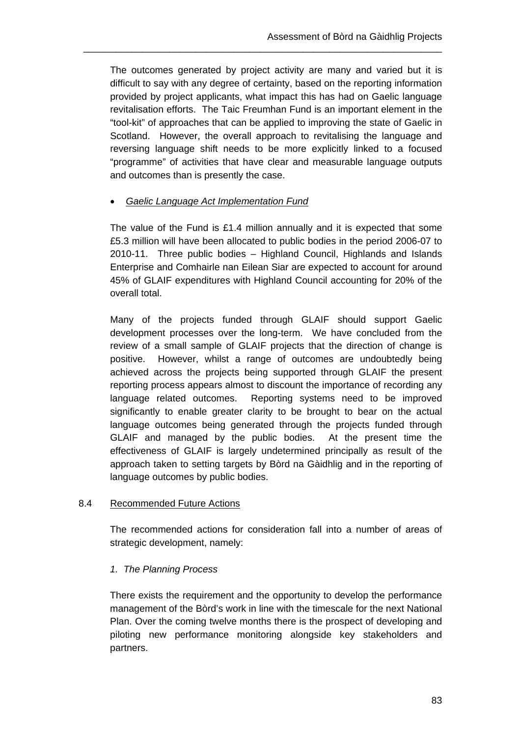The outcomes generated by project activity are many and varied but it is difficult to say with any degree of certainty, based on the reporting information provided by project applicants, what impact this has had on Gaelic language revitalisation efforts. The Taic Freumhan Fund is an important element in the "tool-kit" of approaches that can be applied to improving the state of Gaelic in Scotland. However, the overall approach to revitalising the language and reversing language shift needs to be more explicitly linked to a focused "programme" of activities that have clear and measurable language outputs and outcomes than is presently the case.

\_\_\_\_\_\_\_\_\_\_\_\_\_\_\_\_\_\_\_\_\_\_\_\_\_\_\_\_\_\_\_\_\_\_\_\_\_\_\_\_\_\_\_\_\_\_\_\_\_\_\_\_\_\_\_\_\_\_\_\_\_\_\_\_\_\_\_

## *Gaelic Language Act Implementation Fund*

The value of the Fund is £1.4 million annually and it is expected that some £5.3 million will have been allocated to public bodies in the period 2006-07 to 2010-11. Three public bodies – Highland Council, Highlands and Islands Enterprise and Comhairle nan Eilean Siar are expected to account for around 45% of GLAIF expenditures with Highland Council accounting for 20% of the overall total.

Many of the projects funded through GLAIF should support Gaelic development processes over the long-term. We have concluded from the review of a small sample of GLAIF projects that the direction of change is positive. However, whilst a range of outcomes are undoubtedly being achieved across the projects being supported through GLAIF the present reporting process appears almost to discount the importance of recording any language related outcomes. Reporting systems need to be improved significantly to enable greater clarity to be brought to bear on the actual language outcomes being generated through the projects funded through GLAIF and managed by the public bodies. At the present time the effectiveness of GLAIF is largely undetermined principally as result of the approach taken to setting targets by Bòrd na Gàidhlig and in the reporting of language outcomes by public bodies.

### 8.4 Recommended Future Actions

The recommended actions for consideration fall into a number of areas of strategic development, namely:

## *1. The Planning Process*

There exists the requirement and the opportunity to develop the performance management of the Bòrd's work in line with the timescale for the next National Plan. Over the coming twelve months there is the prospect of developing and piloting new performance monitoring alongside key stakeholders and partners.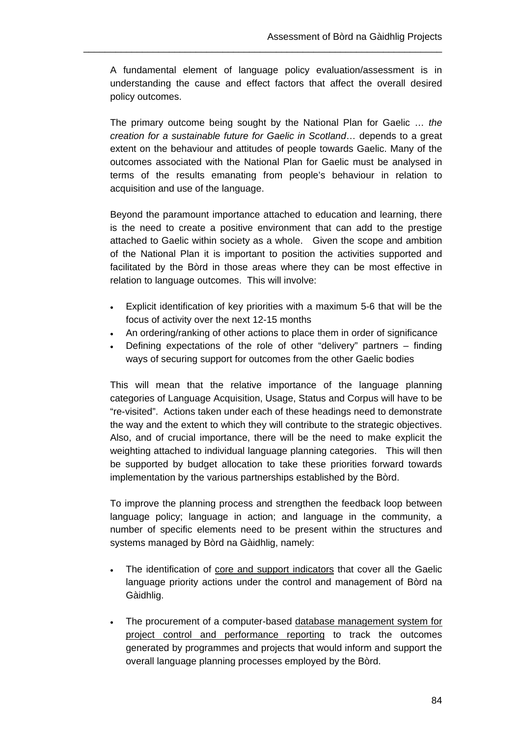A fundamental element of language policy evaluation/assessment is in understanding the cause and effect factors that affect the overall desired policy outcomes.

\_\_\_\_\_\_\_\_\_\_\_\_\_\_\_\_\_\_\_\_\_\_\_\_\_\_\_\_\_\_\_\_\_\_\_\_\_\_\_\_\_\_\_\_\_\_\_\_\_\_\_\_\_\_\_\_\_\_\_\_\_\_\_\_\_\_\_

The primary outcome being sought by the National Plan for Gaelic … *the creation for a sustainable future for Gaelic in Scotland*… depends to a great extent on the behaviour and attitudes of people towards Gaelic. Many of the outcomes associated with the National Plan for Gaelic must be analysed in terms of the results emanating from people's behaviour in relation to acquisition and use of the language.

Beyond the paramount importance attached to education and learning, there is the need to create a positive environment that can add to the prestige attached to Gaelic within society as a whole. Given the scope and ambition of the National Plan it is important to position the activities supported and facilitated by the Bòrd in those areas where they can be most effective in relation to language outcomes. This will involve:

- Explicit identification of key priorities with a maximum 5-6 that will be the focus of activity over the next 12-15 months
- An ordering/ranking of other actions to place them in order of significance
- Defining expectations of the role of other "delivery" partners finding ways of securing support for outcomes from the other Gaelic bodies

This will mean that the relative importance of the language planning categories of Language Acquisition, Usage, Status and Corpus will have to be "re-visited". Actions taken under each of these headings need to demonstrate the way and the extent to which they will contribute to the strategic objectives. Also, and of crucial importance, there will be the need to make explicit the weighting attached to individual language planning categories. This will then be supported by budget allocation to take these priorities forward towards implementation by the various partnerships established by the Bòrd.

To improve the planning process and strengthen the feedback loop between language policy; language in action; and language in the community, a number of specific elements need to be present within the structures and systems managed by Bòrd na Gàidhlig, namely:

- The identification of core and support indicators that cover all the Gaelic language priority actions under the control and management of Bòrd na Gàidhlig.
- The procurement of a computer-based database management system for project control and performance reporting to track the outcomes generated by programmes and projects that would inform and support the overall language planning processes employed by the Bòrd.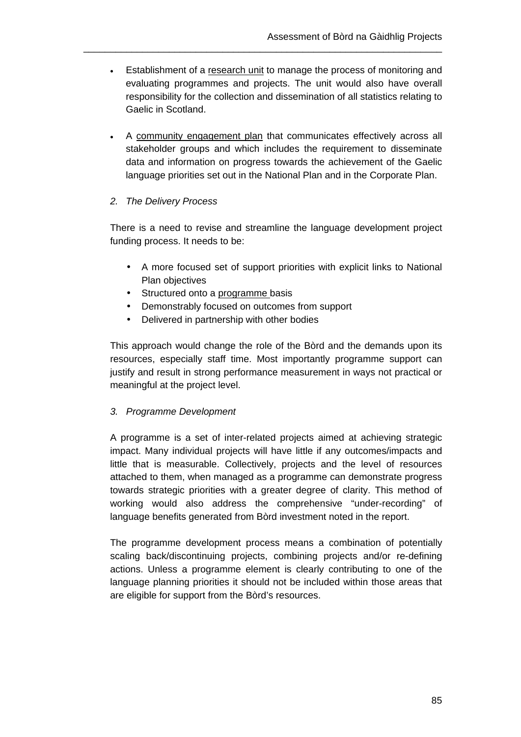Establishment of a research unit to manage the process of monitoring and evaluating programmes and projects. The unit would also have overall responsibility for the collection and dissemination of all statistics relating to Gaelic in Scotland.

\_\_\_\_\_\_\_\_\_\_\_\_\_\_\_\_\_\_\_\_\_\_\_\_\_\_\_\_\_\_\_\_\_\_\_\_\_\_\_\_\_\_\_\_\_\_\_\_\_\_\_\_\_\_\_\_\_\_\_\_\_\_\_\_\_\_\_

 A community engagement plan that communicates effectively across all stakeholder groups and which includes the requirement to disseminate data and information on progress towards the achievement of the Gaelic language priorities set out in the National Plan and in the Corporate Plan.

## *2. The Delivery Process*

There is a need to revise and streamline the language development project funding process. It needs to be:

- A more focused set of support priorities with explicit links to National Plan objectives
- Structured onto a programme basis
- Demonstrably focused on outcomes from support
- Delivered in partnership with other bodies

This approach would change the role of the Bòrd and the demands upon its resources, especially staff time. Most importantly programme support can justify and result in strong performance measurement in ways not practical or meaningful at the project level.

## *3. Programme Development*

A programme is a set of inter-related projects aimed at achieving strategic impact. Many individual projects will have little if any outcomes/impacts and little that is measurable. Collectively, projects and the level of resources attached to them, when managed as a programme can demonstrate progress towards strategic priorities with a greater degree of clarity. This method of working would also address the comprehensive "under-recording" of language benefits generated from Bòrd investment noted in the report.

The programme development process means a combination of potentially scaling back/discontinuing projects, combining projects and/or re-defining actions. Unless a programme element is clearly contributing to one of the language planning priorities it should not be included within those areas that are eligible for support from the Bòrd's resources.